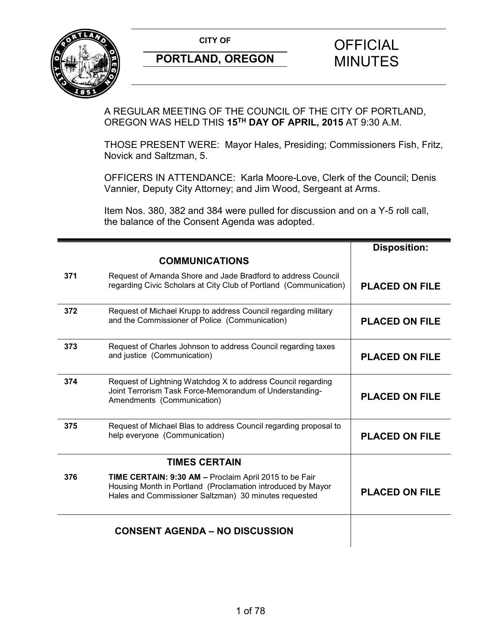

A REGULAR MEETING OF THE COUNCIL OF THE CITY OF PORTLAND, OREGON WAS HELD THIS **15TH DAY OF APRIL, 2015** AT 9:30 A.M.

THOSE PRESENT WERE: Mayor Hales, Presiding; Commissioners Fish, Fritz, Novick and Saltzman, 5.

OFFICERS IN ATTENDANCE: Karla Moore-Love, Clerk of the Council; Denis Vannier, Deputy City Attorney; and Jim Wood, Sergeant at Arms.

Item Nos. 380, 382 and 384 were pulled for discussion and on a Y-5 roll call, the balance of the Consent Agenda was adopted.

|     |                                                                                                                                                                                | <b>Disposition:</b>   |
|-----|--------------------------------------------------------------------------------------------------------------------------------------------------------------------------------|-----------------------|
|     | <b>COMMUNICATIONS</b>                                                                                                                                                          |                       |
| 371 | Request of Amanda Shore and Jade Bradford to address Council<br>regarding Civic Scholars at City Club of Portland (Communication)                                              | <b>PLACED ON FILE</b> |
| 372 | Request of Michael Krupp to address Council regarding military<br>and the Commissioner of Police (Communication)                                                               | <b>PLACED ON FILE</b> |
| 373 | Request of Charles Johnson to address Council regarding taxes<br>and justice (Communication)                                                                                   | <b>PLACED ON FILE</b> |
| 374 | Request of Lightning Watchdog X to address Council regarding<br>Joint Terrorism Task Force-Memorandum of Understanding-<br>Amendments (Communication)                          | <b>PLACED ON FILE</b> |
| 375 | Request of Michael Blas to address Council regarding proposal to<br>help everyone (Communication)                                                                              | <b>PLACED ON FILE</b> |
|     | <b>TIMES CERTAIN</b>                                                                                                                                                           |                       |
| 376 | TIME CERTAIN: 9:30 AM - Proclaim April 2015 to be Fair<br>Housing Month in Portland (Proclamation introduced by Mayor<br>Hales and Commissioner Saltzman) 30 minutes requested | <b>PLACED ON FILE</b> |
|     | <b>CONSENT AGENDA – NO DISCUSSION</b>                                                                                                                                          |                       |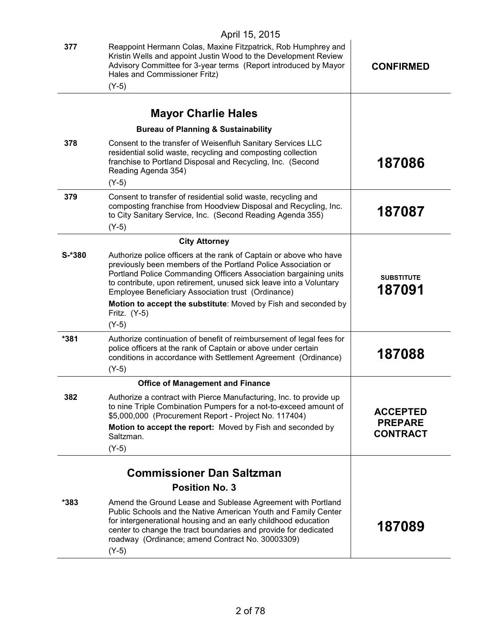| 377     | Reappoint Hermann Colas, Maxine Fitzpatrick, Rob Humphrey and<br>Kristin Wells and appoint Justin Wood to the Development Review<br>Advisory Committee for 3-year terms (Report introduced by Mayor<br>Hales and Commissioner Fritz)<br>$(Y-5)$                                                                                                                                                                       | <b>CONFIRMED</b>                                     |
|---------|-----------------------------------------------------------------------------------------------------------------------------------------------------------------------------------------------------------------------------------------------------------------------------------------------------------------------------------------------------------------------------------------------------------------------|------------------------------------------------------|
|         | <b>Mayor Charlie Hales</b>                                                                                                                                                                                                                                                                                                                                                                                            |                                                      |
|         | <b>Bureau of Planning &amp; Sustainability</b>                                                                                                                                                                                                                                                                                                                                                                        |                                                      |
| 378     | Consent to the transfer of Weisenfluh Sanitary Services LLC<br>residential solid waste, recycling and composting collection<br>franchise to Portland Disposal and Recycling, Inc. (Second<br>Reading Agenda 354)<br>$(Y-5)$                                                                                                                                                                                           | 187086                                               |
| 379     | Consent to transfer of residential solid waste, recycling and<br>composting franchise from Hoodview Disposal and Recycling, Inc.<br>to City Sanitary Service, Inc. (Second Reading Agenda 355)<br>$(Y-5)$                                                                                                                                                                                                             | 187087                                               |
|         | <b>City Attorney</b>                                                                                                                                                                                                                                                                                                                                                                                                  |                                                      |
| $S-380$ | Authorize police officers at the rank of Captain or above who have<br>previously been members of the Portland Police Association or<br>Portland Police Commanding Officers Association bargaining units<br>to contribute, upon retirement, unused sick leave into a Voluntary<br>Employee Beneficiary Association trust (Ordinance)<br>Motion to accept the substitute: Moved by Fish and seconded by<br>Fritz. (Y-5) | <b>SUBSTITUTE</b><br>187091                          |
| *381    | $(Y-5)$<br>Authorize continuation of benefit of reimbursement of legal fees for<br>police officers at the rank of Captain or above under certain<br>conditions in accordance with Settlement Agreement (Ordinance)<br>$(Y-5)$                                                                                                                                                                                         | 187088                                               |
|         | <b>Office of Management and Finance</b>                                                                                                                                                                                                                                                                                                                                                                               |                                                      |
| 382     | Authorize a contract with Pierce Manufacturing, Inc. to provide up<br>to nine Triple Combination Pumpers for a not-to-exceed amount of<br>\$5,000,000 (Procurement Report - Project No. 117404)<br>Motion to accept the report: Moved by Fish and seconded by<br>Saltzman.<br>$(Y-5)$                                                                                                                                 | <b>ACCEPTED</b><br><b>PREPARE</b><br><b>CONTRACT</b> |
|         |                                                                                                                                                                                                                                                                                                                                                                                                                       |                                                      |
|         | <b>Commissioner Dan Saltzman</b>                                                                                                                                                                                                                                                                                                                                                                                      |                                                      |
| *383    | <b>Position No. 3</b><br>Amend the Ground Lease and Sublease Agreement with Portland<br>Public Schools and the Native American Youth and Family Center<br>for intergenerational housing and an early childhood education<br>center to change the tract boundaries and provide for dedicated<br>roadway (Ordinance; amend Contract No. 30003309)<br>$(Y-5)$                                                            | 187089                                               |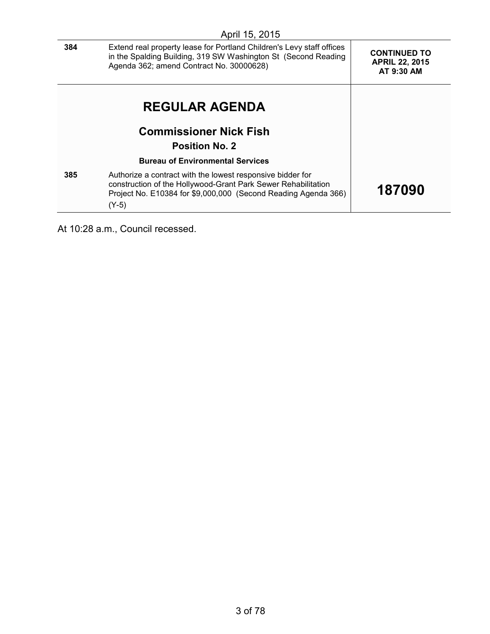|     | April 15, 2015                                                                                                                                                                                           |                                                            |
|-----|----------------------------------------------------------------------------------------------------------------------------------------------------------------------------------------------------------|------------------------------------------------------------|
| 384 | Extend real property lease for Portland Children's Levy staff offices<br>in the Spalding Building, 319 SW Washington St (Second Reading<br>Agenda 362; amend Contract No. 30000628)                      | <b>CONTINUED TO</b><br><b>APRIL 22, 2015</b><br>AT 9:30 AM |
|     | <b>REGULAR AGENDA</b>                                                                                                                                                                                    |                                                            |
|     | <b>Commissioner Nick Fish</b>                                                                                                                                                                            |                                                            |
|     | <b>Position No. 2</b>                                                                                                                                                                                    |                                                            |
|     | <b>Bureau of Environmental Services</b>                                                                                                                                                                  |                                                            |
| 385 | Authorize a contract with the lowest responsive bidder for<br>construction of the Hollywood-Grant Park Sewer Rehabilitation<br>Project No. E10384 for \$9,000,000 (Second Reading Agenda 366)<br>$(Y-5)$ | 187090                                                     |

At 10:28 a.m., Council recessed.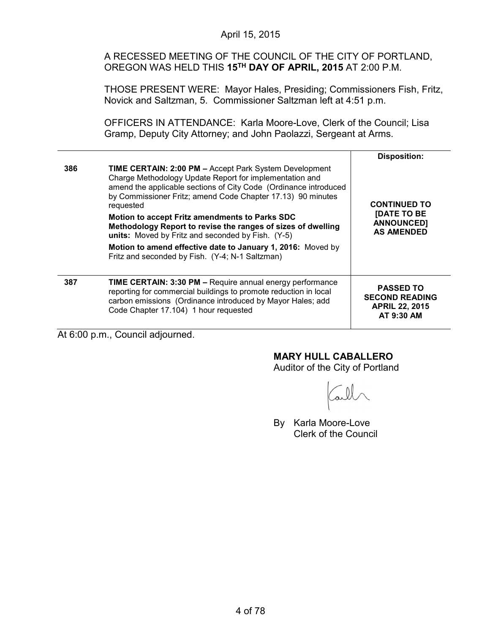A RECESSED MEETING OF THE COUNCIL OF THE CITY OF PORTLAND, OREGON WAS HELD THIS **15TH DAY OF APRIL, 2015** AT 2:00 P.M.

THOSE PRESENT WERE: Mayor Hales, Presiding; Commissioners Fish, Fritz, Novick and Saltzman, 5. Commissioner Saltzman left at 4:51 p.m.

OFFICERS IN ATTENDANCE: Karla Moore-Love, Clerk of the Council; Lisa Gramp, Deputy City Attorney; and John Paolazzi, Sergeant at Arms.

|     |                                                                                                                                                                                                                                                                                                                                                                                                                                                                                                                                                                   | <b>Disposition:</b>                                                                 |
|-----|-------------------------------------------------------------------------------------------------------------------------------------------------------------------------------------------------------------------------------------------------------------------------------------------------------------------------------------------------------------------------------------------------------------------------------------------------------------------------------------------------------------------------------------------------------------------|-------------------------------------------------------------------------------------|
| 386 | <b>TIME CERTAIN: 2:00 PM - Accept Park System Development</b><br>Charge Methodology Update Report for implementation and<br>amend the applicable sections of City Code (Ordinance introduced<br>by Commissioner Fritz; amend Code Chapter 17.13) 90 minutes<br>requested<br>Motion to accept Fritz amendments to Parks SDC<br>Methodology Report to revise the ranges of sizes of dwelling<br>units: Moved by Fritz and seconded by Fish. (Y-5)<br>Motion to amend effective date to January 1, 2016: Moved by<br>Fritz and seconded by Fish. (Y-4; N-1 Saltzman) | <b>CONTINUED TO</b><br><b>IDATE TO BE</b><br><b>ANNOUNCED1</b><br><b>AS AMENDED</b> |
| 387 | TIME CERTAIN: 3:30 PM - Require annual energy performance<br>reporting for commercial buildings to promote reduction in local<br>carbon emissions (Ordinance introduced by Mayor Hales; add<br>Code Chapter 17.104) 1 hour requested                                                                                                                                                                                                                                                                                                                              | <b>PASSED TO</b><br><b>SECOND READING</b><br><b>APRIL 22, 2015</b><br>AT 9:30 AM    |

At 6:00 p.m., Council adjourned.

### **MARY HULL CABALLERO**

Auditor of the City of Portland

By Karla Moore-Love Clerk of the Council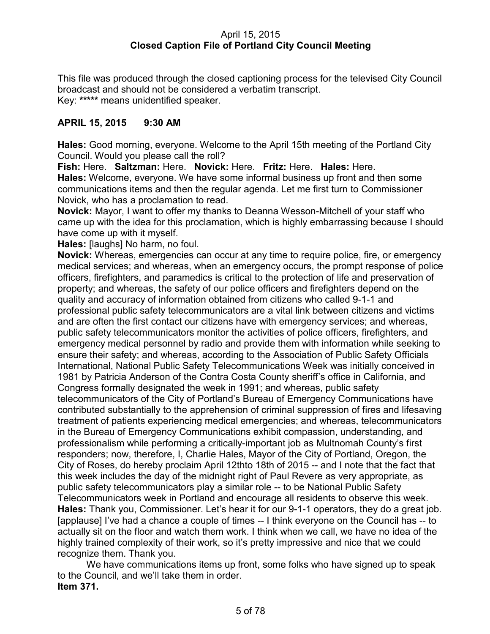### April 15, 2015 **Closed Caption File of Portland City Council Meeting**

This file was produced through the closed captioning process for the televised City Council broadcast and should not be considered a verbatim transcript. Key: **\*\*\*\*\*** means unidentified speaker.

### **APRIL 15, 2015 9:30 AM**

**Hales:** Good morning, everyone. Welcome to the April 15th meeting of the Portland City Council. Would you please call the roll?

**Fish:** Here. **Saltzman:** Here. **Novick:** Here. **Fritz:** Here. **Hales:** Here. **Hales:** Welcome, everyone. We have some informal business up front and then some communications items and then the regular agenda. Let me first turn to Commissioner Novick, who has a proclamation to read.

**Novick:** Mayor, I want to offer my thanks to Deanna Wesson-Mitchell of your staff who came up with the idea for this proclamation, which is highly embarrassing because I should have come up with it myself.

**Hales:** [laughs] No harm, no foul.

**Novick:** Whereas, emergencies can occur at any time to require police, fire, or emergency medical services; and whereas, when an emergency occurs, the prompt response of police officers, firefighters, and paramedics is critical to the protection of life and preservation of property; and whereas, the safety of our police officers and firefighters depend on the quality and accuracy of information obtained from citizens who called 9-1-1 and professional public safety telecommunicators are a vital link between citizens and victims and are often the first contact our citizens have with emergency services; and whereas, public safety telecommunicators monitor the activities of police officers, firefighters, and emergency medical personnel by radio and provide them with information while seeking to ensure their safety; and whereas, according to the Association of Public Safety Officials International, National Public Safety Telecommunications Week was initially conceived in 1981 by Patricia Anderson of the Contra Costa County sheriff's office in California, and Congress formally designated the week in 1991; and whereas, public safety telecommunicators of the City of Portland's Bureau of Emergency Communications have contributed substantially to the apprehension of criminal suppression of fires and lifesaving treatment of patients experiencing medical emergencies; and whereas, telecommunicators in the Bureau of Emergency Communications exhibit compassion, understanding, and professionalism while performing a critically-important job as Multnomah County's first responders; now, therefore, I, Charlie Hales, Mayor of the City of Portland, Oregon, the City of Roses, do hereby proclaim April 12thto 18th of 2015 -- and I note that the fact that this week includes the day of the midnight right of Paul Revere as very appropriate, as public safety telecommunicators play a similar role -- to be National Public Safety Telecommunicators week in Portland and encourage all residents to observe this week. **Hales:** Thank you, Commissioner. Let's hear it for our 9-1-1 operators, they do a great job. [applause] I've had a chance a couple of times -- I think everyone on the Council has -- to actually sit on the floor and watch them work. I think when we call, we have no idea of the highly trained complexity of their work, so it's pretty impressive and nice that we could recognize them. Thank you.

We have communications items up front, some folks who have signed up to speak to the Council, and we'll take them in order. **Item 371.**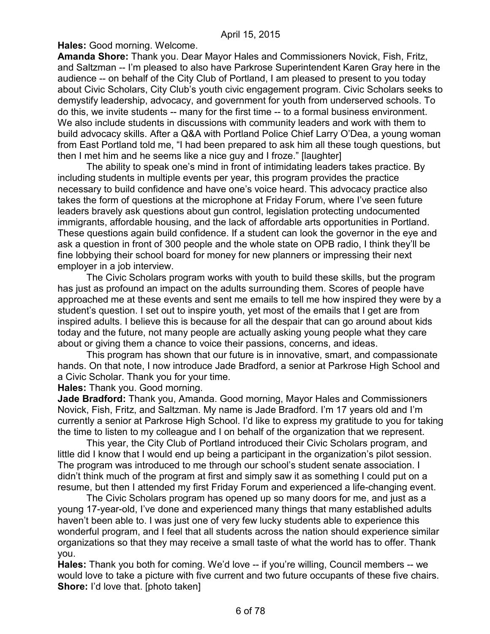**Hales:** Good morning. Welcome.

**Amanda Shore:** Thank you. Dear Mayor Hales and Commissioners Novick, Fish, Fritz, and Saltzman -- I'm pleased to also have Parkrose Superintendent Karen Gray here in the audience -- on behalf of the City Club of Portland, I am pleased to present to you today about Civic Scholars, City Club's youth civic engagement program. Civic Scholars seeks to demystify leadership, advocacy, and government for youth from underserved schools. To do this, we invite students -- many for the first time -- to a formal business environment. We also include students in discussions with community leaders and work with them to build advocacy skills. After a Q&A with Portland Police Chief Larry O'Dea, a young woman from East Portland told me, "I had been prepared to ask him all these tough questions, but then I met him and he seems like a nice guy and I froze." [laughter]

The ability to speak one's mind in front of intimidating leaders takes practice. By including students in multiple events per year, this program provides the practice necessary to build confidence and have one's voice heard. This advocacy practice also takes the form of questions at the microphone at Friday Forum, where I've seen future leaders bravely ask questions about gun control, legislation protecting undocumented immigrants, affordable housing, and the lack of affordable arts opportunities in Portland. These questions again build confidence. If a student can look the governor in the eye and ask a question in front of 300 people and the whole state on OPB radio, I think they'll be fine lobbying their school board for money for new planners or impressing their next employer in a job interview.

The Civic Scholars program works with youth to build these skills, but the program has just as profound an impact on the adults surrounding them. Scores of people have approached me at these events and sent me emails to tell me how inspired they were by a student's question. I set out to inspire youth, yet most of the emails that I get are from inspired adults. I believe this is because for all the despair that can go around about kids today and the future, not many people are actually asking young people what they care about or giving them a chance to voice their passions, concerns, and ideas.

This program has shown that our future is in innovative, smart, and compassionate hands. On that note, I now introduce Jade Bradford, a senior at Parkrose High School and a Civic Scholar. Thank you for your time.

**Hales:** Thank you. Good morning.

**Jade Bradford:** Thank you, Amanda. Good morning, Mayor Hales and Commissioners Novick, Fish, Fritz, and Saltzman. My name is Jade Bradford. I'm 17 years old and I'm currently a senior at Parkrose High School. I'd like to express my gratitude to you for taking the time to listen to my colleague and I on behalf of the organization that we represent.

This year, the City Club of Portland introduced their Civic Scholars program, and little did I know that I would end up being a participant in the organization's pilot session. The program was introduced to me through our school's student senate association. I didn't think much of the program at first and simply saw it as something I could put on a resume, but then I attended my first Friday Forum and experienced a life-changing event.

The Civic Scholars program has opened up so many doors for me, and just as a young 17-year-old, I've done and experienced many things that many established adults haven't been able to. I was just one of very few lucky students able to experience this wonderful program, and I feel that all students across the nation should experience similar organizations so that they may receive a small taste of what the world has to offer. Thank you.

**Hales:** Thank you both for coming. We'd love -- if you're willing, Council members -- we would love to take a picture with five current and two future occupants of these five chairs. **Shore:** I'd love that. [photo taken]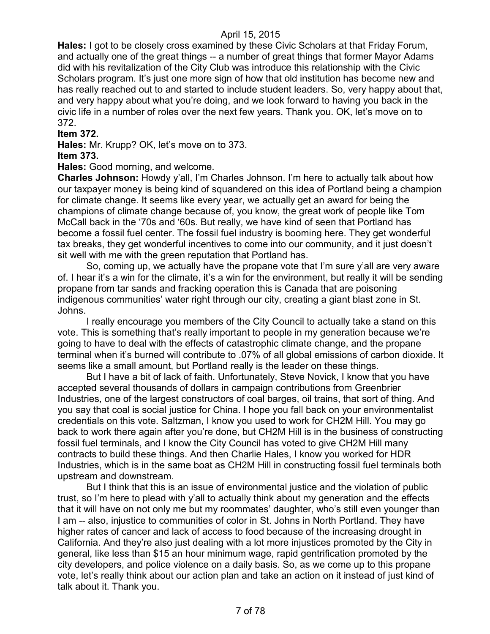**Hales:** I got to be closely cross examined by these Civic Scholars at that Friday Forum, and actually one of the great things -- a number of great things that former Mayor Adams did with his revitalization of the City Club was introduce this relationship with the Civic Scholars program. It's just one more sign of how that old institution has become new and has really reached out to and started to include student leaders. So, very happy about that, and very happy about what you're doing, and we look forward to having you back in the civic life in a number of roles over the next few years. Thank you. OK, let's move on to 372.

#### **Item 372.**

**Hales:** Mr. Krupp? OK, let's move on to 373.

### **Item 373.**

#### **Hales:** Good morning, and welcome.

**Charles Johnson:** Howdy y'all, I'm Charles Johnson. I'm here to actually talk about how our taxpayer money is being kind of squandered on this idea of Portland being a champion for climate change. It seems like every year, we actually get an award for being the champions of climate change because of, you know, the great work of people like Tom McCall back in the '70s and '60s. But really, we have kind of seen that Portland has become a fossil fuel center. The fossil fuel industry is booming here. They get wonderful tax breaks, they get wonderful incentives to come into our community, and it just doesn't sit well with me with the green reputation that Portland has.

So, coming up, we actually have the propane vote that I'm sure y'all are very aware of. I hear it's a win for the climate, it's a win for the environment, but really it will be sending propane from tar sands and fracking operation this is Canada that are poisoning indigenous communities' water right through our city, creating a giant blast zone in St. Johns.

I really encourage you members of the City Council to actually take a stand on this vote. This is something that's really important to people in my generation because we're going to have to deal with the effects of catastrophic climate change, and the propane terminal when it's burned will contribute to .07% of all global emissions of carbon dioxide. It seems like a small amount, but Portland really is the leader on these things.

But I have a bit of lack of faith. Unfortunately, Steve Novick, I know that you have accepted several thousands of dollars in campaign contributions from Greenbrier Industries, one of the largest constructors of coal barges, oil trains, that sort of thing. And you say that coal is social justice for China. I hope you fall back on your environmentalist credentials on this vote. Saltzman, I know you used to work for CH2M Hill. You may go back to work there again after you're done, but CH2M Hill is in the business of constructing fossil fuel terminals, and I know the City Council has voted to give CH2M Hill many contracts to build these things. And then Charlie Hales, I know you worked for HDR Industries, which is in the same boat as CH2M Hill in constructing fossil fuel terminals both upstream and downstream.

But I think that this is an issue of environmental justice and the violation of public trust, so I'm here to plead with y'all to actually think about my generation and the effects that it will have on not only me but my roommates' daughter, who's still even younger than I am -- also, injustice to communities of color in St. Johns in North Portland. They have higher rates of cancer and lack of access to food because of the increasing drought in California. And they're also just dealing with a lot more injustices promoted by the City in general, like less than \$15 an hour minimum wage, rapid gentrification promoted by the city developers, and police violence on a daily basis. So, as we come up to this propane vote, let's really think about our action plan and take an action on it instead of just kind of talk about it. Thank you.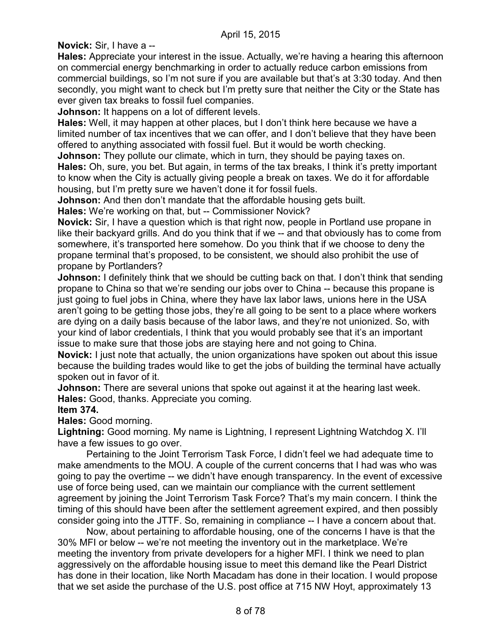**Novick:** Sir, I have a --

**Hales:** Appreciate your interest in the issue. Actually, we're having a hearing this afternoon on commercial energy benchmarking in order to actually reduce carbon emissions from commercial buildings, so I'm not sure if you are available but that's at 3:30 today. And then secondly, you might want to check but I'm pretty sure that neither the City or the State has ever given tax breaks to fossil fuel companies.

**Johnson:** It happens on a lot of different levels.

**Hales:** Well, it may happen at other places, but I don't think here because we have a limited number of tax incentives that we can offer, and I don't believe that they have been offered to anything associated with fossil fuel. But it would be worth checking.

**Johnson:** They pollute our climate, which in turn, they should be paying taxes on. **Hales:** Oh, sure, you bet. But again, in terms of the tax breaks, I think it's pretty important to know when the City is actually giving people a break on taxes. We do it for affordable housing, but I'm pretty sure we haven't done it for fossil fuels.

**Johnson:** And then don't mandate that the affordable housing gets built.

**Hales:** We're working on that, but -- Commissioner Novick?

**Novick:** Sir, I have a question which is that right now, people in Portland use propane in like their backyard grills. And do you think that if we -- and that obviously has to come from somewhere, it's transported here somehow. Do you think that if we choose to deny the propane terminal that's proposed, to be consistent, we should also prohibit the use of propane by Portlanders?

**Johnson:** I definitely think that we should be cutting back on that. I don't think that sending propane to China so that we're sending our jobs over to China -- because this propane is just going to fuel jobs in China, where they have lax labor laws, unions here in the USA aren't going to be getting those jobs, they're all going to be sent to a place where workers are dying on a daily basis because of the labor laws, and they're not unionized. So, with your kind of labor credentials, I think that you would probably see that it's an important issue to make sure that those jobs are staying here and not going to China.

**Novick:** I just note that actually, the union organizations have spoken out about this issue because the building trades would like to get the jobs of building the terminal have actually spoken out in favor of it.

**Johnson:** There are several unions that spoke out against it at the hearing last week. **Hales:** Good, thanks. Appreciate you coming.

**Item 374.**

**Hales:** Good morning.

**Lightning:** Good morning. My name is Lightning, I represent Lightning Watchdog X. I'll have a few issues to go over.

Pertaining to the Joint Terrorism Task Force, I didn't feel we had adequate time to make amendments to the MOU. A couple of the current concerns that I had was who was going to pay the overtime -- we didn't have enough transparency. In the event of excessive use of force being used, can we maintain our compliance with the current settlement agreement by joining the Joint Terrorism Task Force? That's my main concern. I think the timing of this should have been after the settlement agreement expired, and then possibly consider going into the JTTF. So, remaining in compliance -- I have a concern about that.

Now, about pertaining to affordable housing, one of the concerns I have is that the 30% MFI or below -- we're not meeting the inventory out in the marketplace. We're meeting the inventory from private developers for a higher MFI. I think we need to plan aggressively on the affordable housing issue to meet this demand like the Pearl District has done in their location, like North Macadam has done in their location. I would propose that we set aside the purchase of the U.S. post office at 715 NW Hoyt, approximately 13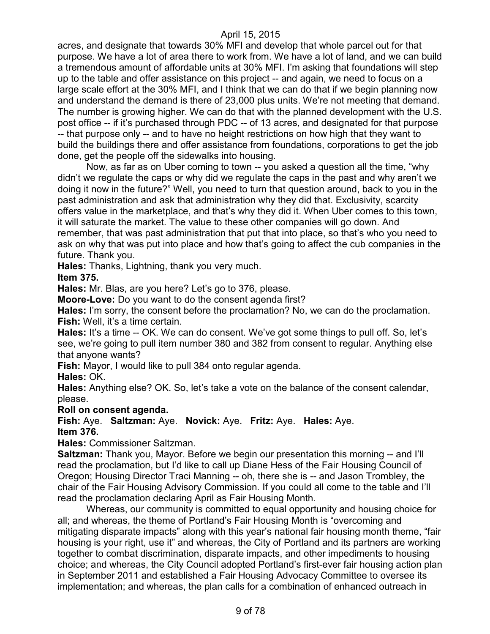acres, and designate that towards 30% MFI and develop that whole parcel out for that purpose. We have a lot of area there to work from. We have a lot of land, and we can build a tremendous amount of affordable units at 30% MFI. I'm asking that foundations will step up to the table and offer assistance on this project -- and again, we need to focus on a large scale effort at the 30% MFI, and I think that we can do that if we begin planning now and understand the demand is there of 23,000 plus units. We're not meeting that demand. The number is growing higher. We can do that with the planned development with the U.S. post office -- if it's purchased through PDC -- of 13 acres, and designated for that purpose -- that purpose only -- and to have no height restrictions on how high that they want to build the buildings there and offer assistance from foundations, corporations to get the job done, get the people off the sidewalks into housing.

Now, as far as on Uber coming to town -- you asked a question all the time, "why didn't we regulate the caps or why did we regulate the caps in the past and why aren't we doing it now in the future?" Well, you need to turn that question around, back to you in the past administration and ask that administration why they did that. Exclusivity, scarcity offers value in the marketplace, and that's why they did it. When Uber comes to this town, it will saturate the market. The value to these other companies will go down. And remember, that was past administration that put that into place, so that's who you need to ask on why that was put into place and how that's going to affect the cub companies in the future. Thank you.

**Hales:** Thanks, Lightning, thank you very much.

**Item 375.**

**Hales:** Mr. Blas, are you here? Let's go to 376, please.

**Moore-Love:** Do you want to do the consent agenda first?

**Hales:** I'm sorry, the consent before the proclamation? No, we can do the proclamation. **Fish:** Well, it's a time certain.

**Hales:** It's a time -- OK. We can do consent. We've got some things to pull off. So, let's see, we're going to pull item number 380 and 382 from consent to regular. Anything else that anyone wants?

**Fish:** Mayor, I would like to pull 384 onto regular agenda.

**Hales:** OK.

**Hales:** Anything else? OK. So, let's take a vote on the balance of the consent calendar, please.

### **Roll on consent agenda.**

**Fish:** Aye. **Saltzman:** Aye. **Novick:** Aye. **Fritz:** Aye. **Hales:** Aye. **Item 376.**

**Hales:** Commissioner Saltzman.

**Saltzman:** Thank you, Mayor. Before we begin our presentation this morning -- and I'll read the proclamation, but I'd like to call up Diane Hess of the Fair Housing Council of Oregon; Housing Director Traci Manning -- oh, there she is -- and Jason Trombley, the chair of the Fair Housing Advisory Commission. If you could all come to the table and I'll read the proclamation declaring April as Fair Housing Month.

Whereas, our community is committed to equal opportunity and housing choice for all; and whereas, the theme of Portland's Fair Housing Month is "overcoming and mitigating disparate impacts" along with this year's national fair housing month theme, "fair housing is your right, use it" and whereas, the City of Portland and its partners are working together to combat discrimination, disparate impacts, and other impediments to housing choice; and whereas, the City Council adopted Portland's first-ever fair housing action plan in September 2011 and established a Fair Housing Advocacy Committee to oversee its implementation; and whereas, the plan calls for a combination of enhanced outreach in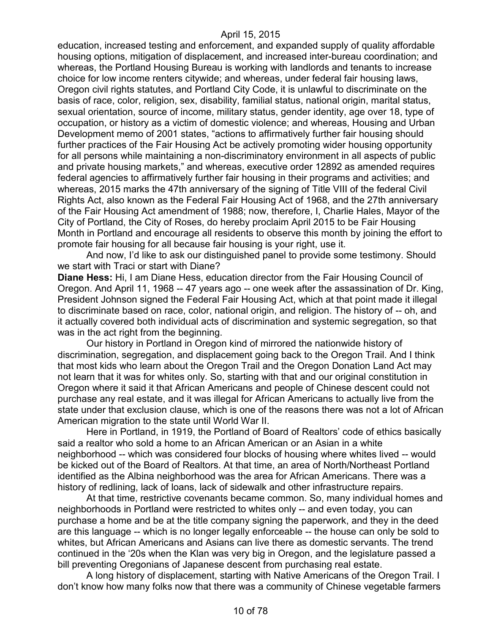education, increased testing and enforcement, and expanded supply of quality affordable housing options, mitigation of displacement, and increased inter-bureau coordination; and whereas, the Portland Housing Bureau is working with landlords and tenants to increase choice for low income renters citywide; and whereas, under federal fair housing laws, Oregon civil rights statutes, and Portland City Code, it is unlawful to discriminate on the basis of race, color, religion, sex, disability, familial status, national origin, marital status, sexual orientation, source of income, military status, gender identity, age over 18, type of occupation, or history as a victim of domestic violence; and whereas, Housing and Urban Development memo of 2001 states, "actions to affirmatively further fair housing should further practices of the Fair Housing Act be actively promoting wider housing opportunity for all persons while maintaining a non-discriminatory environment in all aspects of public and private housing markets," and whereas, executive order 12892 as amended requires federal agencies to affirmatively further fair housing in their programs and activities; and whereas, 2015 marks the 47th anniversary of the signing of Title VIII of the federal Civil Rights Act, also known as the Federal Fair Housing Act of 1968, and the 27th anniversary of the Fair Housing Act amendment of 1988; now, therefore, I, Charlie Hales, Mayor of the City of Portland, the City of Roses, do hereby proclaim April 2015 to be Fair Housing Month in Portland and encourage all residents to observe this month by joining the effort to promote fair housing for all because fair housing is your right, use it.

And now, I'd like to ask our distinguished panel to provide some testimony. Should we start with Traci or start with Diane?

**Diane Hess:** Hi, I am Diane Hess, education director from the Fair Housing Council of Oregon. And April 11, 1968 -- 47 years ago -- one week after the assassination of Dr. King, President Johnson signed the Federal Fair Housing Act, which at that point made it illegal to discriminate based on race, color, national origin, and religion. The history of -- oh, and it actually covered both individual acts of discrimination and systemic segregation, so that was in the act right from the beginning.

Our history in Portland in Oregon kind of mirrored the nationwide history of discrimination, segregation, and displacement going back to the Oregon Trail. And I think that most kids who learn about the Oregon Trail and the Oregon Donation Land Act may not learn that it was for whites only. So, starting with that and our original constitution in Oregon where it said it that African Americans and people of Chinese descent could not purchase any real estate, and it was illegal for African Americans to actually live from the state under that exclusion clause, which is one of the reasons there was not a lot of African American migration to the state until World War II.

Here in Portland, in 1919, the Portland of Board of Realtors' code of ethics basically said a realtor who sold a home to an African American or an Asian in a white neighborhood -- which was considered four blocks of housing where whites lived -- would be kicked out of the Board of Realtors. At that time, an area of North/Northeast Portland identified as the Albina neighborhood was the area for African Americans. There was a history of redlining, lack of loans, lack of sidewalk and other infrastructure repairs.

At that time, restrictive covenants became common. So, many individual homes and neighborhoods in Portland were restricted to whites only -- and even today, you can purchase a home and be at the title company signing the paperwork, and they in the deed are this language -- which is no longer legally enforceable -- the house can only be sold to whites, but African Americans and Asians can live there as domestic servants. The trend continued in the '20s when the Klan was very big in Oregon, and the legislature passed a bill preventing Oregonians of Japanese descent from purchasing real estate.

A long history of displacement, starting with Native Americans of the Oregon Trail. I don't know how many folks now that there was a community of Chinese vegetable farmers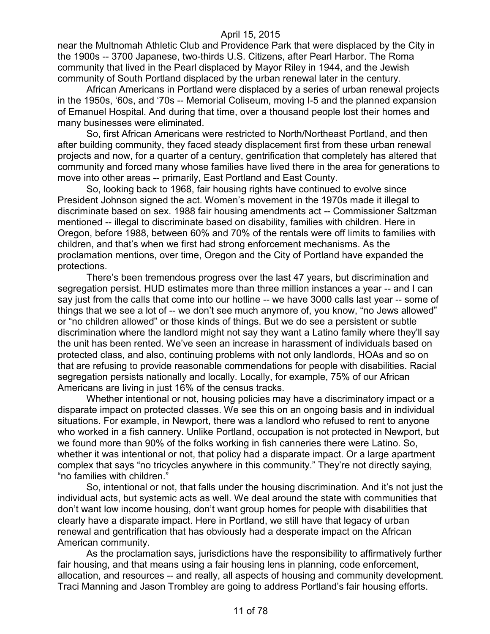near the Multnomah Athletic Club and Providence Park that were displaced by the City in the 1900s -- 3700 Japanese, two-thirds U.S. Citizens, after Pearl Harbor. The Roma community that lived in the Pearl displaced by Mayor Riley in 1944, and the Jewish community of South Portland displaced by the urban renewal later in the century.

African Americans in Portland were displaced by a series of urban renewal projects in the 1950s, '60s, and '70s -- Memorial Coliseum, moving I-5 and the planned expansion of Emanuel Hospital. And during that time, over a thousand people lost their homes and many businesses were eliminated.

So, first African Americans were restricted to North/Northeast Portland, and then after building community, they faced steady displacement first from these urban renewal projects and now, for a quarter of a century, gentrification that completely has altered that community and forced many whose families have lived there in the area for generations to move into other areas -- primarily, East Portland and East County.

So, looking back to 1968, fair housing rights have continued to evolve since President Johnson signed the act. Women's movement in the 1970s made it illegal to discriminate based on sex. 1988 fair housing amendments act -- Commissioner Saltzman mentioned -- illegal to discriminate based on disability, families with children. Here in Oregon, before 1988, between 60% and 70% of the rentals were off limits to families with children, and that's when we first had strong enforcement mechanisms. As the proclamation mentions, over time, Oregon and the City of Portland have expanded the protections.

There's been tremendous progress over the last 47 years, but discrimination and segregation persist. HUD estimates more than three million instances a year -- and I can say just from the calls that come into our hotline -- we have 3000 calls last year -- some of things that we see a lot of -- we don't see much anymore of, you know, "no Jews allowed" or "no children allowed" or those kinds of things. But we do see a persistent or subtle discrimination where the landlord might not say they want a Latino family where they'll say the unit has been rented. We've seen an increase in harassment of individuals based on protected class, and also, continuing problems with not only landlords, HOAs and so on that are refusing to provide reasonable commendations for people with disabilities. Racial segregation persists nationally and locally. Locally, for example, 75% of our African Americans are living in just 16% of the census tracks.

Whether intentional or not, housing policies may have a discriminatory impact or a disparate impact on protected classes. We see this on an ongoing basis and in individual situations. For example, in Newport, there was a landlord who refused to rent to anyone who worked in a fish cannery. Unlike Portland, occupation is not protected in Newport, but we found more than 90% of the folks working in fish canneries there were Latino. So, whether it was intentional or not, that policy had a disparate impact. Or a large apartment complex that says "no tricycles anywhere in this community." They're not directly saying, "no families with children."

So, intentional or not, that falls under the housing discrimination. And it's not just the individual acts, but systemic acts as well. We deal around the state with communities that don't want low income housing, don't want group homes for people with disabilities that clearly have a disparate impact. Here in Portland, we still have that legacy of urban renewal and gentrification that has obviously had a desperate impact on the African American community.

As the proclamation says, jurisdictions have the responsibility to affirmatively further fair housing, and that means using a fair housing lens in planning, code enforcement, allocation, and resources -- and really, all aspects of housing and community development. Traci Manning and Jason Trombley are going to address Portland's fair housing efforts.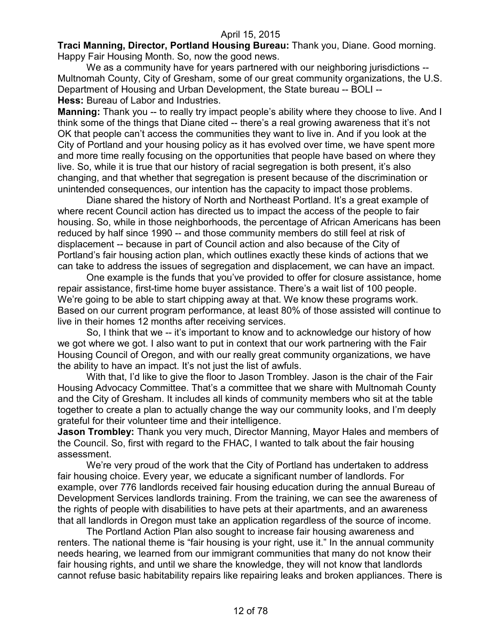**Traci Manning, Director, Portland Housing Bureau:** Thank you, Diane. Good morning. Happy Fair Housing Month. So, now the good news.

We as a community have for years partnered with our neighboring jurisdictions --Multnomah County, City of Gresham, some of our great community organizations, the U.S. Department of Housing and Urban Development, the State bureau -- BOLI -- **Hess:** Bureau of Labor and Industries.

**Manning:** Thank you -- to really try impact people's ability where they choose to live. And I think some of the things that Diane cited -- there's a real growing awareness that it's not OK that people can't access the communities they want to live in. And if you look at the City of Portland and your housing policy as it has evolved over time, we have spent more and more time really focusing on the opportunities that people have based on where they live. So, while it is true that our history of racial segregation is both present, it's also changing, and that whether that segregation is present because of the discrimination or unintended consequences, our intention has the capacity to impact those problems.

Diane shared the history of North and Northeast Portland. It's a great example of where recent Council action has directed us to impact the access of the people to fair housing. So, while in those neighborhoods, the percentage of African Americans has been reduced by half since 1990 -- and those community members do still feel at risk of displacement -- because in part of Council action and also because of the City of Portland's fair housing action plan, which outlines exactly these kinds of actions that we can take to address the issues of segregation and displacement, we can have an impact.

One example is the funds that you've provided to offer for closure assistance, home repair assistance, first-time home buyer assistance. There's a wait list of 100 people. We're going to be able to start chipping away at that. We know these programs work. Based on our current program performance, at least 80% of those assisted will continue to live in their homes 12 months after receiving services.

So, I think that we -- it's important to know and to acknowledge our history of how we got where we got. I also want to put in context that our work partnering with the Fair Housing Council of Oregon, and with our really great community organizations, we have the ability to have an impact. It's not just the list of awfuls.

With that, I'd like to give the floor to Jason Trombley. Jason is the chair of the Fair Housing Advocacy Committee. That's a committee that we share with Multnomah County and the City of Gresham. It includes all kinds of community members who sit at the table together to create a plan to actually change the way our community looks, and I'm deeply grateful for their volunteer time and their intelligence.

**Jason Trombley:** Thank you very much, Director Manning, Mayor Hales and members of the Council. So, first with regard to the FHAC, I wanted to talk about the fair housing assessment.

We're very proud of the work that the City of Portland has undertaken to address fair housing choice. Every year, we educate a significant number of landlords. For example, over 776 landlords received fair housing education during the annual Bureau of Development Services landlords training. From the training, we can see the awareness of the rights of people with disabilities to have pets at their apartments, and an awareness that all landlords in Oregon must take an application regardless of the source of income.

The Portland Action Plan also sought to increase fair housing awareness and renters. The national theme is "fair housing is your right, use it." In the annual community needs hearing, we learned from our immigrant communities that many do not know their fair housing rights, and until we share the knowledge, they will not know that landlords cannot refuse basic habitability repairs like repairing leaks and broken appliances. There is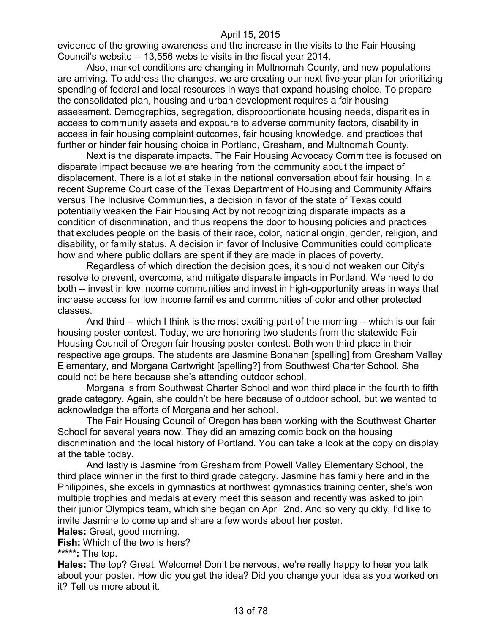evidence of the growing awareness and the increase in the visits to the Fair Housing Council's website -- 13,556 website visits in the fiscal year 2014.

Also, market conditions are changing in Multnomah County, and new populations are arriving. To address the changes, we are creating our next five-year plan for prioritizing spending of federal and local resources in ways that expand housing choice. To prepare the consolidated plan, housing and urban development requires a fair housing assessment. Demographics, segregation, disproportionate housing needs, disparities in access to community assets and exposure to adverse community factors, disability in access in fair housing complaint outcomes, fair housing knowledge, and practices that further or hinder fair housing choice in Portland, Gresham, and Multnomah County.

Next is the disparate impacts. The Fair Housing Advocacy Committee is focused on disparate impact because we are hearing from the community about the impact of displacement. There is a lot at stake in the national conversation about fair housing. In a recent Supreme Court case of the Texas Department of Housing and Community Affairs versus The Inclusive Communities, a decision in favor of the state of Texas could potentially weaken the Fair Housing Act by not recognizing disparate impacts as a condition of discrimination, and thus reopens the door to housing policies and practices that excludes people on the basis of their race, color, national origin, gender, religion, and disability, or family status. A decision in favor of Inclusive Communities could complicate how and where public dollars are spent if they are made in places of poverty.

Regardless of which direction the decision goes, it should not weaken our City's resolve to prevent, overcome, and mitigate disparate impacts in Portland. We need to do both -- invest in low income communities and invest in high-opportunity areas in ways that increase access for low income families and communities of color and other protected classes.

And third -- which I think is the most exciting part of the morning -- which is our fair housing poster contest. Today, we are honoring two students from the statewide Fair Housing Council of Oregon fair housing poster contest. Both won third place in their respective age groups. The students are Jasmine Bonahan [spelling] from Gresham Valley Elementary, and Morgana Cartwright [spelling?] from Southwest Charter School. She could not be here because she's attending outdoor school.

Morgana is from Southwest Charter School and won third place in the fourth to fifth grade category. Again, she couldn't be here because of outdoor school, but we wanted to acknowledge the efforts of Morgana and her school.

The Fair Housing Council of Oregon has been working with the Southwest Charter School for several years now. They did an amazing comic book on the housing discrimination and the local history of Portland. You can take a look at the copy on display at the table today.

And lastly is Jasmine from Gresham from Powell Valley Elementary School, the third place winner in the first to third grade category. Jasmine has family here and in the Philippines, she excels in gymnastics at northwest gymnastics training center, she's won multiple trophies and medals at every meet this season and recently was asked to join their junior Olympics team, which she began on April 2nd. And so very quickly, I'd like to invite Jasmine to come up and share a few words about her poster.

**Hales:** Great, good morning.

**Fish:** Which of the two is hers?

**\*\*\*\*\*:** The top.

**Hales:** The top? Great. Welcome! Don't be nervous, we're really happy to hear you talk about your poster. How did you get the idea? Did you change your idea as you worked on it? Tell us more about it.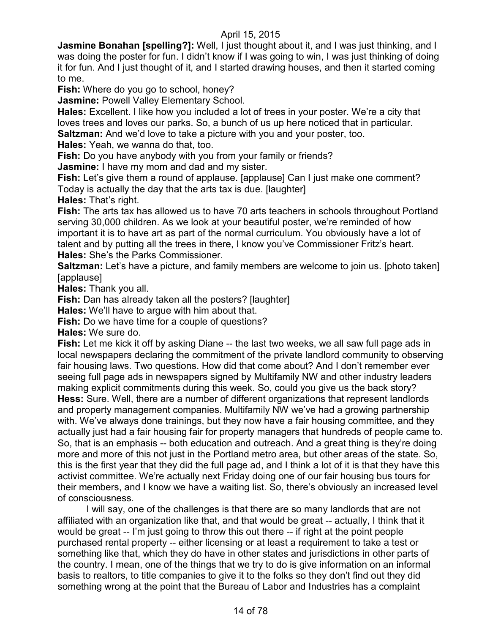**Jasmine Bonahan [spelling?]:** Well, I just thought about it, and I was just thinking, and I was doing the poster for fun. I didn't know if I was going to win, I was just thinking of doing it for fun. And I just thought of it, and I started drawing houses, and then it started coming to me.

**Fish:** Where do you go to school, honey?

**Jasmine:** Powell Valley Elementary School.

**Hales:** Excellent. I like how you included a lot of trees in your poster. We're a city that loves trees and loves our parks. So, a bunch of us up here noticed that in particular. **Saltzman:** And we'd love to take a picture with you and your poster, too.

**Hales:** Yeah, we wanna do that, too.

**Fish:** Do you have anybody with you from your family or friends?

**Jasmine:** I have my mom and dad and my sister.

**Fish:** Let's give them a round of applause. [applause] Can I just make one comment? Today is actually the day that the arts tax is due. [laughter]

**Hales:** That's right.

**Fish:** The arts tax has allowed us to have 70 arts teachers in schools throughout Portland serving 30,000 children. As we look at your beautiful poster, we're reminded of how important it is to have art as part of the normal curriculum. You obviously have a lot of talent and by putting all the trees in there, I know you've Commissioner Fritz's heart. **Hales:** She's the Parks Commissioner.

**Saltzman:** Let's have a picture, and family members are welcome to join us. [photo taken] [applause]

**Hales:** Thank you all.

**Fish:** Dan has already taken all the posters? [laughter]

**Hales:** We'll have to argue with him about that.

**Fish:** Do we have time for a couple of questions?

**Hales:** We sure do.

**Fish:** Let me kick it off by asking Diane -- the last two weeks, we all saw full page ads in local newspapers declaring the commitment of the private landlord community to observing fair housing laws. Two questions. How did that come about? And I don't remember ever seeing full page ads in newspapers signed by Multifamily NW and other industry leaders making explicit commitments during this week. So, could you give us the back story? **Hess:** Sure. Well, there are a number of different organizations that represent landlords and property management companies. Multifamily NW we've had a growing partnership with. We've always done trainings, but they now have a fair housing committee, and they actually just had a fair housing fair for property managers that hundreds of people came to. So, that is an emphasis -- both education and outreach. And a great thing is they're doing more and more of this not just in the Portland metro area, but other areas of the state. So, this is the first year that they did the full page ad, and I think a lot of it is that they have this activist committee. We're actually next Friday doing one of our fair housing bus tours for their members, and I know we have a waiting list. So, there's obviously an increased level of consciousness.

I will say, one of the challenges is that there are so many landlords that are not affiliated with an organization like that, and that would be great -- actually, I think that it would be great -- I'm just going to throw this out there -- if right at the point people purchased rental property -- either licensing or at least a requirement to take a test or something like that, which they do have in other states and jurisdictions in other parts of the country. I mean, one of the things that we try to do is give information on an informal basis to realtors, to title companies to give it to the folks so they don't find out they did something wrong at the point that the Bureau of Labor and Industries has a complaint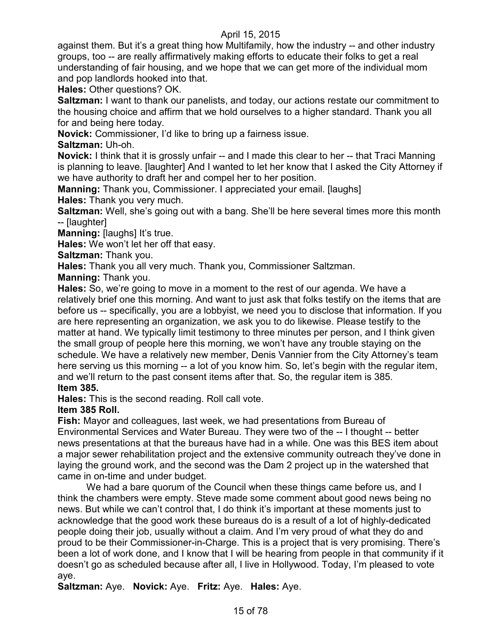against them. But it's a great thing how Multifamily, how the industry -- and other industry groups, too -- are really affirmatively making efforts to educate their folks to get a real understanding of fair housing, and we hope that we can get more of the individual mom and pop landlords hooked into that.

**Hales:** Other questions? OK.

**Saltzman:** I want to thank our panelists, and today, our actions restate our commitment to the housing choice and affirm that we hold ourselves to a higher standard. Thank you all for and being here today.

**Novick:** Commissioner, I'd like to bring up a fairness issue.

**Saltzman:** Uh-oh.

**Novick:** I think that it is grossly unfair -- and I made this clear to her -- that Traci Manning is planning to leave. [laughter] And I wanted to let her know that I asked the City Attorney if we have authority to draft her and compel her to her position.

**Manning:** Thank you, Commissioner. I appreciated your email. [laughs] **Hales:** Thank you very much.

**Saltzman:** Well, she's going out with a bang. She'll be here several times more this month -- [laughter]

**Manning: [laughs] It's true.** 

**Hales:** We won't let her off that easy.

**Saltzman:** Thank you.

**Hales:** Thank you all very much. Thank you, Commissioner Saltzman.

**Manning:** Thank you.

**Hales:** So, we're going to move in a moment to the rest of our agenda. We have a relatively brief one this morning. And want to just ask that folks testify on the items that are before us -- specifically, you are a lobbyist, we need you to disclose that information. If you are here representing an organization, we ask you to do likewise. Please testify to the matter at hand. We typically limit testimony to three minutes per person, and I think given the small group of people here this morning, we won't have any trouble staying on the schedule. We have a relatively new member, Denis Vannier from the City Attorney's team here serving us this morning -- a lot of you know him. So, let's begin with the regular item, and we'll return to the past consent items after that. So, the regular item is 385. **Item 385.**

**Hales:** This is the second reading. Roll call vote.

**Item 385 Roll.**

**Fish:** Mayor and colleagues, last week, we had presentations from Bureau of Environmental Services and Water Bureau. They were two of the -- I thought -- better news presentations at that the bureaus have had in a while. One was this BES item about a major sewer rehabilitation project and the extensive community outreach they've done in laying the ground work, and the second was the Dam 2 project up in the watershed that came in on-time and under budget.

We had a bare quorum of the Council when these things came before us, and I think the chambers were empty. Steve made some comment about good news being no news. But while we can't control that, I do think it's important at these moments just to acknowledge that the good work these bureaus do is a result of a lot of highly-dedicated people doing their job, usually without a claim. And I'm very proud of what they do and proud to be their Commissioner-in-Charge. This is a project that is very promising. There's been a lot of work done, and I know that I will be hearing from people in that community if it doesn't go as scheduled because after all, I live in Hollywood. Today, I'm pleased to vote aye.

**Saltzman:** Aye. **Novick:** Aye. **Fritz:** Aye. **Hales:** Aye.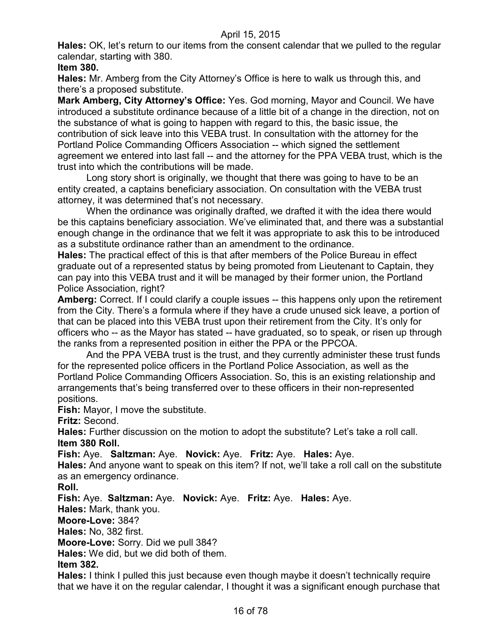**Hales:** OK, let's return to our items from the consent calendar that we pulled to the regular calendar, starting with 380.

**Item 380.**

**Hales:** Mr. Amberg from the City Attorney's Office is here to walk us through this, and there's a proposed substitute.

**Mark Amberg, City Attorney's Office:** Yes. God morning, Mayor and Council. We have introduced a substitute ordinance because of a little bit of a change in the direction, not on the substance of what is going to happen with regard to this, the basic issue, the contribution of sick leave into this VEBA trust. In consultation with the attorney for the Portland Police Commanding Officers Association -- which signed the settlement agreement we entered into last fall -- and the attorney for the PPA VEBA trust, which is the trust into which the contributions will be made.

Long story short is originally, we thought that there was going to have to be an entity created, a captains beneficiary association. On consultation with the VEBA trust attorney, it was determined that's not necessary.

When the ordinance was originally drafted, we drafted it with the idea there would be this captains beneficiary association. We've eliminated that, and there was a substantial enough change in the ordinance that we felt it was appropriate to ask this to be introduced as a substitute ordinance rather than an amendment to the ordinance.

**Hales:** The practical effect of this is that after members of the Police Bureau in effect graduate out of a represented status by being promoted from Lieutenant to Captain, they can pay into this VEBA trust and it will be managed by their former union, the Portland Police Association, right?

**Amberg:** Correct. If I could clarify a couple issues -- this happens only upon the retirement from the City. There's a formula where if they have a crude unused sick leave, a portion of that can be placed into this VEBA trust upon their retirement from the City. It's only for officers who -- as the Mayor has stated -- have graduated, so to speak, or risen up through the ranks from a represented position in either the PPA or the PPCOA.

And the PPA VEBA trust is the trust, and they currently administer these trust funds for the represented police officers in the Portland Police Association, as well as the Portland Police Commanding Officers Association. So, this is an existing relationship and arrangements that's being transferred over to these officers in their non-represented positions.

**Fish:** Mayor, I move the substitute.

**Fritz:** Second.

**Hales:** Further discussion on the motion to adopt the substitute? Let's take a roll call. **Item 380 Roll.**

**Fish:** Aye. **Saltzman:** Aye. **Novick:** Aye. **Fritz:** Aye. **Hales:** Aye.

**Hales:** And anyone want to speak on this item? If not, we'll take a roll call on the substitute as an emergency ordinance.

**Roll.**

**Fish:** Aye. **Saltzman:** Aye. **Novick:** Aye. **Fritz:** Aye. **Hales:** Aye.

**Hales:** Mark, thank you.

**Moore-Love:** 384?

**Hales:** No, 382 first.

**Moore-Love:** Sorry. Did we pull 384?

**Hales:** We did, but we did both of them.

**Item 382.**

**Hales:** I think I pulled this just because even though maybe it doesn't technically require that we have it on the regular calendar, I thought it was a significant enough purchase that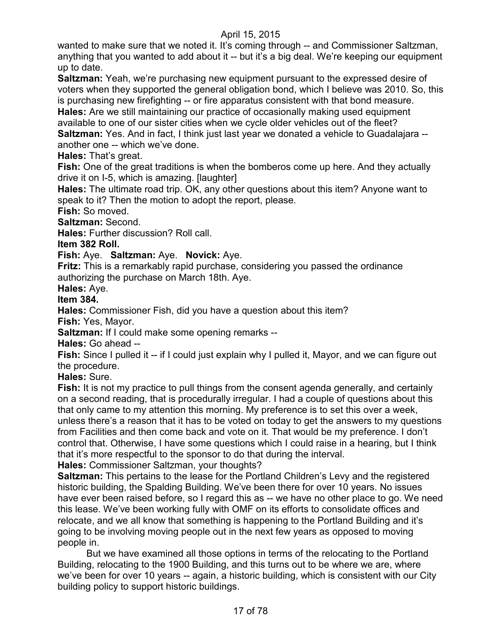wanted to make sure that we noted it. It's coming through -- and Commissioner Saltzman, anything that you wanted to add about it -- but it's a big deal. We're keeping our equipment up to date.

**Saltzman:** Yeah, we're purchasing new equipment pursuant to the expressed desire of voters when they supported the general obligation bond, which I believe was 2010. So, this is purchasing new firefighting -- or fire apparatus consistent with that bond measure.

**Hales:** Are we still maintaining our practice of occasionally making used equipment available to one of our sister cities when we cycle older vehicles out of the fleet?

**Saltzman:** Yes. And in fact, I think just last year we donated a vehicle to Guadalajara - another one -- which we've done.

**Hales:** That's great.

**Fish:** One of the great traditions is when the bomberos come up here. And they actually drive it on I-5, which is amazing. [laughter]

**Hales:** The ultimate road trip. OK, any other questions about this item? Anyone want to speak to it? Then the motion to adopt the report, please.

**Fish:** So moved.

**Saltzman:** Second.

**Hales:** Further discussion? Roll call.

**Item 382 Roll.**

**Fish:** Aye. **Saltzman:** Aye. **Novick:** Aye.

**Fritz:** This is a remarkably rapid purchase, considering you passed the ordinance authorizing the purchase on March 18th. Aye.

**Hales:** Aye.

**Item 384.**

**Hales:** Commissioner Fish, did you have a question about this item?

**Fish:** Yes, Mayor.

**Saltzman:** If I could make some opening remarks --

**Hales:** Go ahead --

**Fish:** Since I pulled it -- if I could just explain why I pulled it, Mayor, and we can figure out the procedure.

**Hales:** Sure.

**Fish:** It is not my practice to pull things from the consent agenda generally, and certainly on a second reading, that is procedurally irregular. I had a couple of questions about this that only came to my attention this morning. My preference is to set this over a week, unless there's a reason that it has to be voted on today to get the answers to my questions from Facilities and then come back and vote on it. That would be my preference. I don't control that. Otherwise, I have some questions which I could raise in a hearing, but I think that it's more respectful to the sponsor to do that during the interval.

**Hales:** Commissioner Saltzman, your thoughts?

**Saltzman:** This pertains to the lease for the Portland Children's Levy and the registered historic building, the Spalding Building. We've been there for over 10 years. No issues have ever been raised before, so I regard this as -- we have no other place to go. We need this lease. We've been working fully with OMF on its efforts to consolidate offices and relocate, and we all know that something is happening to the Portland Building and it's going to be involving moving people out in the next few years as opposed to moving people in.

But we have examined all those options in terms of the relocating to the Portland Building, relocating to the 1900 Building, and this turns out to be where we are, where we've been for over 10 years -- again, a historic building, which is consistent with our City building policy to support historic buildings.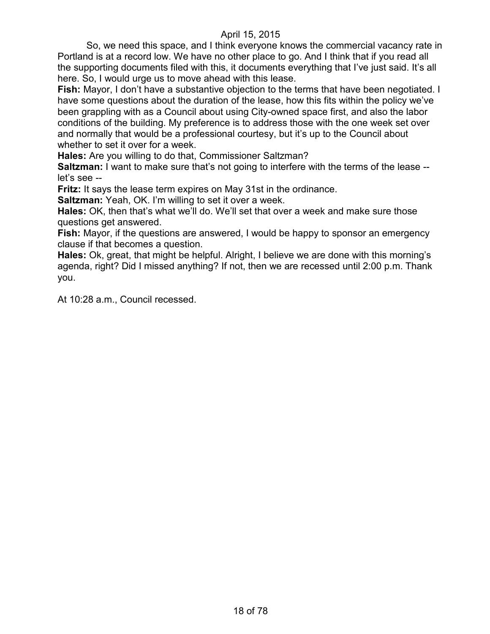So, we need this space, and I think everyone knows the commercial vacancy rate in Portland is at a record low. We have no other place to go. And I think that if you read all the supporting documents filed with this, it documents everything that I've just said. It's all here. So, I would urge us to move ahead with this lease.

**Fish:** Mayor, I don't have a substantive objection to the terms that have been negotiated. I have some questions about the duration of the lease, how this fits within the policy we've been grappling with as a Council about using City-owned space first, and also the labor conditions of the building. My preference is to address those with the one week set over and normally that would be a professional courtesy, but it's up to the Council about whether to set it over for a week.

**Hales:** Are you willing to do that, Commissioner Saltzman?

**Saltzman:** I want to make sure that's not going to interfere with the terms of the lease -let's see --

**Fritz:** It says the lease term expires on May 31st in the ordinance.

**Saltzman:** Yeah, OK. I'm willing to set it over a week.

**Hales:** OK, then that's what we'll do. We'll set that over a week and make sure those questions get answered.

**Fish:** Mayor, if the questions are answered, I would be happy to sponsor an emergency clause if that becomes a question.

**Hales:** Ok, great, that might be helpful. Alright, I believe we are done with this morning's agenda, right? Did I missed anything? If not, then we are recessed until 2:00 p.m. Thank you.

At 10:28 a.m., Council recessed.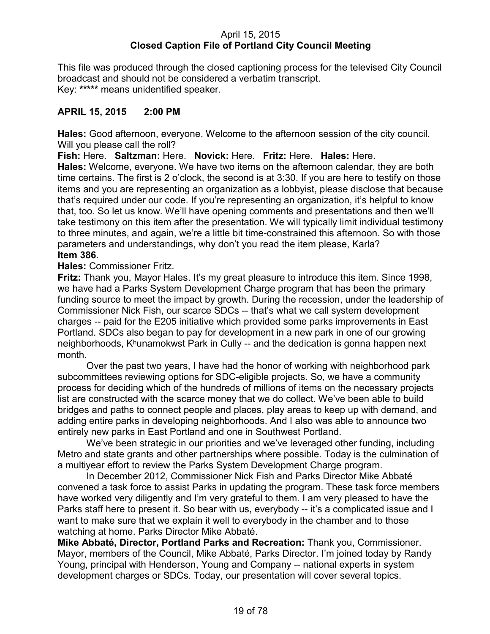### April 15, 2015 **Closed Caption File of Portland City Council Meeting**

This file was produced through the closed captioning process for the televised City Council broadcast and should not be considered a verbatim transcript. Key: **\*\*\*\*\*** means unidentified speaker.

### **APRIL 15, 2015 2:00 PM**

**Hales:** Good afternoon, everyone. Welcome to the afternoon session of the city council. Will you please call the roll?

**Fish:** Here. **Saltzman:** Here. **Novick:** Here. **Fritz:** Here. **Hales:** Here.

**Hales:** Welcome, everyone. We have two items on the afternoon calendar, they are both time certains. The first is 2 o'clock, the second is at 3:30. If you are here to testify on those items and you are representing an organization as a lobbyist, please disclose that because that's required under our code. If you're representing an organization, it's helpful to know that, too. So let us know. We'll have opening comments and presentations and then we'll take testimony on this item after the presentation. We will typically limit individual testimony to three minutes, and again, we're a little bit time-constrained this afternoon. So with those parameters and understandings, why don't you read the item please, Karla? **Item 386**.

# **Hales:** Commissioner Fritz.

**Fritz:** Thank you, Mayor Hales. It's my great pleasure to introduce this item. Since 1998, we have had a Parks System Development Charge program that has been the primary funding source to meet the impact by growth. During the recession, under the leadership of Commissioner Nick Fish, our scarce SDCs -- that's what we call system development charges -- paid for the E205 initiative which provided some parks improvements in East Portland. SDCs also began to pay for development in a new park in one of our growing neighborhoods, Khunamokwst Park in Cully -- and the dedication is gonna happen next month.

Over the past two years, I have had the honor of working with neighborhood park subcommittees reviewing options for SDC-eligible projects. So, we have a community process for deciding which of the hundreds of millions of items on the necessary projects list are constructed with the scarce money that we do collect. We've been able to build bridges and paths to connect people and places, play areas to keep up with demand, and adding entire parks in developing neighborhoods. And I also was able to announce two entirely new parks in East Portland and one in Southwest Portland.

We've been strategic in our priorities and we've leveraged other funding, including Metro and state grants and other partnerships where possible. Today is the culmination of a multiyear effort to review the Parks System Development Charge program.

In December 2012, Commissioner Nick Fish and Parks Director Mike Abbaté convened a task force to assist Parks in updating the program. These task force members have worked very diligently and I'm very grateful to them. I am very pleased to have the Parks staff here to present it. So bear with us, everybody -- it's a complicated issue and I want to make sure that we explain it well to everybody in the chamber and to those watching at home. Parks Director Mike Abbaté.

**Mike Abbaté, Director, Portland Parks and Recreation:** Thank you, Commissioner. Mayor, members of the Council, Mike Abbaté, Parks Director. I'm joined today by Randy Young, principal with Henderson, Young and Company -- national experts in system development charges or SDCs. Today, our presentation will cover several topics.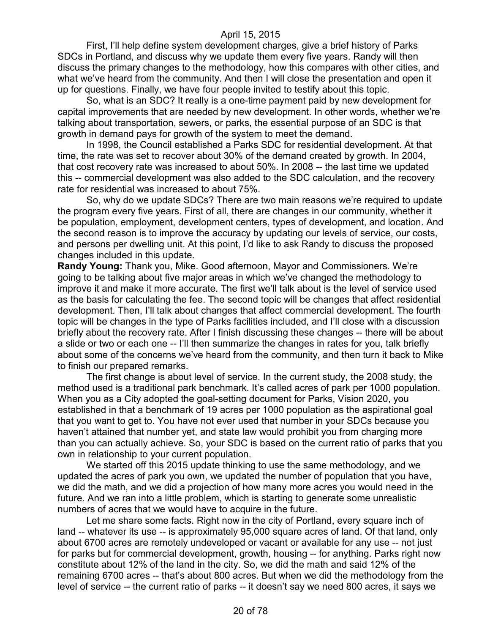First, I'll help define system development charges, give a brief history of Parks SDCs in Portland, and discuss why we update them every five years. Randy will then discuss the primary changes to the methodology, how this compares with other cities, and what we've heard from the community. And then I will close the presentation and open it up for questions. Finally, we have four people invited to testify about this topic.

So, what is an SDC? It really is a one-time payment paid by new development for capital improvements that are needed by new development. In other words, whether we're talking about transportation, sewers, or parks, the essential purpose of an SDC is that growth in demand pays for growth of the system to meet the demand.

In 1998, the Council established a Parks SDC for residential development. At that time, the rate was set to recover about 30% of the demand created by growth. In 2004, that cost recovery rate was increased to about 50%. In 2008 -- the last time we updated this -- commercial development was also added to the SDC calculation, and the recovery rate for residential was increased to about 75%.

So, why do we update SDCs? There are two main reasons we're required to update the program every five years. First of all, there are changes in our community, whether it be population, employment, development centers, types of development, and location. And the second reason is to improve the accuracy by updating our levels of service, our costs, and persons per dwelling unit. At this point, I'd like to ask Randy to discuss the proposed changes included in this update.

**Randy Young:** Thank you, Mike. Good afternoon, Mayor and Commissioners. We're going to be talking about five major areas in which we've changed the methodology to improve it and make it more accurate. The first we'll talk about is the level of service used as the basis for calculating the fee. The second topic will be changes that affect residential development. Then, I'll talk about changes that affect commercial development. The fourth topic will be changes in the type of Parks facilities included, and I'll close with a discussion briefly about the recovery rate. After I finish discussing these changes -- there will be about a slide or two or each one -- I'll then summarize the changes in rates for you, talk briefly about some of the concerns we've heard from the community, and then turn it back to Mike to finish our prepared remarks.

The first change is about level of service. In the current study, the 2008 study, the method used is a traditional park benchmark. It's called acres of park per 1000 population. When you as a City adopted the goal-setting document for Parks, Vision 2020, you established in that a benchmark of 19 acres per 1000 population as the aspirational goal that you want to get to. You have not ever used that number in your SDCs because you haven't attained that number yet, and state law would prohibit you from charging more than you can actually achieve. So, your SDC is based on the current ratio of parks that you own in relationship to your current population.

We started off this 2015 update thinking to use the same methodology, and we updated the acres of park you own, we updated the number of population that you have, we did the math, and we did a projection of how many more acres you would need in the future. And we ran into a little problem, which is starting to generate some unrealistic numbers of acres that we would have to acquire in the future.

Let me share some facts. Right now in the city of Portland, every square inch of land -- whatever its use -- is approximately 95,000 square acres of land. Of that land, only about 6700 acres are remotely undeveloped or vacant or available for any use -- not just for parks but for commercial development, growth, housing -- for anything. Parks right now constitute about 12% of the land in the city. So, we did the math and said 12% of the remaining 6700 acres -- that's about 800 acres. But when we did the methodology from the level of service -- the current ratio of parks -- it doesn't say we need 800 acres, it says we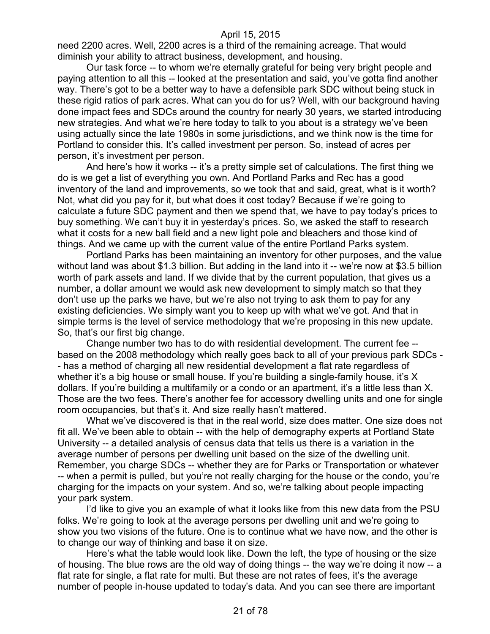need 2200 acres. Well, 2200 acres is a third of the remaining acreage. That would diminish your ability to attract business, development, and housing.

Our task force -- to whom we're eternally grateful for being very bright people and paying attention to all this -- looked at the presentation and said, you've gotta find another way. There's got to be a better way to have a defensible park SDC without being stuck in these rigid ratios of park acres. What can you do for us? Well, with our background having done impact fees and SDCs around the country for nearly 30 years, we started introducing new strategies. And what we're here today to talk to you about is a strategy we've been using actually since the late 1980s in some jurisdictions, and we think now is the time for Portland to consider this. It's called investment per person. So, instead of acres per person, it's investment per person.

And here's how it works -- it's a pretty simple set of calculations. The first thing we do is we get a list of everything you own. And Portland Parks and Rec has a good inventory of the land and improvements, so we took that and said, great, what is it worth? Not, what did you pay for it, but what does it cost today? Because if we're going to calculate a future SDC payment and then we spend that, we have to pay today's prices to buy something. We can't buy it in yesterday's prices. So, we asked the staff to research what it costs for a new ball field and a new light pole and bleachers and those kind of things. And we came up with the current value of the entire Portland Parks system.

Portland Parks has been maintaining an inventory for other purposes, and the value without land was about \$1.3 billion. But adding in the land into it -- we're now at \$3.5 billion worth of park assets and land. If we divide that by the current population, that gives us a number, a dollar amount we would ask new development to simply match so that they don't use up the parks we have, but we're also not trying to ask them to pay for any existing deficiencies. We simply want you to keep up with what we've got. And that in simple terms is the level of service methodology that we're proposing in this new update. So, that's our first big change.

Change number two has to do with residential development. The current fee - based on the 2008 methodology which really goes back to all of your previous park SDCs - - has a method of charging all new residential development a flat rate regardless of whether it's a big house or small house. If you're building a single-family house, it's X dollars. If you're building a multifamily or a condo or an apartment, it's a little less than X. Those are the two fees. There's another fee for accessory dwelling units and one for single room occupancies, but that's it. And size really hasn't mattered.

What we've discovered is that in the real world, size does matter. One size does not fit all. We've been able to obtain -- with the help of demography experts at Portland State University -- a detailed analysis of census data that tells us there is a variation in the average number of persons per dwelling unit based on the size of the dwelling unit. Remember, you charge SDCs -- whether they are for Parks or Transportation or whatever -- when a permit is pulled, but you're not really charging for the house or the condo, you're charging for the impacts on your system. And so, we're talking about people impacting your park system.

I'd like to give you an example of what it looks like from this new data from the PSU folks. We're going to look at the average persons per dwelling unit and we're going to show you two visions of the future. One is to continue what we have now, and the other is to change our way of thinking and base it on size.

Here's what the table would look like. Down the left, the type of housing or the size of housing. The blue rows are the old way of doing things -- the way we're doing it now -- a flat rate for single, a flat rate for multi. But these are not rates of fees, it's the average number of people in-house updated to today's data. And you can see there are important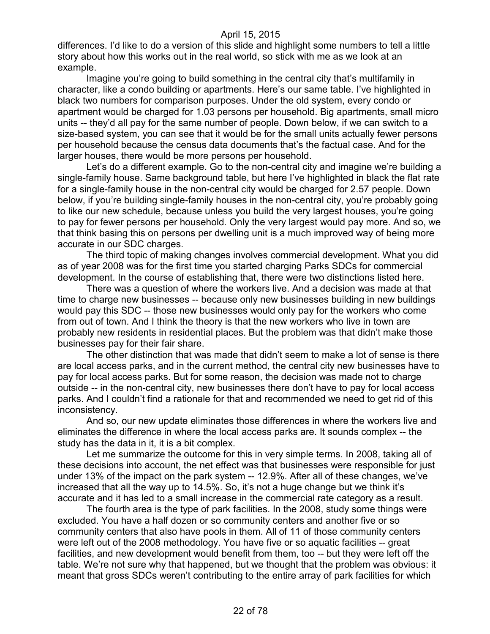differences. I'd like to do a version of this slide and highlight some numbers to tell a little story about how this works out in the real world, so stick with me as we look at an example.

Imagine you're going to build something in the central city that's multifamily in character, like a condo building or apartments. Here's our same table. I've highlighted in black two numbers for comparison purposes. Under the old system, every condo or apartment would be charged for 1.03 persons per household. Big apartments, small micro units -- they'd all pay for the same number of people. Down below, if we can switch to a size-based system, you can see that it would be for the small units actually fewer persons per household because the census data documents that's the factual case. And for the larger houses, there would be more persons per household.

Let's do a different example. Go to the non-central city and imagine we're building a single-family house. Same background table, but here I've highlighted in black the flat rate for a single-family house in the non-central city would be charged for 2.57 people. Down below, if you're building single-family houses in the non-central city, you're probably going to like our new schedule, because unless you build the very largest houses, you're going to pay for fewer persons per household. Only the very largest would pay more. And so, we that think basing this on persons per dwelling unit is a much improved way of being more accurate in our SDC charges.

The third topic of making changes involves commercial development. What you did as of year 2008 was for the first time you started charging Parks SDCs for commercial development. In the course of establishing that, there were two distinctions listed here.

There was a question of where the workers live. And a decision was made at that time to charge new businesses -- because only new businesses building in new buildings would pay this SDC -- those new businesses would only pay for the workers who come from out of town. And I think the theory is that the new workers who live in town are probably new residents in residential places. But the problem was that didn't make those businesses pay for their fair share.

The other distinction that was made that didn't seem to make a lot of sense is there are local access parks, and in the current method, the central city new businesses have to pay for local access parks. But for some reason, the decision was made not to charge outside -- in the non-central city, new businesses there don't have to pay for local access parks. And I couldn't find a rationale for that and recommended we need to get rid of this inconsistency.

And so, our new update eliminates those differences in where the workers live and eliminates the difference in where the local access parks are. It sounds complex -- the study has the data in it, it is a bit complex.

Let me summarize the outcome for this in very simple terms. In 2008, taking all of these decisions into account, the net effect was that businesses were responsible for just under 13% of the impact on the park system -- 12.9%. After all of these changes, we've increased that all the way up to 14.5%. So, it's not a huge change but we think it's accurate and it has led to a small increase in the commercial rate category as a result.

The fourth area is the type of park facilities. In the 2008, study some things were excluded. You have a half dozen or so community centers and another five or so community centers that also have pools in them. All of 11 of those community centers were left out of the 2008 methodology. You have five or so aquatic facilities -- great facilities, and new development would benefit from them, too -- but they were left off the table. We're not sure why that happened, but we thought that the problem was obvious: it meant that gross SDCs weren't contributing to the entire array of park facilities for which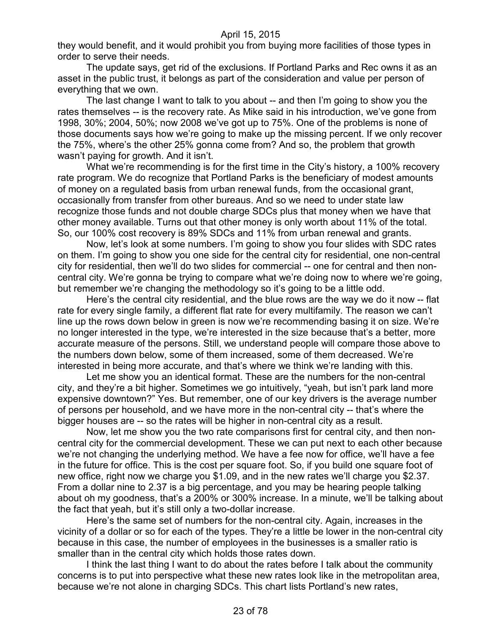they would benefit, and it would prohibit you from buying more facilities of those types in order to serve their needs.

The update says, get rid of the exclusions. If Portland Parks and Rec owns it as an asset in the public trust, it belongs as part of the consideration and value per person of everything that we own.

The last change I want to talk to you about -- and then I'm going to show you the rates themselves -- is the recovery rate. As Mike said in his introduction, we've gone from 1998, 30%; 2004, 50%; now 2008 we've got up to 75%. One of the problems is none of those documents says how we're going to make up the missing percent. If we only recover the 75%, where's the other 25% gonna come from? And so, the problem that growth wasn't paying for growth. And it isn't.

What we're recommending is for the first time in the City's history, a 100% recovery rate program. We do recognize that Portland Parks is the beneficiary of modest amounts of money on a regulated basis from urban renewal funds, from the occasional grant, occasionally from transfer from other bureaus. And so we need to under state law recognize those funds and not double charge SDCs plus that money when we have that other money available. Turns out that other money is only worth about 11% of the total. So, our 100% cost recovery is 89% SDCs and 11% from urban renewal and grants.

Now, let's look at some numbers. I'm going to show you four slides with SDC rates on them. I'm going to show you one side for the central city for residential, one non-central city for residential, then we'll do two slides for commercial -- one for central and then noncentral city. We're gonna be trying to compare what we're doing now to where we're going, but remember we're changing the methodology so it's going to be a little odd.

Here's the central city residential, and the blue rows are the way we do it now -- flat rate for every single family, a different flat rate for every multifamily. The reason we can't line up the rows down below in green is now we're recommending basing it on size. We're no longer interested in the type, we're interested in the size because that's a better, more accurate measure of the persons. Still, we understand people will compare those above to the numbers down below, some of them increased, some of them decreased. We're interested in being more accurate, and that's where we think we're landing with this.

Let me show you an identical format. These are the numbers for the non-central city, and they're a bit higher. Sometimes we go intuitively, "yeah, but isn't park land more expensive downtown?" Yes. But remember, one of our key drivers is the average number of persons per household, and we have more in the non-central city -- that's where the bigger houses are -- so the rates will be higher in non-central city as a result.

Now, let me show you the two rate comparisons first for central city, and then noncentral city for the commercial development. These we can put next to each other because we're not changing the underlying method. We have a fee now for office, we'll have a fee in the future for office. This is the cost per square foot. So, if you build one square foot of new office, right now we charge you \$1.09, and in the new rates we'll charge you \$2.37. From a dollar nine to 2.37 is a big percentage, and you may be hearing people talking about oh my goodness, that's a 200% or 300% increase. In a minute, we'll be talking about the fact that yeah, but it's still only a two-dollar increase.

Here's the same set of numbers for the non-central city. Again, increases in the vicinity of a dollar or so for each of the types. They're a little be lower in the non-central city because in this case, the number of employees in the businesses is a smaller ratio is smaller than in the central city which holds those rates down.

I think the last thing I want to do about the rates before I talk about the community concerns is to put into perspective what these new rates look like in the metropolitan area, because we're not alone in charging SDCs. This chart lists Portland's new rates,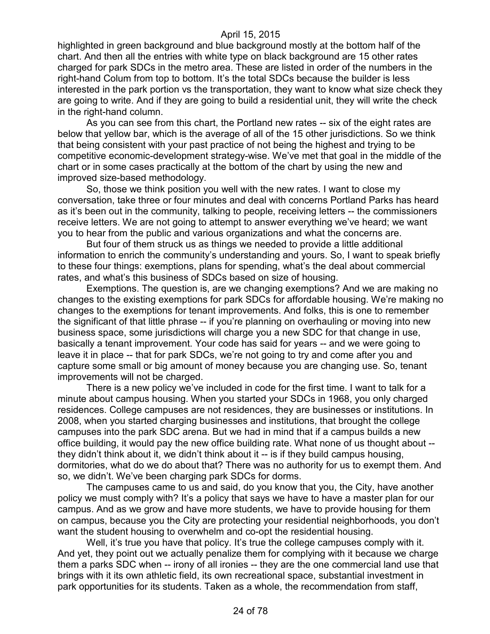highlighted in green background and blue background mostly at the bottom half of the chart. And then all the entries with white type on black background are 15 other rates charged for park SDCs in the metro area. These are listed in order of the numbers in the right-hand Colum from top to bottom. It's the total SDCs because the builder is less interested in the park portion vs the transportation, they want to know what size check they are going to write. And if they are going to build a residential unit, they will write the check in the right-hand column.

As you can see from this chart, the Portland new rates -- six of the eight rates are below that yellow bar, which is the average of all of the 15 other jurisdictions. So we think that being consistent with your past practice of not being the highest and trying to be competitive economic-development strategy-wise. We've met that goal in the middle of the chart or in some cases practically at the bottom of the chart by using the new and improved size-based methodology.

So, those we think position you well with the new rates. I want to close my conversation, take three or four minutes and deal with concerns Portland Parks has heard as it's been out in the community, talking to people, receiving letters -- the commissioners receive letters. We are not going to attempt to answer everything we've heard; we want you to hear from the public and various organizations and what the concerns are.

But four of them struck us as things we needed to provide a little additional information to enrich the community's understanding and yours. So, I want to speak briefly to these four things: exemptions, plans for spending, what's the deal about commercial rates, and what's this business of SDCs based on size of housing.

Exemptions. The question is, are we changing exemptions? And we are making no changes to the existing exemptions for park SDCs for affordable housing. We're making no changes to the exemptions for tenant improvements. And folks, this is one to remember the significant of that little phrase -- if you're planning on overhauling or moving into new business space, some jurisdictions will charge you a new SDC for that change in use, basically a tenant improvement. Your code has said for years -- and we were going to leave it in place -- that for park SDCs, we're not going to try and come after you and capture some small or big amount of money because you are changing use. So, tenant improvements will not be charged.

There is a new policy we've included in code for the first time. I want to talk for a minute about campus housing. When you started your SDCs in 1968, you only charged residences. College campuses are not residences, they are businesses or institutions. In 2008, when you started charging businesses and institutions, that brought the college campuses into the park SDC arena. But we had in mind that if a campus builds a new office building, it would pay the new office building rate. What none of us thought about - they didn't think about it, we didn't think about it -- is if they build campus housing, dormitories, what do we do about that? There was no authority for us to exempt them. And so, we didn't. We've been charging park SDCs for dorms.

The campuses came to us and said, do you know that you, the City, have another policy we must comply with? It's a policy that says we have to have a master plan for our campus. And as we grow and have more students, we have to provide housing for them on campus, because you the City are protecting your residential neighborhoods, you don't want the student housing to overwhelm and co-opt the residential housing.

Well, it's true you have that policy. It's true the college campuses comply with it. And yet, they point out we actually penalize them for complying with it because we charge them a parks SDC when -- irony of all ironies -- they are the one commercial land use that brings with it its own athletic field, its own recreational space, substantial investment in park opportunities for its students. Taken as a whole, the recommendation from staff,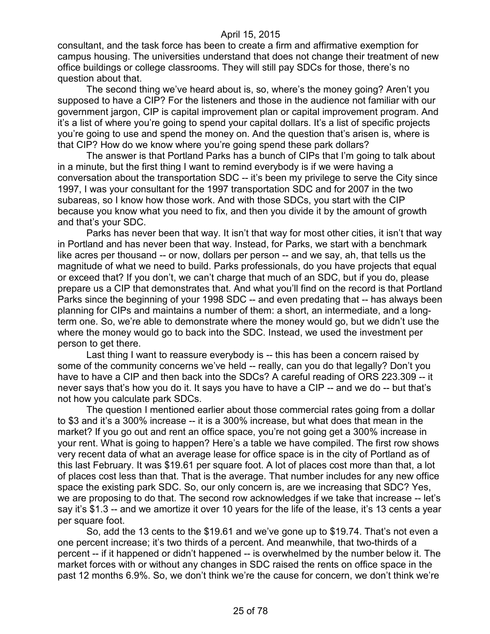consultant, and the task force has been to create a firm and affirmative exemption for campus housing. The universities understand that does not change their treatment of new office buildings or college classrooms. They will still pay SDCs for those, there's no question about that.

The second thing we've heard about is, so, where's the money going? Aren't you supposed to have a CIP? For the listeners and those in the audience not familiar with our government jargon, CIP is capital improvement plan or capital improvement program. And it's a list of where you're going to spend your capital dollars. It's a list of specific projects you're going to use and spend the money on. And the question that's arisen is, where is that CIP? How do we know where you're going spend these park dollars?

The answer is that Portland Parks has a bunch of CIPs that I'm going to talk about in a minute, but the first thing I want to remind everybody is if we were having a conversation about the transportation SDC -- it's been my privilege to serve the City since 1997, I was your consultant for the 1997 transportation SDC and for 2007 in the two subareas, so I know how those work. And with those SDCs, you start with the CIP because you know what you need to fix, and then you divide it by the amount of growth and that's your SDC.

Parks has never been that way. It isn't that way for most other cities, it isn't that way in Portland and has never been that way. Instead, for Parks, we start with a benchmark like acres per thousand -- or now, dollars per person -- and we say, ah, that tells us the magnitude of what we need to build. Parks professionals, do you have projects that equal or exceed that? If you don't, we can't charge that much of an SDC, but if you do, please prepare us a CIP that demonstrates that. And what you'll find on the record is that Portland Parks since the beginning of your 1998 SDC -- and even predating that -- has always been planning for CIPs and maintains a number of them: a short, an intermediate, and a longterm one. So, we're able to demonstrate where the money would go, but we didn't use the where the money would go to back into the SDC. Instead, we used the investment per person to get there.

Last thing I want to reassure everybody is -- this has been a concern raised by some of the community concerns we've held -- really, can you do that legally? Don't you have to have a CIP and then back into the SDCs? A careful reading of ORS 223.309 -- it never says that's how you do it. It says you have to have a CIP -- and we do -- but that's not how you calculate park SDCs.

The question I mentioned earlier about those commercial rates going from a dollar to \$3 and it's a 300% increase -- it is a 300% increase, but what does that mean in the market? If you go out and rent an office space, you're not going get a 300% increase in your rent. What is going to happen? Here's a table we have compiled. The first row shows very recent data of what an average lease for office space is in the city of Portland as of this last February. It was \$19.61 per square foot. A lot of places cost more than that, a lot of places cost less than that. That is the average. That number includes for any new office space the existing park SDC. So, our only concern is, are we increasing that SDC? Yes, we are proposing to do that. The second row acknowledges if we take that increase -- let's say it's \$1.3 -- and we amortize it over 10 years for the life of the lease, it's 13 cents a year per square foot.

So, add the 13 cents to the \$19.61 and we've gone up to \$19.74. That's not even a one percent increase; it's two thirds of a percent. And meanwhile, that two-thirds of a percent -- if it happened or didn't happened -- is overwhelmed by the number below it. The market forces with or without any changes in SDC raised the rents on office space in the past 12 months 6.9%. So, we don't think we're the cause for concern, we don't think we're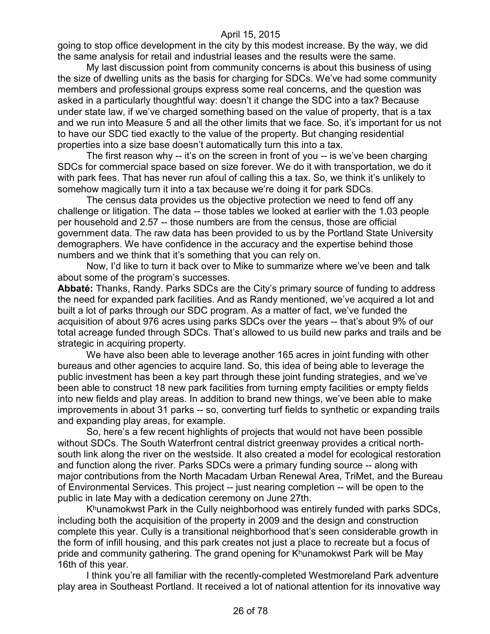going to stop office development in the city by this modest increase. By the way, we did the same analysis for retail and industrial leases and the results were the same.

My last discussion point from community concerns is about this business of using the size of dwelling units as the basis for charging for SDCs. We've had some community members and professional groups express some real concerns, and the question was asked in a particularly thoughtful way: doesn't it change the SDC into a tax? Because under state law, if we've charged something based on the value of property, that is a tax and we run into Measure 5 and all the other limits that we face. So, it's important for us not to have our SDC tied exactly to the value of the property. But changing residential properties into a size base doesn't automatically turn this into a tax.

The first reason why -- it's on the screen in front of you -- is we've been charging SDCs for commercial space based on size forever. We do it with transportation, we do it with park fees. That has never run afoul of calling this a tax. So, we think it's unlikely to somehow magically turn it into a tax because we're doing it for park SDCs.

The census data provides us the objective protection we need to fend off any challenge or litigation. The data -- those tables we looked at earlier with the 1.03 people per household and 2.57 -- those numbers are from the census, those are official government data. The raw data has been provided to us by the Portland State University demographers. We have confidence in the accuracy and the expertise behind those numbers and we think that it's something that you can rely on.

Now, I'd like to turn it back over to Mike to summarize where we've been and talk about some of the program's successes.

**Abbaté:** Thanks, Randy. Parks SDCs are the City's primary source of funding to address the need for expanded park facilities. And as Randy mentioned, we've acquired a lot and built a lot of parks through our SDC program. As a matter of fact, we've funded the acquisition of about 976 acres using parks SDCs over the years -- that's about 9% of our total acreage funded through SDCs. That's allowed to us build new parks and trails and be strategic in acquiring property.

We have also been able to leverage another 165 acres in joint funding with other bureaus and other agencies to acquire land. So, this idea of being able to leverage the public investment has been a key part through these joint funding strategies, and we've been able to construct 18 new park facilities from turning empty facilities or empty fields into new fields and play areas. In addition to brand new things, we've been able to make improvements in about 31 parks -- so, converting turf fields to synthetic or expanding trails and expanding play areas, for example.

So, here's a few recent highlights of projects that would not have been possible without SDCs. The South Waterfront central district greenway provides a critical northsouth link along the river on the westside. It also created a model for ecological restoration and function along the river. Parks SDCs were a primary funding source -- along with major contributions from the North Macadam Urban Renewal Area, TriMet, and the Bureau of Environmental Services. This project -- just nearing completion -- will be open to the public in late May with a dedication ceremony on June 27th.

 $K<sup>h</sup>$ unamokwst Park in the Cully neighborhood was entirely funded with parks SDCs, including both the acquisition of the property in 2009 and the design and construction complete this year. Cully is a transitional neighborhood that's seen considerable growth in the form of infill housing, and this park creates not just a place to recreate but a focus of pride and community gathering. The grand opening for  $K^h$ unamokwst Park will be May 16th of this year.

I think you're all familiar with the recently-completed Westmoreland Park adventure play area in Southeast Portland. It received a lot of national attention for its innovative way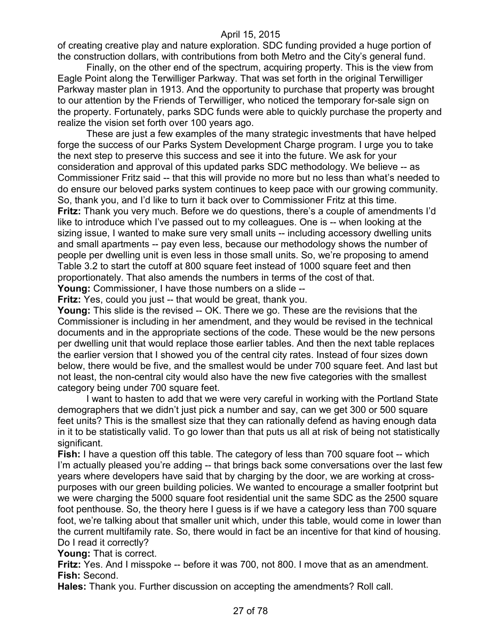of creating creative play and nature exploration. SDC funding provided a huge portion of the construction dollars, with contributions from both Metro and the City's general fund.

Finally, on the other end of the spectrum, acquiring property. This is the view from Eagle Point along the Terwilliger Parkway. That was set forth in the original Terwilliger Parkway master plan in 1913. And the opportunity to purchase that property was brought to our attention by the Friends of Terwilliger, who noticed the temporary for-sale sign on the property. Fortunately, parks SDC funds were able to quickly purchase the property and realize the vision set forth over 100 years ago.

These are just a few examples of the many strategic investments that have helped forge the success of our Parks System Development Charge program. I urge you to take the next step to preserve this success and see it into the future. We ask for your consideration and approval of this updated parks SDC methodology. We believe -- as Commissioner Fritz said -- that this will provide no more but no less than what's needed to do ensure our beloved parks system continues to keep pace with our growing community. So, thank you, and I'd like to turn it back over to Commissioner Fritz at this time. **Fritz:** Thank you very much. Before we do questions, there's a couple of amendments I'd like to introduce which I've passed out to my colleagues. One is -- when looking at the sizing issue, I wanted to make sure very small units -- including accessory dwelling units and small apartments -- pay even less, because our methodology shows the number of people per dwelling unit is even less in those small units. So, we're proposing to amend Table 3.2 to start the cutoff at 800 square feet instead of 1000 square feet and then

proportionately. That also amends the numbers in terms of the cost of that.

**Young:** Commissioner, I have those numbers on a slide --

**Fritz:** Yes, could you just -- that would be great, thank you.

**Young:** This slide is the revised -- OK. There we go. These are the revisions that the Commissioner is including in her amendment, and they would be revised in the technical documents and in the appropriate sections of the code. These would be the new persons per dwelling unit that would replace those earlier tables. And then the next table replaces the earlier version that I showed you of the central city rates. Instead of four sizes down below, there would be five, and the smallest would be under 700 square feet. And last but not least, the non-central city would also have the new five categories with the smallest category being under 700 square feet.

I want to hasten to add that we were very careful in working with the Portland State demographers that we didn't just pick a number and say, can we get 300 or 500 square feet units? This is the smallest size that they can rationally defend as having enough data in it to be statistically valid. To go lower than that puts us all at risk of being not statistically significant.

**Fish:** I have a question off this table. The category of less than 700 square foot -- which I'm actually pleased you're adding -- that brings back some conversations over the last few years where developers have said that by charging by the door, we are working at crosspurposes with our green building policies. We wanted to encourage a smaller footprint but we were charging the 5000 square foot residential unit the same SDC as the 2500 square foot penthouse. So, the theory here I guess is if we have a category less than 700 square foot, we're talking about that smaller unit which, under this table, would come in lower than the current multifamily rate. So, there would in fact be an incentive for that kind of housing. Do I read it correctly?

**Young:** That is correct.

**Fritz:** Yes. And I misspoke -- before it was 700, not 800. I move that as an amendment. **Fish:** Second.

**Hales:** Thank you. Further discussion on accepting the amendments? Roll call.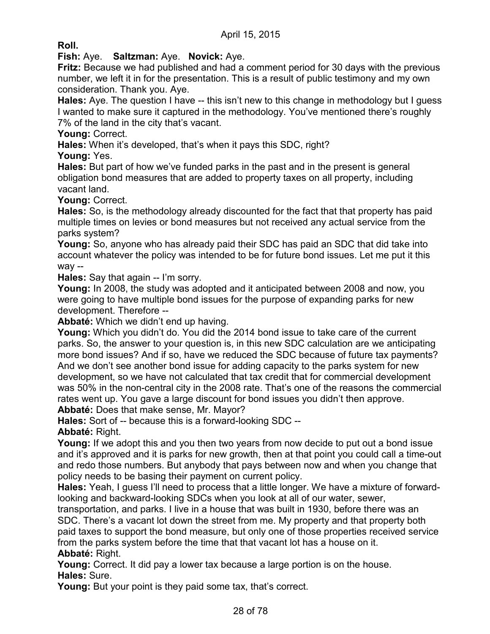**Roll.**

**Fish:** Aye. **Saltzman:** Aye. **Novick:** Aye.

**Fritz:** Because we had published and had a comment period for 30 days with the previous number, we left it in for the presentation. This is a result of public testimony and my own consideration. Thank you. Aye.

**Hales:** Aye. The question I have -- this isn't new to this change in methodology but I guess I wanted to make sure it captured in the methodology. You've mentioned there's roughly 7% of the land in the city that's vacant.

**Young:** Correct.

**Hales:** When it's developed, that's when it pays this SDC, right?

**Young:** Yes.

**Hales:** But part of how we've funded parks in the past and in the present is general obligation bond measures that are added to property taxes on all property, including vacant land.

**Young:** Correct.

**Hales:** So, is the methodology already discounted for the fact that that property has paid multiple times on levies or bond measures but not received any actual service from the parks system?

**Young:** So, anyone who has already paid their SDC has paid an SDC that did take into account whatever the policy was intended to be for future bond issues. Let me put it this way --

**Hales:** Say that again -- I'm sorry.

**Young:** In 2008, the study was adopted and it anticipated between 2008 and now, you were going to have multiple bond issues for the purpose of expanding parks for new development. Therefore --

**Abbaté:** Which we didn't end up having.

**Young:** Which you didn't do. You did the 2014 bond issue to take care of the current parks. So, the answer to your question is, in this new SDC calculation are we anticipating more bond issues? And if so, have we reduced the SDC because of future tax payments? And we don't see another bond issue for adding capacity to the parks system for new development, so we have not calculated that tax credit that for commercial development was 50% in the non-central city in the 2008 rate. That's one of the reasons the commercial rates went up. You gave a large discount for bond issues you didn't then approve. **Abbaté:** Does that make sense, Mr. Mayor?

**Hales:** Sort of -- because this is a forward-looking SDC --

**Abbaté:** Right.

**Young:** If we adopt this and you then two years from now decide to put out a bond issue and it's approved and it is parks for new growth, then at that point you could call a time-out and redo those numbers. But anybody that pays between now and when you change that policy needs to be basing their payment on current policy.

**Hales:** Yeah, I guess I'll need to process that a little longer. We have a mixture of forwardlooking and backward-looking SDCs when you look at all of our water, sewer,

transportation, and parks. I live in a house that was built in 1930, before there was an SDC. There's a vacant lot down the street from me. My property and that property both paid taxes to support the bond measure, but only one of those properties received service from the parks system before the time that that vacant lot has a house on it. **Abbaté:** Right.

**Young:** Correct. It did pay a lower tax because a large portion is on the house. **Hales:** Sure.

**Young:** But your point is they paid some tax, that's correct.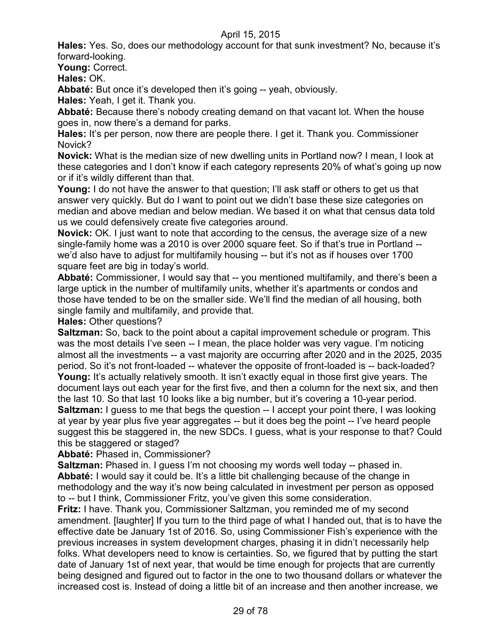**Hales:** Yes. So, does our methodology account for that sunk investment? No, because it's forward-looking.

**Young:** Correct.

**Hales:** OK.

**Abbaté:** But once it's developed then it's going -- yeah, obviously.

**Hales:** Yeah, I get it. Thank you.

**Abbaté:** Because there's nobody creating demand on that vacant lot. When the house goes in, now there's a demand for parks.

**Hales:** It's per person, now there are people there. I get it. Thank you. Commissioner Novick?

**Novick:** What is the median size of new dwelling units in Portland now? I mean, I look at these categories and I don't know if each category represents 20% of what's going up now or if it's wildly different than that.

**Young:** I do not have the answer to that question; I'll ask staff or others to get us that answer very quickly. But do I want to point out we didn't base these size categories on median and above median and below median. We based it on what that census data told us we could defensively create five categories around.

**Novick:** OK. I just want to note that according to the census, the average size of a new single-family home was a 2010 is over 2000 square feet. So if that's true in Portland - we'd also have to adjust for multifamily housing -- but it's not as if houses over 1700 square feet are big in today's world.

**Abbaté:** Commissioner, I would say that -- you mentioned multifamily, and there's been a large uptick in the number of multifamily units, whether it's apartments or condos and those have tended to be on the smaller side. We'll find the median of all housing, both single family and multifamily, and provide that.

**Hales:** Other questions?

**Saltzman:** So, back to the point about a capital improvement schedule or program. This was the most details I've seen -- I mean, the place holder was very vague. I'm noticing almost all the investments -- a vast majority are occurring after 2020 and in the 2025, 2035 period. So it's not front-loaded -- whatever the opposite of front-loaded is -- back-loaded? **Young:** It's actually relatively smooth. It isn't exactly equal in those first give years. The document lays out each year for the first five, and then a column for the next six, and then the last 10. So that last 10 looks like a big number, but it's covering a 10-year period. **Saltzman:** I guess to me that begs the question -- I accept your point there, I was looking at year by year plus five year aggregates -- but it does beg the point -- I've heard people suggest this be staggered in, the new SDCs. I guess, what is your response to that? Could this be staggered or staged?

**Abbaté:** Phased in, Commissioner?

**Saltzman:** Phased in. I guess I'm not choosing my words well today -- phased in. **Abbaté:** I would say it could be. It's a little bit challenging because of the change in methodology and the way it's now being calculated in investment per person as opposed to -- but I think, Commissioner Fritz, you've given this some consideration.

**Fritz:** I have. Thank you, Commissioner Saltzman, you reminded me of my second amendment. [laughter] If you turn to the third page of what I handed out, that is to have the effective date be January 1st of 2016. So, using Commissioner Fish's experience with the previous increases in system development charges, phasing it in didn't necessarily help folks. What developers need to know is certainties. So, we figured that by putting the start date of January 1st of next year, that would be time enough for projects that are currently being designed and figured out to factor in the one to two thousand dollars or whatever the increased cost is. Instead of doing a little bit of an increase and then another increase, we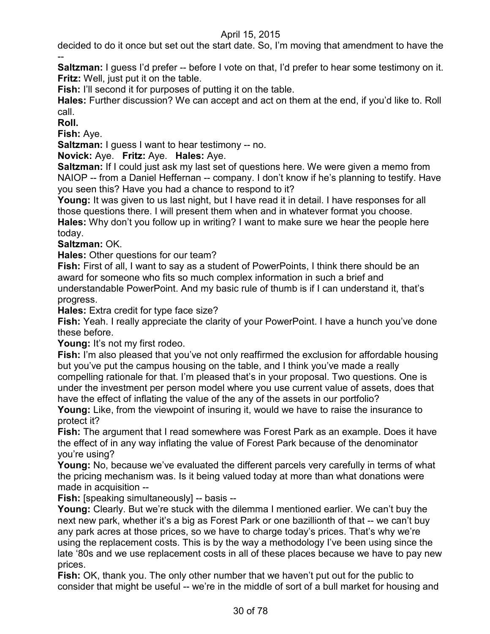decided to do it once but set out the start date. So, I'm moving that amendment to have the --

**Saltzman:** I guess I'd prefer -- before I vote on that, I'd prefer to hear some testimony on it. **Fritz:** Well, just put it on the table.

**Fish:** I'll second it for purposes of putting it on the table.

**Hales:** Further discussion? We can accept and act on them at the end, if you'd like to. Roll call.

**Roll.**

**Fish:** Aye.

**Saltzman:** I guess I want to hear testimony -- no.

**Novick:** Aye. **Fritz:** Aye. **Hales:** Aye.

**Saltzman:** If I could just ask my last set of questions here. We were given a memo from NAIOP -- from a Daniel Heffernan -- company. I don't know if he's planning to testify. Have you seen this? Have you had a chance to respond to it?

**Young:** It was given to us last night, but I have read it in detail. I have responses for all those questions there. I will present them when and in whatever format you choose. **Hales:** Why don't you follow up in writing? I want to make sure we hear the people here today.

**Saltzman:** OK.

**Hales:** Other questions for our team?

**Fish:** First of all, I want to say as a student of PowerPoints, I think there should be an award for someone who fits so much complex information in such a brief and understandable PowerPoint. And my basic rule of thumb is if I can understand it, that's progress.

**Hales:** Extra credit for type face size?

**Fish:** Yeah. I really appreciate the clarity of your PowerPoint. I have a hunch you've done these before.

Young: It's not my first rodeo.

**Fish:** I'm also pleased that you've not only reaffirmed the exclusion for affordable housing but you've put the campus housing on the table, and I think you've made a really compelling rationale for that. I'm pleased that's in your proposal. Two questions. One is under the investment per person model where you use current value of assets, does that have the effect of inflating the value of the any of the assets in our portfolio?

**Young:** Like, from the viewpoint of insuring it, would we have to raise the insurance to protect it?

**Fish:** The argument that I read somewhere was Forest Park as an example. Does it have the effect of in any way inflating the value of Forest Park because of the denominator you're using?

**Young:** No, because we've evaluated the different parcels very carefully in terms of what the pricing mechanism was. Is it being valued today at more than what donations were made in acquisition --

**Fish:** [speaking simultaneously] -- basis --

**Young:** Clearly. But we're stuck with the dilemma I mentioned earlier. We can't buy the next new park, whether it's a big as Forest Park or one bazillionth of that -- we can't buy any park acres at those prices, so we have to charge today's prices. That's why we're using the replacement costs. This is by the way a methodology I've been using since the late '80s and we use replacement costs in all of these places because we have to pay new prices.

**Fish:** OK, thank you. The only other number that we haven't put out for the public to consider that might be useful -- we're in the middle of sort of a bull market for housing and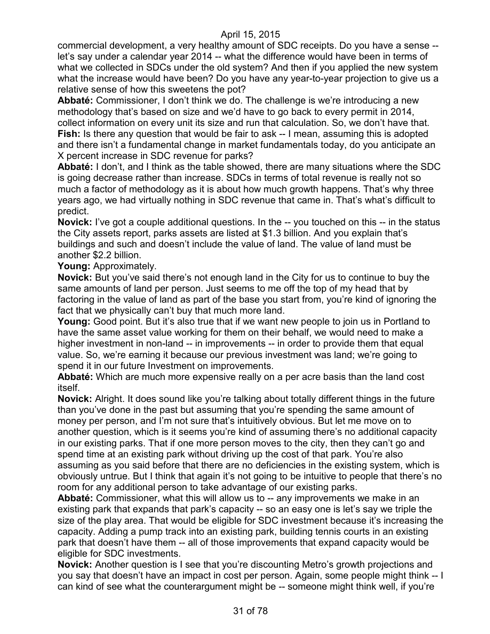commercial development, a very healthy amount of SDC receipts. Do you have a sense - let's say under a calendar year 2014 -- what the difference would have been in terms of what we collected in SDCs under the old system? And then if you applied the new system what the increase would have been? Do you have any year-to-year projection to give us a relative sense of how this sweetens the pot?

**Abbaté:** Commissioner, I don't think we do. The challenge is we're introducing a new methodology that's based on size and we'd have to go back to every permit in 2014, collect information on every unit its size and run that calculation. So, we don't have that. **Fish:** Is there any question that would be fair to ask -- I mean, assuming this is adopted and there isn't a fundamental change in market fundamentals today, do you anticipate an X percent increase in SDC revenue for parks?

**Abbaté:** I don't, and I think as the table showed, there are many situations where the SDC is going decrease rather than increase. SDCs in terms of total revenue is really not so much a factor of methodology as it is about how much growth happens. That's why three years ago, we had virtually nothing in SDC revenue that came in. That's what's difficult to predict.

**Novick:** I've got a couple additional questions. In the -- you touched on this -- in the status the City assets report, parks assets are listed at \$1.3 billion. And you explain that's buildings and such and doesn't include the value of land. The value of land must be another \$2.2 billion.

**Young:** Approximately.

**Novick:** But you've said there's not enough land in the City for us to continue to buy the same amounts of land per person. Just seems to me off the top of my head that by factoring in the value of land as part of the base you start from, you're kind of ignoring the fact that we physically can't buy that much more land.

**Young:** Good point. But it's also true that if we want new people to join us in Portland to have the same asset value working for them on their behalf, we would need to make a higher investment in non-land -- in improvements -- in order to provide them that equal value. So, we're earning it because our previous investment was land; we're going to spend it in our future Investment on improvements.

**Abbaté:** Which are much more expensive really on a per acre basis than the land cost itself.

**Novick:** Alright. It does sound like you're talking about totally different things in the future than you've done in the past but assuming that you're spending the same amount of money per person, and I'm not sure that's intuitively obvious. But let me move on to another question, which is it seems you're kind of assuming there's no additional capacity in our existing parks. That if one more person moves to the city, then they can't go and spend time at an existing park without driving up the cost of that park. You're also assuming as you said before that there are no deficiencies in the existing system, which is obviously untrue. But I think that again it's not going to be intuitive to people that there's no room for any additional person to take advantage of our existing parks.

**Abbaté:** Commissioner, what this will allow us to -- any improvements we make in an existing park that expands that park's capacity -- so an easy one is let's say we triple the size of the play area. That would be eligible for SDC investment because it's increasing the capacity. Adding a pump track into an existing park, building tennis courts in an existing park that doesn't have them -- all of those improvements that expand capacity would be eligible for SDC investments.

**Novick:** Another question is I see that you're discounting Metro's growth projections and you say that doesn't have an impact in cost per person. Again, some people might think -- I can kind of see what the counterargument might be -- someone might think well, if you're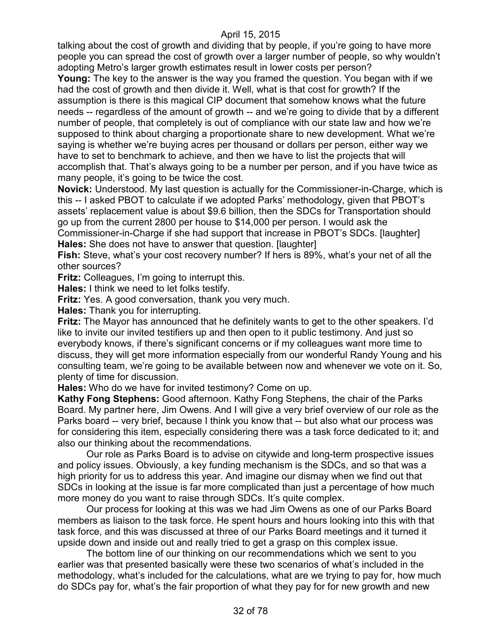talking about the cost of growth and dividing that by people, if you're going to have more people you can spread the cost of growth over a larger number of people, so why wouldn't adopting Metro's larger growth estimates result in lower costs per person?

**Young:** The key to the answer is the way you framed the question. You began with if we had the cost of growth and then divide it. Well, what is that cost for growth? If the assumption is there is this magical CIP document that somehow knows what the future needs -- regardless of the amount of growth -- and we're going to divide that by a different number of people, that completely is out of compliance with our state law and how we're supposed to think about charging a proportionate share to new development. What we're saying is whether we're buying acres per thousand or dollars per person, either way we have to set to benchmark to achieve, and then we have to list the projects that will accomplish that. That's always going to be a number per person, and if you have twice as many people, it's going to be twice the cost.

**Novick:** Understood. My last question is actually for the Commissioner-in-Charge, which is this -- I asked PBOT to calculate if we adopted Parks' methodology, given that PBOT's assets' replacement value is about \$9.6 billion, then the SDCs for Transportation should go up from the current 2800 per house to \$14,000 per person. I would ask the

Commissioner-in-Charge if she had support that increase in PBOT's SDCs. [laughter] **Hales:** She does not have to answer that question. [laughter]

**Fish:** Steve, what's your cost recovery number? If hers is 89%, what's your net of all the other sources?

**Fritz:** Colleagues, I'm going to interrupt this.

**Hales:** I think we need to let folks testify.

**Fritz:** Yes. A good conversation, thank you very much.

**Hales:** Thank you for interrupting.

**Fritz:** The Mayor has announced that he definitely wants to get to the other speakers. I'd like to invite our invited testifiers up and then open to it public testimony. And just so everybody knows, if there's significant concerns or if my colleagues want more time to discuss, they will get more information especially from our wonderful Randy Young and his consulting team, we're going to be available between now and whenever we vote on it. So, plenty of time for discussion.

**Hales:** Who do we have for invited testimony? Come on up.

**Kathy Fong Stephens:** Good afternoon. Kathy Fong Stephens, the chair of the Parks Board. My partner here, Jim Owens. And I will give a very brief overview of our role as the Parks board -- very brief, because I think you know that -- but also what our process was for considering this item, especially considering there was a task force dedicated to it; and also our thinking about the recommendations.

Our role as Parks Board is to advise on citywide and long-term prospective issues and policy issues. Obviously, a key funding mechanism is the SDCs, and so that was a high priority for us to address this year. And imagine our dismay when we find out that SDCs in looking at the issue is far more complicated than just a percentage of how much more money do you want to raise through SDCs. It's quite complex.

Our process for looking at this was we had Jim Owens as one of our Parks Board members as liaison to the task force. He spent hours and hours looking into this with that task force, and this was discussed at three of our Parks Board meetings and it turned it upside down and inside out and really tried to get a grasp on this complex issue.

The bottom line of our thinking on our recommendations which we sent to you earlier was that presented basically were these two scenarios of what's included in the methodology, what's included for the calculations, what are we trying to pay for, how much do SDCs pay for, what's the fair proportion of what they pay for for new growth and new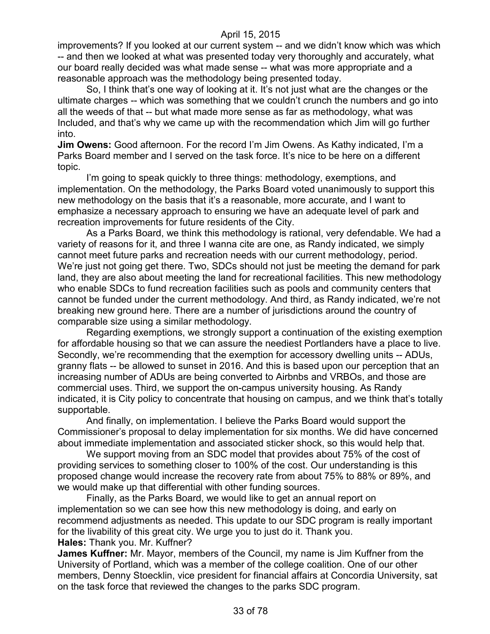improvements? If you looked at our current system -- and we didn't know which was which -- and then we looked at what was presented today very thoroughly and accurately, what our board really decided was what made sense -- what was more appropriate and a reasonable approach was the methodology being presented today.

So, I think that's one way of looking at it. It's not just what are the changes or the ultimate charges -- which was something that we couldn't crunch the numbers and go into all the weeds of that -- but what made more sense as far as methodology, what was Included, and that's why we came up with the recommendation which Jim will go further into.

**Jim Owens:** Good afternoon. For the record I'm Jim Owens. As Kathy indicated, I'm a Parks Board member and I served on the task force. It's nice to be here on a different topic.

I'm going to speak quickly to three things: methodology, exemptions, and implementation. On the methodology, the Parks Board voted unanimously to support this new methodology on the basis that it's a reasonable, more accurate, and I want to emphasize a necessary approach to ensuring we have an adequate level of park and recreation improvements for future residents of the City.

As a Parks Board, we think this methodology is rational, very defendable. We had a variety of reasons for it, and three I wanna cite are one, as Randy indicated, we simply cannot meet future parks and recreation needs with our current methodology, period. We're just not going get there. Two, SDCs should not just be meeting the demand for park land, they are also about meeting the land for recreational facilities. This new methodology who enable SDCs to fund recreation facilities such as pools and community centers that cannot be funded under the current methodology. And third, as Randy indicated, we're not breaking new ground here. There are a number of jurisdictions around the country of comparable size using a similar methodology.

Regarding exemptions, we strongly support a continuation of the existing exemption for affordable housing so that we can assure the neediest Portlanders have a place to live. Secondly, we're recommending that the exemption for accessory dwelling units -- ADUs, granny flats -- be allowed to sunset in 2016. And this is based upon our perception that an increasing number of ADUs are being converted to Airbnbs and VRBOs, and those are commercial uses. Third, we support the on-campus university housing. As Randy indicated, it is City policy to concentrate that housing on campus, and we think that's totally supportable.

And finally, on implementation. I believe the Parks Board would support the Commissioner's proposal to delay implementation for six months. We did have concerned about immediate implementation and associated sticker shock, so this would help that.

We support moving from an SDC model that provides about 75% of the cost of providing services to something closer to 100% of the cost. Our understanding is this proposed change would increase the recovery rate from about 75% to 88% or 89%, and we would make up that differential with other funding sources.

Finally, as the Parks Board, we would like to get an annual report on implementation so we can see how this new methodology is doing, and early on recommend adjustments as needed. This update to our SDC program is really important for the livability of this great city. We urge you to just do it. Thank you. **Hales:** Thank you. Mr. Kuffner?

**James Kuffner:** Mr. Mayor, members of the Council, my name is Jim Kuffner from the University of Portland, which was a member of the college coalition. One of our other members, Denny Stoecklin, vice president for financial affairs at Concordia University, sat on the task force that reviewed the changes to the parks SDC program.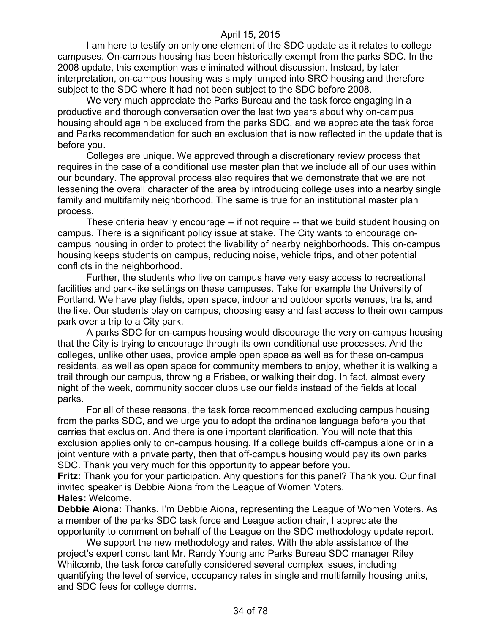I am here to testify on only one element of the SDC update as it relates to college campuses. On-campus housing has been historically exempt from the parks SDC. In the 2008 update, this exemption was eliminated without discussion. Instead, by later interpretation, on-campus housing was simply lumped into SRO housing and therefore subject to the SDC where it had not been subject to the SDC before 2008.

We very much appreciate the Parks Bureau and the task force engaging in a productive and thorough conversation over the last two years about why on-campus housing should again be excluded from the parks SDC, and we appreciate the task force and Parks recommendation for such an exclusion that is now reflected in the update that is before you.

Colleges are unique. We approved through a discretionary review process that requires in the case of a conditional use master plan that we include all of our uses within our boundary. The approval process also requires that we demonstrate that we are not lessening the overall character of the area by introducing college uses into a nearby single family and multifamily neighborhood. The same is true for an institutional master plan process.

These criteria heavily encourage -- if not require -- that we build student housing on campus. There is a significant policy issue at stake. The City wants to encourage oncampus housing in order to protect the livability of nearby neighborhoods. This on-campus housing keeps students on campus, reducing noise, vehicle trips, and other potential conflicts in the neighborhood.

Further, the students who live on campus have very easy access to recreational facilities and park-like settings on these campuses. Take for example the University of Portland. We have play fields, open space, indoor and outdoor sports venues, trails, and the like. Our students play on campus, choosing easy and fast access to their own campus park over a trip to a City park.

A parks SDC for on-campus housing would discourage the very on-campus housing that the City is trying to encourage through its own conditional use processes. And the colleges, unlike other uses, provide ample open space as well as for these on-campus residents, as well as open space for community members to enjoy, whether it is walking a trail through our campus, throwing a Frisbee, or walking their dog. In fact, almost every night of the week, community soccer clubs use our fields instead of the fields at local parks.

For all of these reasons, the task force recommended excluding campus housing from the parks SDC, and we urge you to adopt the ordinance language before you that carries that exclusion. And there is one important clarification. You will note that this exclusion applies only to on-campus housing. If a college builds off-campus alone or in a joint venture with a private party, then that off-campus housing would pay its own parks SDC. Thank you very much for this opportunity to appear before you.

**Fritz:** Thank you for your participation. Any questions for this panel? Thank you. Our final invited speaker is Debbie Aiona from the League of Women Voters. **Hales:** Welcome.

**Debbie Aiona:** Thanks. I'm Debbie Aiona, representing the League of Women Voters. As a member of the parks SDC task force and League action chair, I appreciate the opportunity to comment on behalf of the League on the SDC methodology update report.

We support the new methodology and rates. With the able assistance of the project's expert consultant Mr. Randy Young and Parks Bureau SDC manager Riley Whitcomb, the task force carefully considered several complex issues, including quantifying the level of service, occupancy rates in single and multifamily housing units, and SDC fees for college dorms.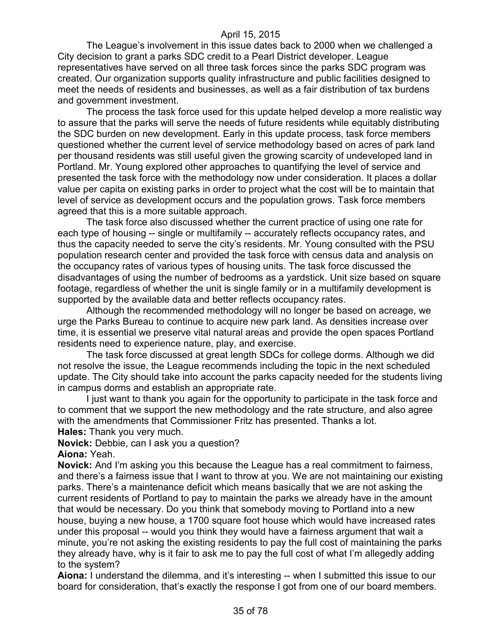The League's involvement in this issue dates back to 2000 when we challenged a City decision to grant a parks SDC credit to a Pearl District developer. League representatives have served on all three task forces since the parks SDC program was created. Our organization supports quality infrastructure and public facilities designed to meet the needs of residents and businesses, as well as a fair distribution of tax burdens and government investment.

The process the task force used for this update helped develop a more realistic way to assure that the parks will serve the needs of future residents while equitably distributing the SDC burden on new development. Early in this update process, task force members questioned whether the current level of service methodology based on acres of park land per thousand residents was still useful given the growing scarcity of undeveloped land in Portland. Mr. Young explored other approaches to quantifying the level of service and presented the task force with the methodology now under consideration. It places a dollar value per capita on existing parks in order to project what the cost will be to maintain that level of service as development occurs and the population grows. Task force members agreed that this is a more suitable approach.

The task force also discussed whether the current practice of using one rate for each type of housing -- single or multifamily -- accurately reflects occupancy rates, and thus the capacity needed to serve the city's residents. Mr. Young consulted with the PSU population research center and provided the task force with census data and analysis on the occupancy rates of various types of housing units. The task force discussed the disadvantages of using the number of bedrooms as a yardstick. Unit size based on square footage, regardless of whether the unit is single family or in a multifamily development is supported by the available data and better reflects occupancy rates.

Although the recommended methodology will no longer be based on acreage, we urge the Parks Bureau to continue to acquire new park land. As densities increase over time, it is essential we preserve vital natural areas and provide the open spaces Portland residents need to experience nature, play, and exercise.

The task force discussed at great length SDCs for college dorms. Although we did not resolve the issue, the League recommends including the topic in the next scheduled update. The City should take into account the parks capacity needed for the students living in campus dorms and establish an appropriate rate.

I just want to thank you again for the opportunity to participate in the task force and to comment that we support the new methodology and the rate structure, and also agree with the amendments that Commissioner Fritz has presented. Thanks a lot. **Hales:** Thank you very much.

**Novick:** Debbie, can I ask you a question?

**Aiona:** Yeah.

**Novick:** And I'm asking you this because the League has a real commitment to fairness, and there's a fairness issue that I want to throw at you. We are not maintaining our existing parks. There's a maintenance deficit which means basically that we are not asking the current residents of Portland to pay to maintain the parks we already have in the amount that would be necessary. Do you think that somebody moving to Portland into a new house, buying a new house, a 1700 square foot house which would have increased rates under this proposal -- would you think they would have a fairness argument that wait a minute, you're not asking the existing residents to pay the full cost of maintaining the parks they already have, why is it fair to ask me to pay the full cost of what I'm allegedly adding to the system?

**Aiona:** I understand the dilemma, and it's interesting -- when I submitted this issue to our board for consideration, that's exactly the response I got from one of our board members.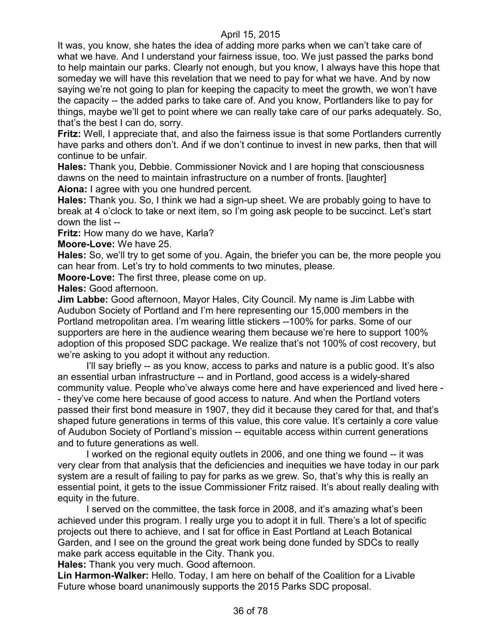It was, you know, she hates the idea of adding more parks when we can't take care of what we have. And I understand your fairness issue, too. We just passed the parks bond to help maintain our parks. Clearly not enough, but you know, I always have this hope that someday we will have this revelation that we need to pay for what we have. And by now saying we're not going to plan for keeping the capacity to meet the growth, we won't have the capacity -- the added parks to take care of. And you know, Portlanders like to pay for things, maybe we'll get to point where we can really take care of our parks adequately. So, that's the best I can do, sorry.

**Fritz:** Well, I appreciate that, and also the fairness issue is that some Portlanders currently have parks and others don't. And if we don't continue to invest in new parks, then that will continue to be unfair.

**Hales:** Thank you, Debbie. Commissioner Novick and I are hoping that consciousness dawns on the need to maintain infrastructure on a number of fronts. [laughter] **Aiona:** I agree with you one hundred percent.

**Hales:** Thank you. So, I think we had a sign-up sheet. We are probably going to have to break at 4 o'clock to take or next item, so I'm going ask people to be succinct. Let's start down the list --

**Fritz:** How many do we have, Karla?

**Moore-Love:** We have 25.

**Hales:** So, we'll try to get some of you. Again, the briefer you can be, the more people you can hear from. Let's try to hold comments to two minutes, please.

**Moore-Love:** The first three, please come on up.

**Hales:** Good afternoon.

**Jim Labbe:** Good afternoon, Mayor Hales, City Council. My name is Jim Labbe with Audubon Society of Portland and I'm here representing our 15,000 members in the Portland metropolitan area. I'm wearing little stickers --100% for parks. Some of our supporters are here in the audience wearing them because we're here to support 100% adoption of this proposed SDC package. We realize that's not 100% of cost recovery, but we're asking to you adopt it without any reduction.

I'll say briefly -- as you know, access to parks and nature is a public good. It's also an essential urban infrastructure -- and in Portland, good access is a widely-shared community value. People who've always come here and have experienced and lived here - - they've come here because of good access to nature. And when the Portland voters passed their first bond measure in 1907, they did it because they cared for that, and that's shaped future generations in terms of this value, this core value. It's certainly a core value of Audubon Society of Portland's mission -- equitable access within current generations and to future generations as well.

I worked on the regional equity outlets in 2006, and one thing we found -- it was very clear from that analysis that the deficiencies and inequities we have today in our park system are a result of failing to pay for parks as we grew. So, that's why this is really an essential point, it gets to the issue Commissioner Fritz raised. It's about really dealing with equity in the future.

I served on the committee, the task force in 2008, and it's amazing what's been achieved under this program. I really urge you to adopt it in full. There's a lot of specific projects out there to achieve, and I sat for office in East Portland at Leach Botanical Garden, and I see on the ground the great work being done funded by SDCs to really make park access equitable in the City. Thank you.

**Hales:** Thank you very much. Good afternoon.

**Lin Harmon-Walker:** Hello. Today, I am here on behalf of the Coalition for a Livable Future whose board unanimously supports the 2015 Parks SDC proposal.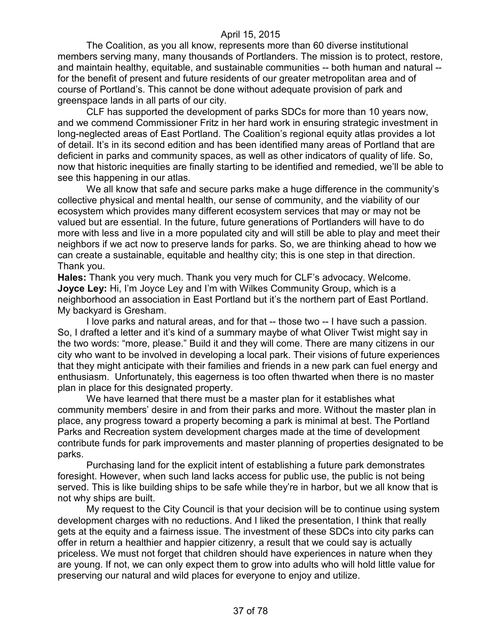The Coalition, as you all know, represents more than 60 diverse institutional members serving many, many thousands of Portlanders. The mission is to protect, restore, and maintain healthy, equitable, and sustainable communities -- both human and natural - for the benefit of present and future residents of our greater metropolitan area and of course of Portland's. This cannot be done without adequate provision of park and greenspace lands in all parts of our city.

CLF has supported the development of parks SDCs for more than 10 years now, and we commend Commissioner Fritz in her hard work in ensuring strategic investment in long-neglected areas of East Portland. The Coalition's regional equity atlas provides a lot of detail. It's in its second edition and has been identified many areas of Portland that are deficient in parks and community spaces, as well as other indicators of quality of life. So, now that historic inequities are finally starting to be identified and remedied, we'll be able to see this happening in our atlas.

We all know that safe and secure parks make a huge difference in the community's collective physical and mental health, our sense of community, and the viability of our ecosystem which provides many different ecosystem services that may or may not be valued but are essential. In the future, future generations of Portlanders will have to do more with less and live in a more populated city and will still be able to play and meet their neighbors if we act now to preserve lands for parks. So, we are thinking ahead to how we can create a sustainable, equitable and healthy city; this is one step in that direction. Thank you.

**Hales:** Thank you very much. Thank you very much for CLF's advocacy. Welcome. **Joyce Ley:** Hi, I'm Joyce Ley and I'm with Wilkes Community Group, which is a neighborhood an association in East Portland but it's the northern part of East Portland. My backyard is Gresham.

I love parks and natural areas, and for that -- those two -- I have such a passion. So, I drafted a letter and it's kind of a summary maybe of what Oliver Twist might say in the two words: "more, please." Build it and they will come. There are many citizens in our city who want to be involved in developing a local park. Their visions of future experiences that they might anticipate with their families and friends in a new park can fuel energy and enthusiasm. Unfortunately, this eagerness is too often thwarted when there is no master plan in place for this designated property.

We have learned that there must be a master plan for it establishes what community members' desire in and from their parks and more. Without the master plan in place, any progress toward a property becoming a park is minimal at best. The Portland Parks and Recreation system development charges made at the time of development contribute funds for park improvements and master planning of properties designated to be parks.

Purchasing land for the explicit intent of establishing a future park demonstrates foresight. However, when such land lacks access for public use, the public is not being served. This is like building ships to be safe while they're in harbor, but we all know that is not why ships are built.

My request to the City Council is that your decision will be to continue using system development charges with no reductions. And I liked the presentation, I think that really gets at the equity and a fairness issue. The investment of these SDCs into city parks can offer in return a healthier and happier citizenry, a result that we could say is actually priceless. We must not forget that children should have experiences in nature when they are young. If not, we can only expect them to grow into adults who will hold little value for preserving our natural and wild places for everyone to enjoy and utilize.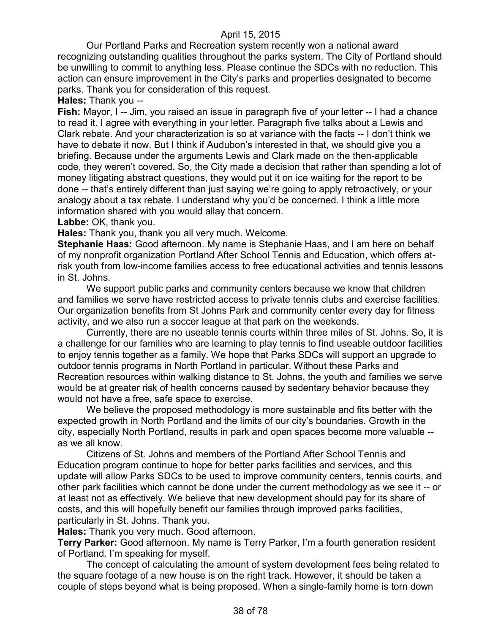Our Portland Parks and Recreation system recently won a national award recognizing outstanding qualities throughout the parks system. The City of Portland should be unwilling to commit to anything less. Please continue the SDCs with no reduction. This action can ensure improvement in the City's parks and properties designated to become parks. Thank you for consideration of this request.

**Hales:** Thank you --

**Fish:** Mayor, I -- Jim, you raised an issue in paragraph five of your letter -- I had a chance to read it. I agree with everything in your letter. Paragraph five talks about a Lewis and Clark rebate. And your characterization is so at variance with the facts -- I don't think we have to debate it now. But I think if Audubon's interested in that, we should give you a briefing. Because under the arguments Lewis and Clark made on the then-applicable code, they weren't covered. So, the City made a decision that rather than spending a lot of money litigating abstract questions, they would put it on ice waiting for the report to be done -- that's entirely different than just saying we're going to apply retroactively, or your analogy about a tax rebate. I understand why you'd be concerned. I think a little more information shared with you would allay that concern.

Labbe: OK, thank you.

**Hales:** Thank you, thank you all very much. Welcome.

**Stephanie Haas:** Good afternoon. My name is Stephanie Haas, and I am here on behalf of my nonprofit organization Portland After School Tennis and Education, which offers atrisk youth from low-income families access to free educational activities and tennis lessons in St. Johns.

We support public parks and community centers because we know that children and families we serve have restricted access to private tennis clubs and exercise facilities. Our organization benefits from St Johns Park and community center every day for fitness activity, and we also run a soccer league at that park on the weekends.

Currently, there are no useable tennis courts within three miles of St. Johns. So, it is a challenge for our families who are learning to play tennis to find useable outdoor facilities to enjoy tennis together as a family. We hope that Parks SDCs will support an upgrade to outdoor tennis programs in North Portland in particular. Without these Parks and Recreation resources within walking distance to St. Johns, the youth and families we serve would be at greater risk of health concerns caused by sedentary behavior because they would not have a free, safe space to exercise.

We believe the proposed methodology is more sustainable and fits better with the expected growth in North Portland and the limits of our city's boundaries. Growth in the city, especially North Portland, results in park and open spaces become more valuable - as we all know.

Citizens of St. Johns and members of the Portland After School Tennis and Education program continue to hope for better parks facilities and services, and this update will allow Parks SDCs to be used to improve community centers, tennis courts, and other park facilities which cannot be done under the current methodology as we see it -- or at least not as effectively. We believe that new development should pay for its share of costs, and this will hopefully benefit our families through improved parks facilities, particularly in St. Johns. Thank you.

**Hales:** Thank you very much. Good afternoon.

**Terry Parker:** Good afternoon. My name is Terry Parker, I'm a fourth generation resident of Portland. I'm speaking for myself.

The concept of calculating the amount of system development fees being related to the square footage of a new house is on the right track. However, it should be taken a couple of steps beyond what is being proposed. When a single-family home is torn down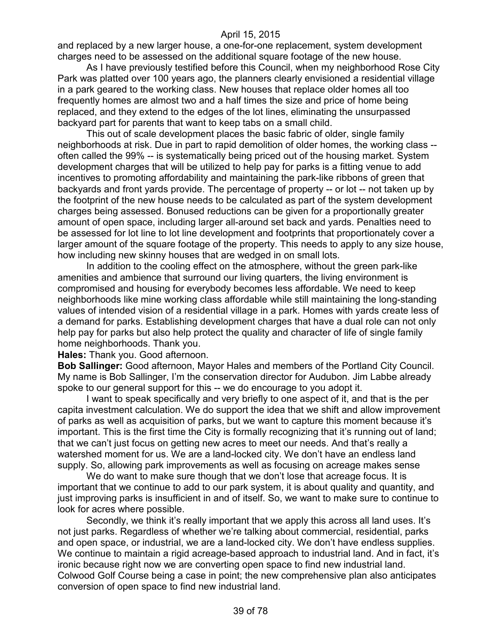and replaced by a new larger house, a one-for-one replacement, system development charges need to be assessed on the additional square footage of the new house.

As I have previously testified before this Council, when my neighborhood Rose City Park was platted over 100 years ago, the planners clearly envisioned a residential village in a park geared to the working class. New houses that replace older homes all too frequently homes are almost two and a half times the size and price of home being replaced, and they extend to the edges of the lot lines, eliminating the unsurpassed backyard part for parents that want to keep tabs on a small child.

This out of scale development places the basic fabric of older, single family neighborhoods at risk. Due in part to rapid demolition of older homes, the working class - often called the 99% -- is systematically being priced out of the housing market. System development charges that will be utilized to help pay for parks is a fitting venue to add incentives to promoting affordability and maintaining the park-like ribbons of green that backyards and front yards provide. The percentage of property -- or lot -- not taken up by the footprint of the new house needs to be calculated as part of the system development charges being assessed. Bonused reductions can be given for a proportionally greater amount of open space, including larger all-around set back and yards. Penalties need to be assessed for lot line to lot line development and footprints that proportionately cover a larger amount of the square footage of the property. This needs to apply to any size house, how including new skinny houses that are wedged in on small lots.

In addition to the cooling effect on the atmosphere, without the green park-like amenities and ambience that surround our living quarters, the living environment is compromised and housing for everybody becomes less affordable. We need to keep neighborhoods like mine working class affordable while still maintaining the long-standing values of intended vision of a residential village in a park. Homes with yards create less of a demand for parks. Establishing development charges that have a dual role can not only help pay for parks but also help protect the quality and character of life of single family home neighborhoods. Thank you.

**Hales:** Thank you. Good afternoon.

**Bob Sallinger:** Good afternoon, Mayor Hales and members of the Portland City Council. My name is Bob Sallinger, I'm the conservation director for Audubon. Jim Labbe already spoke to our general support for this -- we do encourage to you adopt it.

I want to speak specifically and very briefly to one aspect of it, and that is the per capita investment calculation. We do support the idea that we shift and allow improvement of parks as well as acquisition of parks, but we want to capture this moment because it's important. This is the first time the City is formally recognizing that it's running out of land; that we can't just focus on getting new acres to meet our needs. And that's really a watershed moment for us. We are a land-locked city. We don't have an endless land supply. So, allowing park improvements as well as focusing on acreage makes sense

We do want to make sure though that we don't lose that acreage focus. It is important that we continue to add to our park system, it is about quality and quantity, and just improving parks is insufficient in and of itself. So, we want to make sure to continue to look for acres where possible.

Secondly, we think it's really important that we apply this across all land uses. It's not just parks. Regardless of whether we're talking about commercial, residential, parks and open space, or industrial, we are a land-locked city. We don't have endless supplies. We continue to maintain a rigid acreage-based approach to industrial land. And in fact, it's ironic because right now we are converting open space to find new industrial land. Colwood Golf Course being a case in point; the new comprehensive plan also anticipates conversion of open space to find new industrial land.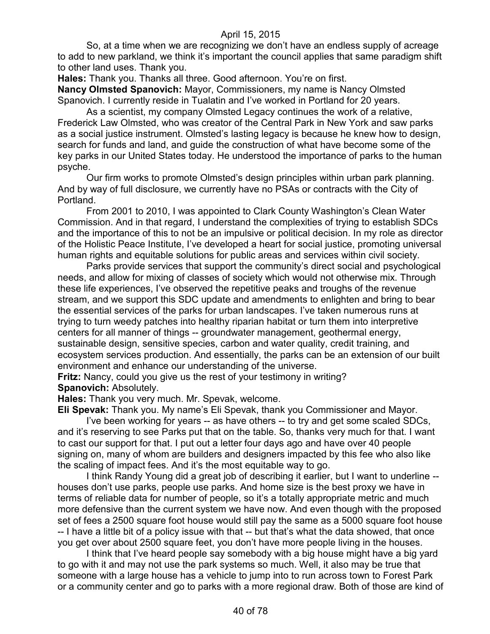So, at a time when we are recognizing we don't have an endless supply of acreage to add to new parkland, we think it's important the council applies that same paradigm shift to other land uses. Thank you.

**Hales:** Thank you. Thanks all three. Good afternoon. You're on first. **Nancy Olmsted Spanovich:** Mayor, Commissioners, my name is Nancy Olmsted Spanovich. I currently reside in Tualatin and I've worked in Portland for 20 years.

As a scientist, my company Olmsted Legacy continues the work of a relative, Frederick Law Olmsted, who was creator of the Central Park in New York and saw parks as a social justice instrument. Olmsted's lasting legacy is because he knew how to design, search for funds and land, and guide the construction of what have become some of the key parks in our United States today. He understood the importance of parks to the human psyche.

Our firm works to promote Olmsted's design principles within urban park planning. And by way of full disclosure, we currently have no PSAs or contracts with the City of Portland.

From 2001 to 2010, I was appointed to Clark County Washington's Clean Water Commission. And in that regard, I understand the complexities of trying to establish SDCs and the importance of this to not be an impulsive or political decision. In my role as director of the Holistic Peace Institute, I've developed a heart for social justice, promoting universal human rights and equitable solutions for public areas and services within civil society.

Parks provide services that support the community's direct social and psychological needs, and allow for mixing of classes of society which would not otherwise mix. Through these life experiences, I've observed the repetitive peaks and troughs of the revenue stream, and we support this SDC update and amendments to enlighten and bring to bear the essential services of the parks for urban landscapes. I've taken numerous runs at trying to turn weedy patches into healthy riparian habitat or turn them into interpretive centers for all manner of things -- groundwater management, geothermal energy, sustainable design, sensitive species, carbon and water quality, credit training, and ecosystem services production. And essentially, the parks can be an extension of our built environment and enhance our understanding of the universe.

**Fritz:** Nancy, could you give us the rest of your testimony in writing? **Spanovich:** Absolutely.

**Hales:** Thank you very much. Mr. Spevak, welcome.

**Eli Spevak:** Thank you. My name's Eli Spevak, thank you Commissioner and Mayor.

I've been working for years -- as have others -- to try and get some scaled SDCs, and it's reserving to see Parks put that on the table. So, thanks very much for that. I want to cast our support for that. I put out a letter four days ago and have over 40 people signing on, many of whom are builders and designers impacted by this fee who also like the scaling of impact fees. And it's the most equitable way to go.

I think Randy Young did a great job of describing it earlier, but I want to underline - houses don't use parks, people use parks. And home size is the best proxy we have in terms of reliable data for number of people, so it's a totally appropriate metric and much more defensive than the current system we have now. And even though with the proposed set of fees a 2500 square foot house would still pay the same as a 5000 square foot house -- I have a little bit of a policy issue with that -- but that's what the data showed, that once you get over about 2500 square feet, you don't have more people living in the houses.

I think that I've heard people say somebody with a big house might have a big yard to go with it and may not use the park systems so much. Well, it also may be true that someone with a large house has a vehicle to jump into to run across town to Forest Park or a community center and go to parks with a more regional draw. Both of those are kind of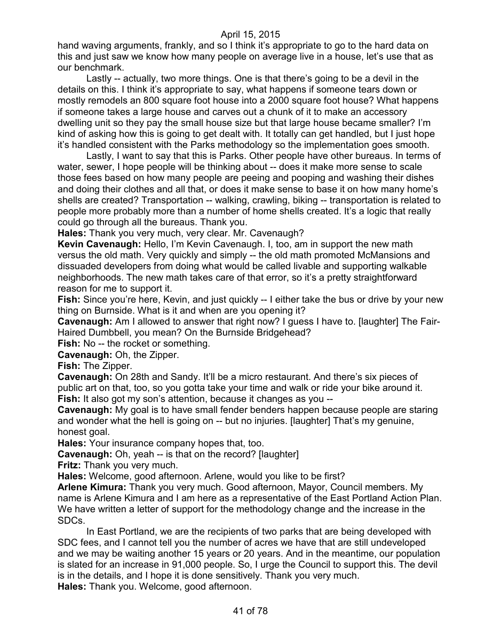hand waving arguments, frankly, and so I think it's appropriate to go to the hard data on this and just saw we know how many people on average live in a house, let's use that as our benchmark.

Lastly -- actually, two more things. One is that there's going to be a devil in the details on this. I think it's appropriate to say, what happens if someone tears down or mostly remodels an 800 square foot house into a 2000 square foot house? What happens if someone takes a large house and carves out a chunk of it to make an accessory dwelling unit so they pay the small house size but that large house became smaller? I'm kind of asking how this is going to get dealt with. It totally can get handled, but I just hope it's handled consistent with the Parks methodology so the implementation goes smooth.

Lastly, I want to say that this is Parks. Other people have other bureaus. In terms of water, sewer, I hope people will be thinking about -- does it make more sense to scale those fees based on how many people are peeing and pooping and washing their dishes and doing their clothes and all that, or does it make sense to base it on how many home's shells are created? Transportation -- walking, crawling, biking -- transportation is related to people more probably more than a number of home shells created. It's a logic that really could go through all the bureaus. Thank you.

**Hales:** Thank you very much, very clear. Mr. Cavenaugh?

**Kevin Cavenaugh:** Hello, I'm Kevin Cavenaugh. I, too, am in support the new math versus the old math. Very quickly and simply -- the old math promoted McMansions and dissuaded developers from doing what would be called livable and supporting walkable neighborhoods. The new math takes care of that error, so it's a pretty straightforward reason for me to support it.

Fish: Since you're here, Kevin, and just quickly -- I either take the bus or drive by your new thing on Burnside. What is it and when are you opening it?

**Cavenaugh:** Am I allowed to answer that right now? I guess I have to. [laughter] The Fair-Haired Dumbbell, you mean? On the Burnside Bridgehead?

**Fish:** No -- the rocket or something.

**Cavenaugh:** Oh, the Zipper.

**Fish:** The Zipper.

**Cavenaugh:** On 28th and Sandy. It'll be a micro restaurant. And there's six pieces of public art on that, too, so you gotta take your time and walk or ride your bike around it. **Fish:** It also got my son's attention, because it changes as you --

**Cavenaugh:** My goal is to have small fender benders happen because people are staring and wonder what the hell is going on -- but no injuries. [laughter] That's my genuine, honest goal.

**Hales:** Your insurance company hopes that, too.

**Cavenaugh:** Oh, yeah -- is that on the record? [laughter]

**Fritz:** Thank you very much.

**Hales:** Welcome, good afternoon. Arlene, would you like to be first?

**Arlene Kimura:** Thank you very much. Good afternoon, Mayor, Council members. My name is Arlene Kimura and I am here as a representative of the East Portland Action Plan. We have written a letter of support for the methodology change and the increase in the SDCs.

In East Portland, we are the recipients of two parks that are being developed with SDC fees, and I cannot tell you the number of acres we have that are still undeveloped and we may be waiting another 15 years or 20 years. And in the meantime, our population is slated for an increase in 91,000 people. So, I urge the Council to support this. The devil is in the details, and I hope it is done sensitively. Thank you very much. **Hales:** Thank you. Welcome, good afternoon.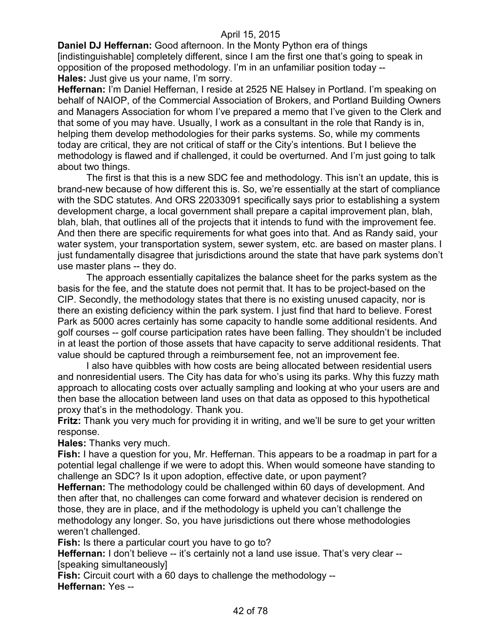**Daniel DJ Heffernan:** Good afternoon. In the Monty Python era of things [indistinguishable] completely different, since I am the first one that's going to speak in opposition of the proposed methodology. I'm in an unfamiliar position today -- **Hales:** Just give us your name, I'm sorry.

**Heffernan:** I'm Daniel Heffernan, I reside at 2525 NE Halsey in Portland. I'm speaking on behalf of NAIOP, of the Commercial Association of Brokers, and Portland Building Owners and Managers Association for whom I've prepared a memo that I've given to the Clerk and that some of you may have. Usually, I work as a consultant in the role that Randy is in, helping them develop methodologies for their parks systems. So, while my comments today are critical, they are not critical of staff or the City's intentions. But I believe the methodology is flawed and if challenged, it could be overturned. And I'm just going to talk about two things.

The first is that this is a new SDC fee and methodology. This isn't an update, this is brand-new because of how different this is. So, we're essentially at the start of compliance with the SDC statutes. And ORS 22033091 specifically says prior to establishing a system development charge, a local government shall prepare a capital improvement plan, blah, blah, blah, that outlines all of the projects that it intends to fund with the improvement fee. And then there are specific requirements for what goes into that. And as Randy said, your water system, your transportation system, sewer system, etc. are based on master plans. I just fundamentally disagree that jurisdictions around the state that have park systems don't use master plans -- they do.

The approach essentially capitalizes the balance sheet for the parks system as the basis for the fee, and the statute does not permit that. It has to be project-based on the CIP. Secondly, the methodology states that there is no existing unused capacity, nor is there an existing deficiency within the park system. I just find that hard to believe. Forest Park as 5000 acres certainly has some capacity to handle some additional residents. And golf courses -- golf course participation rates have been falling. They shouldn't be included in at least the portion of those assets that have capacity to serve additional residents. That value should be captured through a reimbursement fee, not an improvement fee.

I also have quibbles with how costs are being allocated between residential users and nonresidential users. The City has data for who's using its parks. Why this fuzzy math approach to allocating costs over actually sampling and looking at who your users are and then base the allocation between land uses on that data as opposed to this hypothetical proxy that's in the methodology. Thank you.

**Fritz:** Thank you very much for providing it in writing, and we'll be sure to get your written response.

**Hales:** Thanks very much.

**Fish:** I have a question for you, Mr. Heffernan. This appears to be a roadmap in part for a potential legal challenge if we were to adopt this. When would someone have standing to challenge an SDC? Is it upon adoption, effective date, or upon payment?

**Heffernan:** The methodology could be challenged within 60 days of development. And then after that, no challenges can come forward and whatever decision is rendered on those, they are in place, and if the methodology is upheld you can't challenge the methodology any longer. So, you have jurisdictions out there whose methodologies weren't challenged.

**Fish:** Is there a particular court you have to go to?

**Heffernan:** I don't believe -- it's certainly not a land use issue. That's very clear --[speaking simultaneously]

**Fish:** Circuit court with a 60 days to challenge the methodology --

**Heffernan:** Yes --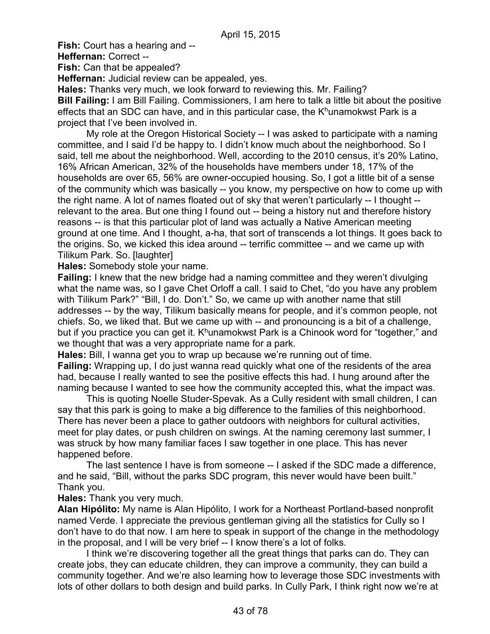**Fish:** Court has a hearing and --

**Heffernan:** Correct --

**Fish:** Can that be appealed?

**Heffernan:** Judicial review can be appealed, yes.

**Hales:** Thanks very much, we look forward to reviewing this. Mr. Failing? **Bill Failing:** I am Bill Failing. Commissioners, I am here to talk a little bit about the positive effects that an SDC can have, and in this particular case, the  $K<sup>h</sup>$ unamokwst Park is a project that I've been involved in.

My role at the Oregon Historical Society -- I was asked to participate with a naming committee, and I said I'd be happy to. I didn't know much about the neighborhood. So I said, tell me about the neighborhood. Well, according to the 2010 census, it's 20% Latino, 16% African American, 32% of the households have members under 18, 17% of the households are over 65, 56% are owner-occupied housing. So, I got a little bit of a sense of the community which was basically -- you know, my perspective on how to come up with the right name. A lot of names floated out of sky that weren't particularly -- I thought - relevant to the area. But one thing I found out -- being a history nut and therefore history reasons -- is that this particular plot of land was actually a Native American meeting ground at one time. And I thought, a-ha, that sort of transcends a lot things. It goes back to the origins. So, we kicked this idea around -- terrific committee -- and we came up with Tilikum Park. So. [laughter]

**Hales:** Somebody stole your name.

**Failing:** I knew that the new bridge had a naming committee and they weren't divulging what the name was, so I gave Chet Orloff a call. I said to Chet, "do you have any problem with Tilikum Park?" "Bill, I do. Don't." So, we came up with another name that still addresses -- by the way, Tilikum basically means for people, and it's common people, not chiefs. So, we liked that. But we came up with -- and pronouncing is a bit of a challenge, but if you practice you can get it.  $K^h$ unamokwst Park is a Chinook word for "together," and we thought that was a very appropriate name for a park.

**Hales:** Bill, I wanna get you to wrap up because we're running out of time. **Failing:** Wrapping up, I do just wanna read quickly what one of the residents of the area had, because I really wanted to see the positive effects this had. I hung around after the naming because I wanted to see how the community accepted this, what the impact was.

This is quoting Noelle Studer-Spevak. As a Cully resident with small children, I can say that this park is going to make a big difference to the families of this neighborhood. There has never been a place to gather outdoors with neighbors for cultural activities, meet for play dates, or push children on swings. At the naming ceremony last summer, I was struck by how many familiar faces I saw together in one place. This has never happened before.

The last sentence I have is from someone -- I asked if the SDC made a difference, and he said, "Bill, without the parks SDC program, this never would have been built." Thank you.

# **Hales:** Thank you very much.

**Alan Hipólito:** My name is Alan Hipólito, I work for a Northeast Portland-based nonprofit named Verde. I appreciate the previous gentleman giving all the statistics for Cully so I don't have to do that now. I am here to speak in support of the change in the methodology in the proposal, and I will be very brief -- I know there's a lot of folks.

I think we're discovering together all the great things that parks can do. They can create jobs, they can educate children, they can improve a community, they can build a community together. And we're also learning how to leverage those SDC investments with lots of other dollars to both design and build parks. In Cully Park, I think right now we're at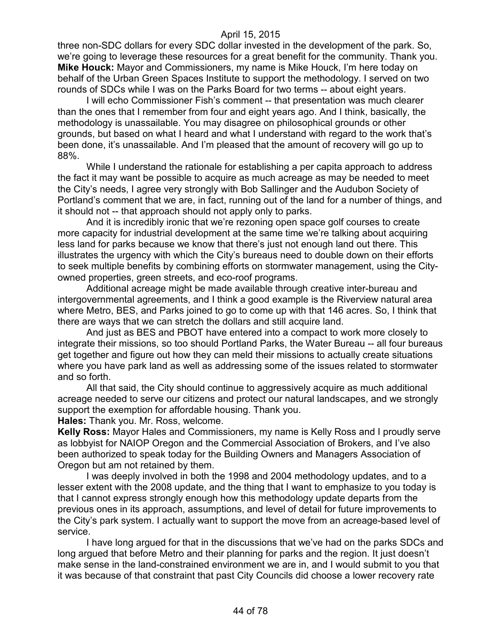three non-SDC dollars for every SDC dollar invested in the development of the park. So, we're going to leverage these resources for a great benefit for the community. Thank you. **Mike Houck:** Mayor and Commissioners, my name is Mike Houck, I'm here today on behalf of the Urban Green Spaces Institute to support the methodology. I served on two rounds of SDCs while I was on the Parks Board for two terms -- about eight years.

I will echo Commissioner Fish's comment -- that presentation was much clearer than the ones that I remember from four and eight years ago. And I think, basically, the methodology is unassailable. You may disagree on philosophical grounds or other grounds, but based on what I heard and what I understand with regard to the work that's been done, it's unassailable. And I'm pleased that the amount of recovery will go up to 88%.

While I understand the rationale for establishing a per capita approach to address the fact it may want be possible to acquire as much acreage as may be needed to meet the City's needs, I agree very strongly with Bob Sallinger and the Audubon Society of Portland's comment that we are, in fact, running out of the land for a number of things, and it should not -- that approach should not apply only to parks.

And it is incredibly ironic that we're rezoning open space golf courses to create more capacity for industrial development at the same time we're talking about acquiring less land for parks because we know that there's just not enough land out there. This illustrates the urgency with which the City's bureaus need to double down on their efforts to seek multiple benefits by combining efforts on stormwater management, using the Cityowned properties, green streets, and eco-roof programs.

Additional acreage might be made available through creative inter-bureau and intergovernmental agreements, and I think a good example is the Riverview natural area where Metro, BES, and Parks joined to go to come up with that 146 acres. So, I think that there are ways that we can stretch the dollars and still acquire land.

And just as BES and PBOT have entered into a compact to work more closely to integrate their missions, so too should Portland Parks, the Water Bureau -- all four bureaus get together and figure out how they can meld their missions to actually create situations where you have park land as well as addressing some of the issues related to stormwater and so forth.

All that said, the City should continue to aggressively acquire as much additional acreage needed to serve our citizens and protect our natural landscapes, and we strongly support the exemption for affordable housing. Thank you.

**Hales:** Thank you. Mr. Ross, welcome.

**Kelly Ross:** Mayor Hales and Commissioners, my name is Kelly Ross and I proudly serve as lobbyist for NAIOP Oregon and the Commercial Association of Brokers, and I've also been authorized to speak today for the Building Owners and Managers Association of Oregon but am not retained by them.

I was deeply involved in both the 1998 and 2004 methodology updates, and to a lesser extent with the 2008 update, and the thing that I want to emphasize to you today is that I cannot express strongly enough how this methodology update departs from the previous ones in its approach, assumptions, and level of detail for future improvements to the City's park system. I actually want to support the move from an acreage-based level of service.

I have long argued for that in the discussions that we've had on the parks SDCs and long argued that before Metro and their planning for parks and the region. It just doesn't make sense in the land-constrained environment we are in, and I would submit to you that it was because of that constraint that past City Councils did choose a lower recovery rate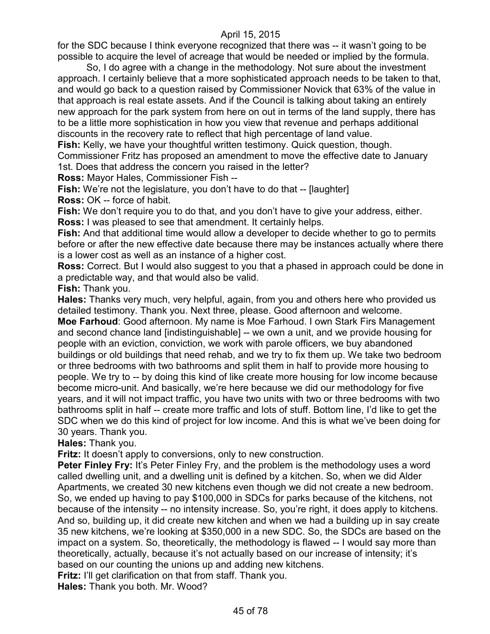for the SDC because I think everyone recognized that there was -- it wasn't going to be possible to acquire the level of acreage that would be needed or implied by the formula.

So, I do agree with a change in the methodology. Not sure about the investment approach. I certainly believe that a more sophisticated approach needs to be taken to that, and would go back to a question raised by Commissioner Novick that 63% of the value in that approach is real estate assets. And if the Council is talking about taking an entirely new approach for the park system from here on out in terms of the land supply, there has to be a little more sophistication in how you view that revenue and perhaps additional discounts in the recovery rate to reflect that high percentage of land value.

**Fish:** Kelly, we have your thoughtful written testimony. Quick question, though.

Commissioner Fritz has proposed an amendment to move the effective date to January

1st. Does that address the concern you raised in the letter?

**Ross:** Mayor Hales, Commissioner Fish --

**Fish:** We're not the legislature, you don't have to do that -- [laughter] **Ross:** OK -- force of habit.

**Fish:** We don't require you to do that, and you don't have to give your address, either. **Ross:** I was pleased to see that amendment. It certainly helps.

**Fish:** And that additional time would allow a developer to decide whether to go to permits before or after the new effective date because there may be instances actually where there is a lower cost as well as an instance of a higher cost.

**Ross:** Correct. But I would also suggest to you that a phased in approach could be done in a predictable way, and that would also be valid.

**Fish:** Thank you.

**Hales:** Thanks very much, very helpful, again, from you and others here who provided us detailed testimony. Thank you. Next three, please. Good afternoon and welcome.

**Moe Farhoud**: Good afternoon. My name is Moe Farhoud. I own Stark Firs Management and second chance land [indistinguishable] -- we own a unit, and we provide housing for people with an eviction, conviction, we work with parole officers, we buy abandoned buildings or old buildings that need rehab, and we try to fix them up. We take two bedroom or three bedrooms with two bathrooms and split them in half to provide more housing to people. We try to -- by doing this kind of like create more housing for low income because become micro-unit. And basically, we're here because we did our methodology for five years, and it will not impact traffic, you have two units with two or three bedrooms with two bathrooms split in half -- create more traffic and lots of stuff. Bottom line, I'd like to get the SDC when we do this kind of project for low income. And this is what we've been doing for 30 years. Thank you.

**Hales:** Thank you.

**Fritz:** It doesn't apply to conversions, only to new construction.

**Peter Finley Fry:** It's Peter Finley Fry, and the problem is the methodology uses a word called dwelling unit, and a dwelling unit is defined by a kitchen. So, when we did Alder Apartments, we created 30 new kitchens even though we did not create a new bedroom. So, we ended up having to pay \$100,000 in SDCs for parks because of the kitchens, not because of the intensity -- no intensity increase. So, you're right, it does apply to kitchens. And so, building up, it did create new kitchen and when we had a building up in say create 35 new kitchens, we're looking at \$350,000 in a new SDC. So, the SDCs are based on the impact on a system. So, theoretically, the methodology is flawed -- I would say more than theoretically, actually, because it's not actually based on our increase of intensity; it's based on our counting the unions up and adding new kitchens.

**Fritz:** I'll get clarification on that from staff. Thank you.

**Hales:** Thank you both. Mr. Wood?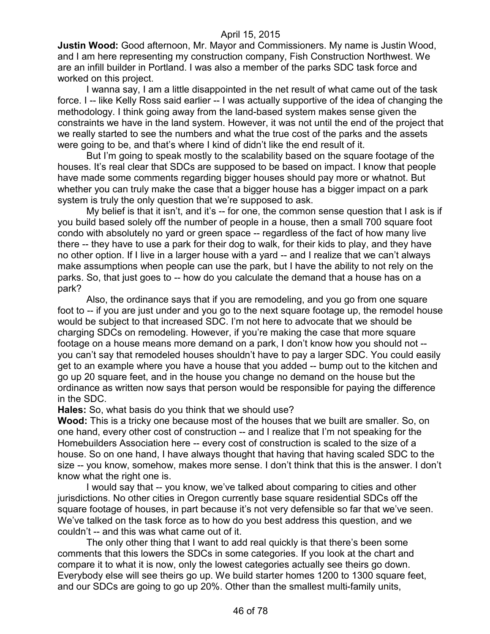**Justin Wood:** Good afternoon, Mr. Mayor and Commissioners. My name is Justin Wood, and I am here representing my construction company, Fish Construction Northwest. We are an infill builder in Portland. I was also a member of the parks SDC task force and worked on this project.

I wanna say, I am a little disappointed in the net result of what came out of the task force. I -- like Kelly Ross said earlier -- I was actually supportive of the idea of changing the methodology. I think going away from the land-based system makes sense given the constraints we have in the land system. However, it was not until the end of the project that we really started to see the numbers and what the true cost of the parks and the assets were going to be, and that's where I kind of didn't like the end result of it.

But I'm going to speak mostly to the scalability based on the square footage of the houses. It's real clear that SDCs are supposed to be based on impact. I know that people have made some comments regarding bigger houses should pay more or whatnot. But whether you can truly make the case that a bigger house has a bigger impact on a park system is truly the only question that we're supposed to ask.

My belief is that it isn't, and it's -- for one, the common sense question that I ask is if you build based solely off the number of people in a house, then a small 700 square foot condo with absolutely no yard or green space -- regardless of the fact of how many live there -- they have to use a park for their dog to walk, for their kids to play, and they have no other option. If I live in a larger house with a yard -- and I realize that we can't always make assumptions when people can use the park, but I have the ability to not rely on the parks. So, that just goes to -- how do you calculate the demand that a house has on a park?

Also, the ordinance says that if you are remodeling, and you go from one square foot to -- if you are just under and you go to the next square footage up, the remodel house would be subject to that increased SDC. I'm not here to advocate that we should be charging SDCs on remodeling. However, if you're making the case that more square footage on a house means more demand on a park, I don't know how you should not - you can't say that remodeled houses shouldn't have to pay a larger SDC. You could easily get to an example where you have a house that you added -- bump out to the kitchen and go up 20 square feet, and in the house you change no demand on the house but the ordinance as written now says that person would be responsible for paying the difference in the SDC.

**Hales:** So, what basis do you think that we should use?

**Wood:** This is a tricky one because most of the houses that we built are smaller. So, on one hand, every other cost of construction -- and I realize that I'm not speaking for the Homebuilders Association here -- every cost of construction is scaled to the size of a house. So on one hand, I have always thought that having that having scaled SDC to the size -- you know, somehow, makes more sense. I don't think that this is the answer. I don't know what the right one is.

I would say that -- you know, we've talked about comparing to cities and other jurisdictions. No other cities in Oregon currently base square residential SDCs off the square footage of houses, in part because it's not very defensible so far that we've seen. We've talked on the task force as to how do you best address this question, and we couldn't -- and this was what came out of it.

The only other thing that I want to add real quickly is that there's been some comments that this lowers the SDCs in some categories. If you look at the chart and compare it to what it is now, only the lowest categories actually see theirs go down. Everybody else will see theirs go up. We build starter homes 1200 to 1300 square feet, and our SDCs are going to go up 20%. Other than the smallest multi-family units,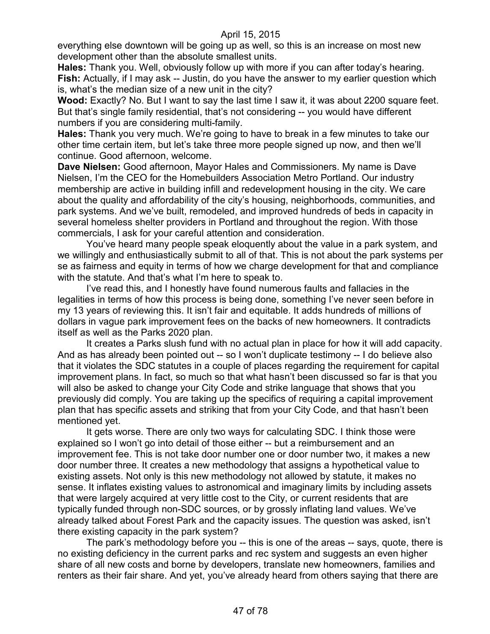everything else downtown will be going up as well, so this is an increase on most new development other than the absolute smallest units.

**Hales:** Thank you. Well, obviously follow up with more if you can after today's hearing. **Fish:** Actually, if I may ask -- Justin, do you have the answer to my earlier question which is, what's the median size of a new unit in the city?

**Wood:** Exactly? No. But I want to say the last time I saw it, it was about 2200 square feet. But that's single family residential, that's not considering -- you would have different numbers if you are considering multi-family.

**Hales:** Thank you very much. We're going to have to break in a few minutes to take our other time certain item, but let's take three more people signed up now, and then we'll continue. Good afternoon, welcome.

**Dave Nielsen:** Good afternoon, Mayor Hales and Commissioners. My name is Dave Nielsen, I'm the CEO for the Homebuilders Association Metro Portland. Our industry membership are active in building infill and redevelopment housing in the city. We care about the quality and affordability of the city's housing, neighborhoods, communities, and park systems. And we've built, remodeled, and improved hundreds of beds in capacity in several homeless shelter providers in Portland and throughout the region. With those commercials, I ask for your careful attention and consideration.

You've heard many people speak eloquently about the value in a park system, and we willingly and enthusiastically submit to all of that. This is not about the park systems per se as fairness and equity in terms of how we charge development for that and compliance with the statute. And that's what I'm here to speak to.

I've read this, and I honestly have found numerous faults and fallacies in the legalities in terms of how this process is being done, something I've never seen before in my 13 years of reviewing this. It isn't fair and equitable. It adds hundreds of millions of dollars in vague park improvement fees on the backs of new homeowners. It contradicts itself as well as the Parks 2020 plan.

It creates a Parks slush fund with no actual plan in place for how it will add capacity. And as has already been pointed out -- so I won't duplicate testimony -- I do believe also that it violates the SDC statutes in a couple of places regarding the requirement for capital improvement plans. In fact, so much so that what hasn't been discussed so far is that you will also be asked to change your City Code and strike language that shows that you previously did comply. You are taking up the specifics of requiring a capital improvement plan that has specific assets and striking that from your City Code, and that hasn't been mentioned yet.

It gets worse. There are only two ways for calculating SDC. I think those were explained so I won't go into detail of those either -- but a reimbursement and an improvement fee. This is not take door number one or door number two, it makes a new door number three. It creates a new methodology that assigns a hypothetical value to existing assets. Not only is this new methodology not allowed by statute, it makes no sense. It inflates existing values to astronomical and imaginary limits by including assets that were largely acquired at very little cost to the City, or current residents that are typically funded through non-SDC sources, or by grossly inflating land values. We've already talked about Forest Park and the capacity issues. The question was asked, isn't there existing capacity in the park system?

The park's methodology before you -- this is one of the areas -- says, quote, there is no existing deficiency in the current parks and rec system and suggests an even higher share of all new costs and borne by developers, translate new homeowners, families and renters as their fair share. And yet, you've already heard from others saying that there are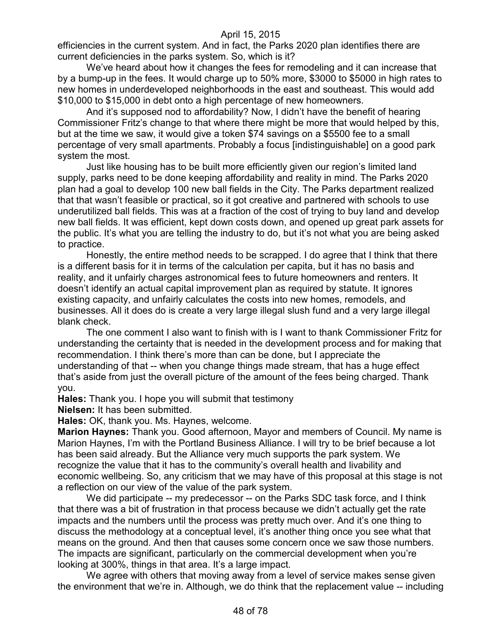efficiencies in the current system. And in fact, the Parks 2020 plan identifies there are current deficiencies in the parks system. So, which is it?

We've heard about how it changes the fees for remodeling and it can increase that by a bump-up in the fees. It would charge up to 50% more, \$3000 to \$5000 in high rates to new homes in underdeveloped neighborhoods in the east and southeast. This would add \$10,000 to \$15,000 in debt onto a high percentage of new homeowners.

And it's supposed nod to affordability? Now, I didn't have the benefit of hearing Commissioner Fritz's change to that where there might be more that would helped by this, but at the time we saw, it would give a token \$74 savings on a \$5500 fee to a small percentage of very small apartments. Probably a focus [indistinguishable] on a good park system the most.

Just like housing has to be built more efficiently given our region's limited land supply, parks need to be done keeping affordability and reality in mind. The Parks 2020 plan had a goal to develop 100 new ball fields in the City. The Parks department realized that that wasn't feasible or practical, so it got creative and partnered with schools to use underutilized ball fields. This was at a fraction of the cost of trying to buy land and develop new ball fields. It was efficient, kept down costs down, and opened up great park assets for the public. It's what you are telling the industry to do, but it's not what you are being asked to practice.

Honestly, the entire method needs to be scrapped. I do agree that I think that there is a different basis for it in terms of the calculation per capita, but it has no basis and reality, and it unfairly charges astronomical fees to future homeowners and renters. It doesn't identify an actual capital improvement plan as required by statute. It ignores existing capacity, and unfairly calculates the costs into new homes, remodels, and businesses. All it does do is create a very large illegal slush fund and a very large illegal blank check.

The one comment I also want to finish with is I want to thank Commissioner Fritz for understanding the certainty that is needed in the development process and for making that recommendation. I think there's more than can be done, but I appreciate the understanding of that -- when you change things made stream, that has a huge effect that's aside from just the overall picture of the amount of the fees being charged. Thank you.

**Hales:** Thank you. I hope you will submit that testimony

**Nielsen:** It has been submitted.

**Hales:** OK, thank you. Ms. Haynes, welcome.

**Marion Haynes:** Thank you. Good afternoon, Mayor and members of Council. My name is Marion Haynes, I'm with the Portland Business Alliance. I will try to be brief because a lot has been said already. But the Alliance very much supports the park system. We recognize the value that it has to the community's overall health and livability and economic wellbeing. So, any criticism that we may have of this proposal at this stage is not a reflection on our view of the value of the park system.

We did participate -- my predecessor -- on the Parks SDC task force, and I think that there was a bit of frustration in that process because we didn't actually get the rate impacts and the numbers until the process was pretty much over. And it's one thing to discuss the methodology at a conceptual level, it's another thing once you see what that means on the ground. And then that causes some concern once we saw those numbers. The impacts are significant, particularly on the commercial development when you're looking at 300%, things in that area. It's a large impact.

We agree with others that moving away from a level of service makes sense given the environment that we're in. Although, we do think that the replacement value -- including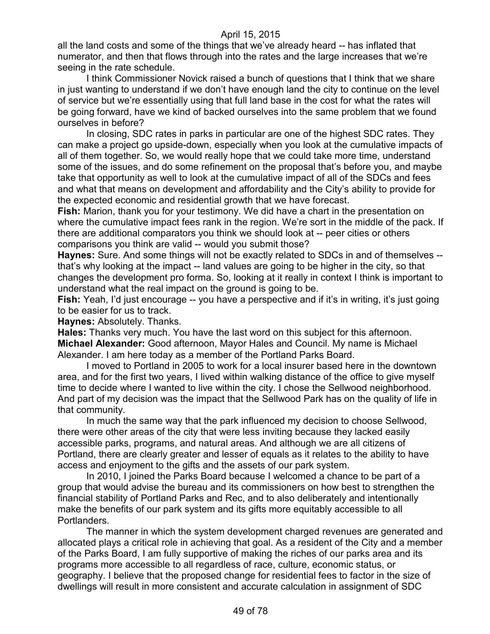all the land costs and some of the things that we've already heard -- has inflated that numerator, and then that flows through into the rates and the large increases that we're seeing in the rate schedule.

I think Commissioner Novick raised a bunch of questions that I think that we share in just wanting to understand if we don't have enough land the city to continue on the level of service but we're essentially using that full land base in the cost for what the rates will be going forward, have we kind of backed ourselves into the same problem that we found ourselves in before?

In closing, SDC rates in parks in particular are one of the highest SDC rates. They can make a project go upside-down, especially when you look at the cumulative impacts of all of them together. So, we would really hope that we could take more time, understand some of the issues, and do some refinement on the proposal that's before you, and maybe take that opportunity as well to look at the cumulative impact of all of the SDCs and fees and what that means on development and affordability and the City's ability to provide for the expected economic and residential growth that we have forecast.

**Fish:** Marion, thank you for your testimony. We did have a chart in the presentation on where the cumulative impact fees rank in the region. We're sort in the middle of the pack. If there are additional comparators you think we should look at -- peer cities or others comparisons you think are valid -- would you submit those?

**Haynes:** Sure. And some things will not be exactly related to SDCs in and of themselves - that's why looking at the impact -- land values are going to be higher in the city, so that changes the development pro forma. So, looking at it really in context I think is important to understand what the real impact on the ground is going to be.

**Fish:** Yeah, I'd just encourage -- you have a perspective and if it's in writing, it's just going to be easier for us to track.

**Haynes:** Absolutely. Thanks.

**Hales:** Thanks very much. You have the last word on this subject for this afternoon. **Michael Alexander:** Good afternoon, Mayor Hales and Council. My name is Michael Alexander. I am here today as a member of the Portland Parks Board.

I moved to Portland in 2005 to work for a local insurer based here in the downtown area, and for the first two years, I lived within walking distance of the office to give myself time to decide where I wanted to live within the city. I chose the Sellwood neighborhood. And part of my decision was the impact that the Sellwood Park has on the quality of life in that community.

In much the same way that the park influenced my decision to choose Sellwood, there were other areas of the city that were less inviting because they lacked easily accessible parks, programs, and natural areas. And although we are all citizens of Portland, there are clearly greater and lesser of equals as it relates to the ability to have access and enjoyment to the gifts and the assets of our park system.

In 2010, I joined the Parks Board because I welcomed a chance to be part of a group that would advise the bureau and its commissioners on how best to strengthen the financial stability of Portland Parks and Rec, and to also deliberately and intentionally make the benefits of our park system and its gifts more equitably accessible to all Portlanders.

The manner in which the system development charged revenues are generated and allocated plays a critical role in achieving that goal. As a resident of the City and a member of the Parks Board, I am fully supportive of making the riches of our parks area and its programs more accessible to all regardless of race, culture, economic status, or geography. I believe that the proposed change for residential fees to factor in the size of dwellings will result in more consistent and accurate calculation in assignment of SDC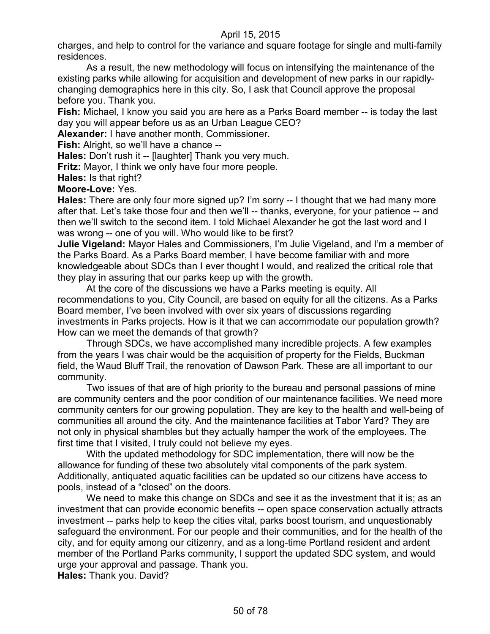charges, and help to control for the variance and square footage for single and multi-family residences.

As a result, the new methodology will focus on intensifying the maintenance of the existing parks while allowing for acquisition and development of new parks in our rapidlychanging demographics here in this city. So, I ask that Council approve the proposal before you. Thank you.

**Fish:** Michael, I know you said you are here as a Parks Board member -- is today the last day you will appear before us as an Urban League CEO?

**Alexander:** I have another month, Commissioner.

**Fish:** Alright, so we'll have a chance --

**Hales:** Don't rush it -- [laughter] Thank you very much.

**Fritz:** Mayor, I think we only have four more people.

**Hales:** Is that right?

**Moore-Love:** Yes.

**Hales:** There are only four more signed up? I'm sorry -- I thought that we had many more after that. Let's take those four and then we'll -- thanks, everyone, for your patience -- and then we'll switch to the second item. I told Michael Alexander he got the last word and I was wrong -- one of you will. Who would like to be first?

**Julie Vigeland:** Mayor Hales and Commissioners, I'm Julie Vigeland, and I'm a member of the Parks Board. As a Parks Board member, I have become familiar with and more knowledgeable about SDCs than I ever thought I would, and realized the critical role that they play in assuring that our parks keep up with the growth.

At the core of the discussions we have a Parks meeting is equity. All recommendations to you, City Council, are based on equity for all the citizens. As a Parks Board member, I've been involved with over six years of discussions regarding investments in Parks projects. How is it that we can accommodate our population growth? How can we meet the demands of that growth?

Through SDCs, we have accomplished many incredible projects. A few examples from the years I was chair would be the acquisition of property for the Fields, Buckman field, the Waud Bluff Trail, the renovation of Dawson Park. These are all important to our community.

Two issues of that are of high priority to the bureau and personal passions of mine are community centers and the poor condition of our maintenance facilities. We need more community centers for our growing population. They are key to the health and well-being of communities all around the city. And the maintenance facilities at Tabor Yard? They are not only in physical shambles but they actually hamper the work of the employees. The first time that I visited, I truly could not believe my eyes.

With the updated methodology for SDC implementation, there will now be the allowance for funding of these two absolutely vital components of the park system. Additionally, antiquated aquatic facilities can be updated so our citizens have access to pools, instead of a "closed" on the doors.

We need to make this change on SDCs and see it as the investment that it is; as an investment that can provide economic benefits -- open space conservation actually attracts investment -- parks help to keep the cities vital, parks boost tourism, and unquestionably safeguard the environment. For our people and their communities, and for the health of the city, and for equity among our citizenry, and as a long-time Portland resident and ardent member of the Portland Parks community, I support the updated SDC system, and would urge your approval and passage. Thank you.

**Hales:** Thank you. David?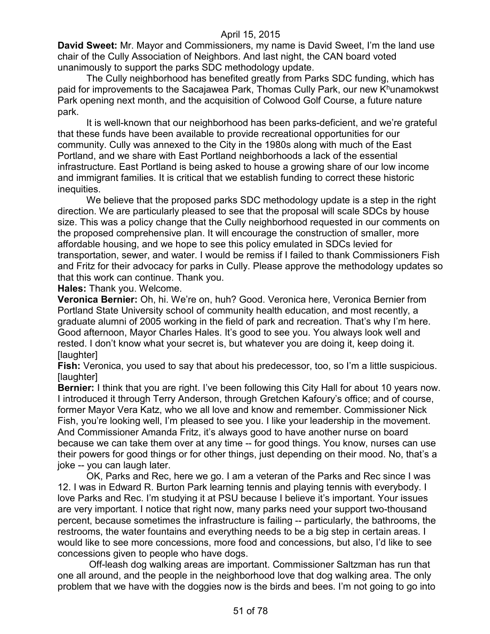**David Sweet:** Mr. Mayor and Commissioners, my name is David Sweet, I'm the land use chair of the Cully Association of Neighbors. And last night, the CAN board voted unanimously to support the parks SDC methodology update.

The Cully neighborhood has benefited greatly from Parks SDC funding, which has paid for improvements to the Sacajawea Park, Thomas Cully Park, our new K<sup>h</sup>unamokwst Park opening next month, and the acquisition of Colwood Golf Course, a future nature park.

It is well-known that our neighborhood has been parks-deficient, and we're grateful that these funds have been available to provide recreational opportunities for our community. Cully was annexed to the City in the 1980s along with much of the East Portland, and we share with East Portland neighborhoods a lack of the essential infrastructure. East Portland is being asked to house a growing share of our low income and immigrant families. It is critical that we establish funding to correct these historic inequities.

We believe that the proposed parks SDC methodology update is a step in the right direction. We are particularly pleased to see that the proposal will scale SDCs by house size. This was a policy change that the Cully neighborhood requested in our comments on the proposed comprehensive plan. It will encourage the construction of smaller, more affordable housing, and we hope to see this policy emulated in SDCs levied for transportation, sewer, and water. I would be remiss if I failed to thank Commissioners Fish and Fritz for their advocacy for parks in Cully. Please approve the methodology updates so that this work can continue. Thank you.

**Hales:** Thank you. Welcome.

**Veronica Bernier:** Oh, hi. We're on, huh? Good. Veronica here, Veronica Bernier from Portland State University school of community health education, and most recently, a graduate alumni of 2005 working in the field of park and recreation. That's why I'm here. Good afternoon, Mayor Charles Hales. It's good to see you. You always look well and rested. I don't know what your secret is, but whatever you are doing it, keep doing it. [laughter]

**Fish:** Veronica, you used to say that about his predecessor, too, so I'm a little suspicious. [laughter]

**Bernier:** I think that you are right. I've been following this City Hall for about 10 years now. I introduced it through Terry Anderson, through Gretchen Kafoury's office; and of course, former Mayor Vera Katz, who we all love and know and remember. Commissioner Nick Fish, you're looking well, I'm pleased to see you. I like your leadership in the movement. And Commissioner Amanda Fritz, it's always good to have another nurse on board because we can take them over at any time -- for good things. You know, nurses can use their powers for good things or for other things, just depending on their mood. No, that's a joke -- you can laugh later.

OK, Parks and Rec, here we go. I am a veteran of the Parks and Rec since I was 12. I was in Edward R. Burton Park learning tennis and playing tennis with everybody. I love Parks and Rec. I'm studying it at PSU because I believe it's important. Your issues are very important. I notice that right now, many parks need your support two-thousand percent, because sometimes the infrastructure is failing -- particularly, the bathrooms, the restrooms, the water fountains and everything needs to be a big step in certain areas. I would like to see more concessions, more food and concessions, but also, I'd like to see concessions given to people who have dogs.

Off-leash dog walking areas are important. Commissioner Saltzman has run that one all around, and the people in the neighborhood love that dog walking area. The only problem that we have with the doggies now is the birds and bees. I'm not going to go into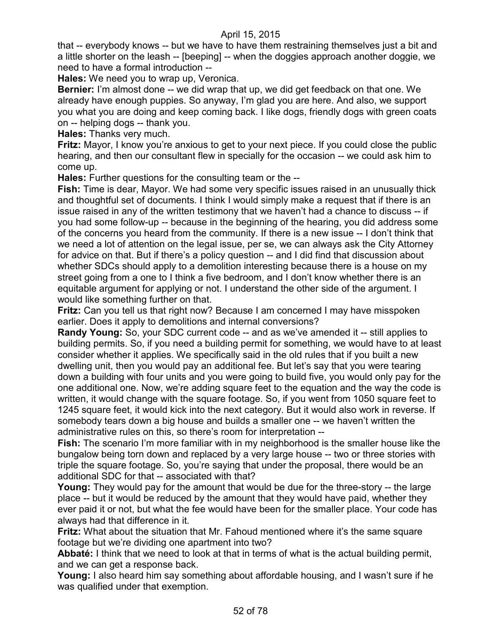that -- everybody knows -- but we have to have them restraining themselves just a bit and a little shorter on the leash -- [beeping] -- when the doggies approach another doggie, we need to have a formal introduction --

**Hales:** We need you to wrap up, Veronica.

**Bernier:** I'm almost done -- we did wrap that up, we did get feedback on that one. We already have enough puppies. So anyway, I'm glad you are here. And also, we support you what you are doing and keep coming back. I like dogs, friendly dogs with green coats on -- helping dogs -- thank you.

**Hales:** Thanks very much.

**Fritz:** Mayor, I know you're anxious to get to your next piece. If you could close the public hearing, and then our consultant flew in specially for the occasion -- we could ask him to come up.

**Hales:** Further questions for the consulting team or the --

**Fish:** Time is dear, Mayor. We had some very specific issues raised in an unusually thick and thoughtful set of documents. I think I would simply make a request that if there is an issue raised in any of the written testimony that we haven't had a chance to discuss -- if you had some follow-up -- because in the beginning of the hearing, you did address some of the concerns you heard from the community. If there is a new issue -- I don't think that we need a lot of attention on the legal issue, per se, we can always ask the City Attorney for advice on that. But if there's a policy question -- and I did find that discussion about whether SDCs should apply to a demolition interesting because there is a house on my street going from a one to I think a five bedroom, and I don't know whether there is an equitable argument for applying or not. I understand the other side of the argument. I would like something further on that.

**Fritz:** Can you tell us that right now? Because I am concerned I may have misspoken earlier. Does it apply to demolitions and internal conversions?

**Randy Young:** So, your SDC current code -- and as we've amended it -- still applies to building permits. So, if you need a building permit for something, we would have to at least consider whether it applies. We specifically said in the old rules that if you built a new dwelling unit, then you would pay an additional fee. But let's say that you were tearing down a building with four units and you were going to build five, you would only pay for the one additional one. Now, we're adding square feet to the equation and the way the code is written, it would change with the square footage. So, if you went from 1050 square feet to 1245 square feet, it would kick into the next category. But it would also work in reverse. If somebody tears down a big house and builds a smaller one -- we haven't written the administrative rules on this, so there's room for interpretation --

**Fish:** The scenario I'm more familiar with in my neighborhood is the smaller house like the bungalow being torn down and replaced by a very large house -- two or three stories with triple the square footage. So, you're saying that under the proposal, there would be an additional SDC for that -- associated with that?

**Young:** They would pay for the amount that would be due for the three-story -- the large place -- but it would be reduced by the amount that they would have paid, whether they ever paid it or not, but what the fee would have been for the smaller place. Your code has always had that difference in it.

**Fritz:** What about the situation that Mr. Fahoud mentioned where it's the same square footage but we're dividing one apartment into two?

**Abbaté:** I think that we need to look at that in terms of what is the actual building permit, and we can get a response back.

**Young:** I also heard him say something about affordable housing, and I wasn't sure if he was qualified under that exemption.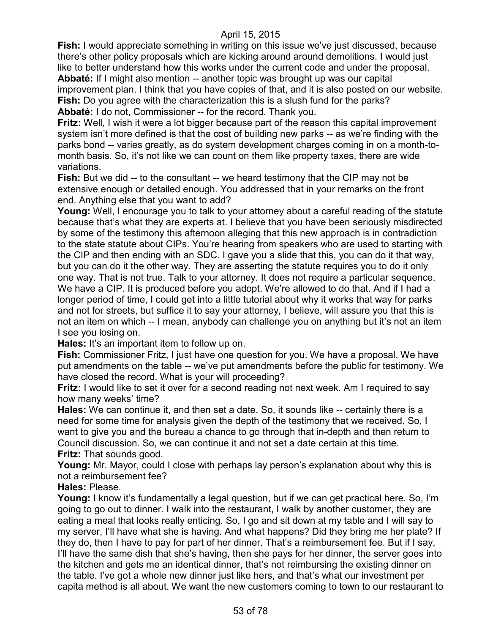**Fish:** I would appreciate something in writing on this issue we've just discussed, because there's other policy proposals which are kicking around around demolitions. I would just like to better understand how this works under the current code and under the proposal. **Abbaté:** If I might also mention -- another topic was brought up was our capital improvement plan. I think that you have copies of that, and it is also posted on our website. **Fish:** Do you agree with the characterization this is a slush fund for the parks? **Abbaté:** I do not, Commissioner -- for the record. Thank you.

**Fritz:** Well, I wish it were a lot bigger because part of the reason this capital improvement system isn't more defined is that the cost of building new parks -- as we're finding with the parks bond -- varies greatly, as do system development charges coming in on a month-tomonth basis. So, it's not like we can count on them like property taxes, there are wide variations.

**Fish:** But we did -- to the consultant -- we heard testimony that the CIP may not be extensive enough or detailed enough. You addressed that in your remarks on the front end. Anything else that you want to add?

**Young:** Well, I encourage you to talk to your attorney about a careful reading of the statute because that's what they are experts at. I believe that you have been seriously misdirected by some of the testimony this afternoon alleging that this new approach is in contradiction to the state statute about CIPs. You're hearing from speakers who are used to starting with the CIP and then ending with an SDC. I gave you a slide that this, you can do it that way, but you can do it the other way. They are asserting the statute requires you to do it only one way. That is not true. Talk to your attorney. It does not require a particular sequence. We have a CIP. It is produced before you adopt. We're allowed to do that. And if I had a longer period of time, I could get into a little tutorial about why it works that way for parks and not for streets, but suffice it to say your attorney, I believe, will assure you that this is not an item on which -- I mean, anybody can challenge you on anything but it's not an item I see you losing on.

**Hales:** It's an important item to follow up on.

**Fish:** Commissioner Fritz, I just have one question for you. We have a proposal. We have put amendments on the table -- we've put amendments before the public for testimony. We have closed the record. What is your will proceeding?

**Fritz:** I would like to set it over for a second reading not next week. Am I required to say how many weeks' time?

**Hales:** We can continue it, and then set a date. So, it sounds like -- certainly there is a need for some time for analysis given the depth of the testimony that we received. So, I want to give you and the bureau a chance to go through that in-depth and then return to Council discussion. So, we can continue it and not set a date certain at this time. **Fritz:** That sounds good.

**Young:** Mr. Mayor, could I close with perhaps lay person's explanation about why this is not a reimbursement fee?

**Hales:** Please.

**Young:** I know it's fundamentally a legal question, but if we can get practical here. So, I'm going to go out to dinner. I walk into the restaurant, I walk by another customer, they are eating a meal that looks really enticing. So, I go and sit down at my table and I will say to my server, I'll have what she is having. And what happens? Did they bring me her plate? If they do, then I have to pay for part of her dinner. That's a reimbursement fee. But if I say, I'll have the same dish that she's having, then she pays for her dinner, the server goes into the kitchen and gets me an identical dinner, that's not reimbursing the existing dinner on the table. I've got a whole new dinner just like hers, and that's what our investment per capita method is all about. We want the new customers coming to town to our restaurant to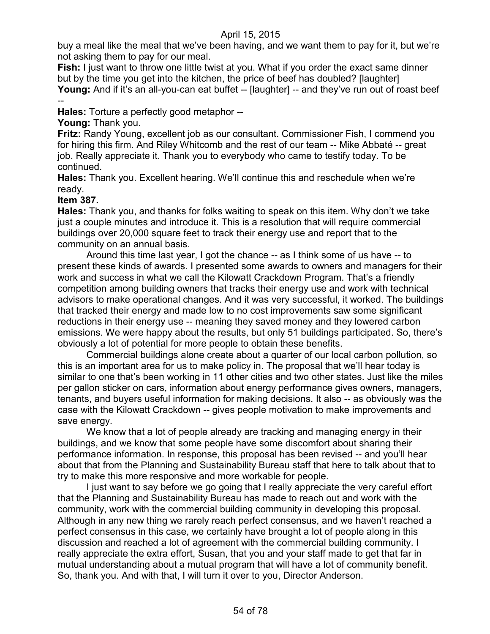buy a meal like the meal that we've been having, and we want them to pay for it, but we're not asking them to pay for our meal.

**Fish:** I just want to throw one little twist at you. What if you order the exact same dinner but by the time you get into the kitchen, the price of beef has doubled? [laughter] Young: And if it's an all-you-can eat buffet -- [laughter] -- and they've run out of roast beef --

**Hales:** Torture a perfectly good metaphor --

**Young:** Thank you.

**Fritz:** Randy Young, excellent job as our consultant. Commissioner Fish, I commend you for hiring this firm. And Riley Whitcomb and the rest of our team -- Mike Abbaté -- great job. Really appreciate it. Thank you to everybody who came to testify today. To be continued.

**Hales:** Thank you. Excellent hearing. We'll continue this and reschedule when we're ready.

# **Item 387.**

**Hales:** Thank you, and thanks for folks waiting to speak on this item. Why don't we take just a couple minutes and introduce it. This is a resolution that will require commercial buildings over 20,000 square feet to track their energy use and report that to the community on an annual basis.

Around this time last year, I got the chance -- as I think some of us have -- to present these kinds of awards. I presented some awards to owners and managers for their work and success in what we call the Kilowatt Crackdown Program. That's a friendly competition among building owners that tracks their energy use and work with technical advisors to make operational changes. And it was very successful, it worked. The buildings that tracked their energy and made low to no cost improvements saw some significant reductions in their energy use -- meaning they saved money and they lowered carbon emissions. We were happy about the results, but only 51 buildings participated. So, there's obviously a lot of potential for more people to obtain these benefits.

Commercial buildings alone create about a quarter of our local carbon pollution, so this is an important area for us to make policy in. The proposal that we'll hear today is similar to one that's been working in 11 other cities and two other states. Just like the miles per gallon sticker on cars, information about energy performance gives owners, managers, tenants, and buyers useful information for making decisions. It also -- as obviously was the case with the Kilowatt Crackdown -- gives people motivation to make improvements and save energy.

We know that a lot of people already are tracking and managing energy in their buildings, and we know that some people have some discomfort about sharing their performance information. In response, this proposal has been revised -- and you'll hear about that from the Planning and Sustainability Bureau staff that here to talk about that to try to make this more responsive and more workable for people.

I just want to say before we go going that I really appreciate the very careful effort that the Planning and Sustainability Bureau has made to reach out and work with the community, work with the commercial building community in developing this proposal. Although in any new thing we rarely reach perfect consensus, and we haven't reached a perfect consensus in this case, we certainly have brought a lot of people along in this discussion and reached a lot of agreement with the commercial building community. I really appreciate the extra effort, Susan, that you and your staff made to get that far in mutual understanding about a mutual program that will have a lot of community benefit. So, thank you. And with that, I will turn it over to you, Director Anderson.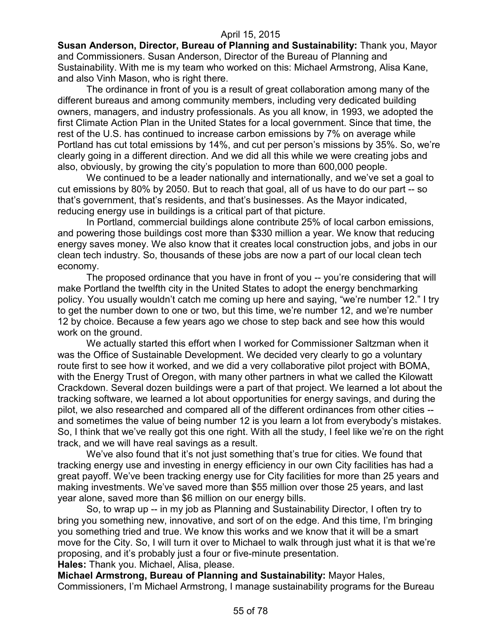**Susan Anderson, Director, Bureau of Planning and Sustainability:** Thank you, Mayor and Commissioners. Susan Anderson, Director of the Bureau of Planning and Sustainability. With me is my team who worked on this: Michael Armstrong, Alisa Kane, and also Vinh Mason, who is right there.

The ordinance in front of you is a result of great collaboration among many of the different bureaus and among community members, including very dedicated building owners, managers, and industry professionals. As you all know, in 1993, we adopted the first Climate Action Plan in the United States for a local government. Since that time, the rest of the U.S. has continued to increase carbon emissions by 7% on average while Portland has cut total emissions by 14%, and cut per person's missions by 35%. So, we're clearly going in a different direction. And we did all this while we were creating jobs and also, obviously, by growing the city's population to more than 600,000 people.

We continued to be a leader nationally and internationally, and we've set a goal to cut emissions by 80% by 2050. But to reach that goal, all of us have to do our part -- so that's government, that's residents, and that's businesses. As the Mayor indicated, reducing energy use in buildings is a critical part of that picture.

In Portland, commercial buildings alone contribute 25% of local carbon emissions, and powering those buildings cost more than \$330 million a year. We know that reducing energy saves money. We also know that it creates local construction jobs, and jobs in our clean tech industry. So, thousands of these jobs are now a part of our local clean tech economy.

The proposed ordinance that you have in front of you -- you're considering that will make Portland the twelfth city in the United States to adopt the energy benchmarking policy. You usually wouldn't catch me coming up here and saying, "we're number 12." I try to get the number down to one or two, but this time, we're number 12, and we're number 12 by choice. Because a few years ago we chose to step back and see how this would work on the ground.

We actually started this effort when I worked for Commissioner Saltzman when it was the Office of Sustainable Development. We decided very clearly to go a voluntary route first to see how it worked, and we did a very collaborative pilot project with BOMA, with the Energy Trust of Oregon, with many other partners in what we called the Kilowatt Crackdown. Several dozen buildings were a part of that project. We learned a lot about the tracking software, we learned a lot about opportunities for energy savings, and during the pilot, we also researched and compared all of the different ordinances from other cities - and sometimes the value of being number 12 is you learn a lot from everybody's mistakes. So, I think that we've really got this one right. With all the study, I feel like we're on the right track, and we will have real savings as a result.

We've also found that it's not just something that's true for cities. We found that tracking energy use and investing in energy efficiency in our own City facilities has had a great payoff. We've been tracking energy use for City facilities for more than 25 years and making investments. We've saved more than \$55 million over those 25 years, and last year alone, saved more than \$6 million on our energy bills.

So, to wrap up -- in my job as Planning and Sustainability Director, I often try to bring you something new, innovative, and sort of on the edge. And this time, I'm bringing you something tried and true. We know this works and we know that it will be a smart move for the City. So, I will turn it over to Michael to walk through just what it is that we're proposing, and it's probably just a four or five-minute presentation. **Hales:** Thank you. Michael, Alisa, please.

**Michael Armstrong, Bureau of Planning and Sustainability:** Mayor Hales, Commissioners, I'm Michael Armstrong, I manage sustainability programs for the Bureau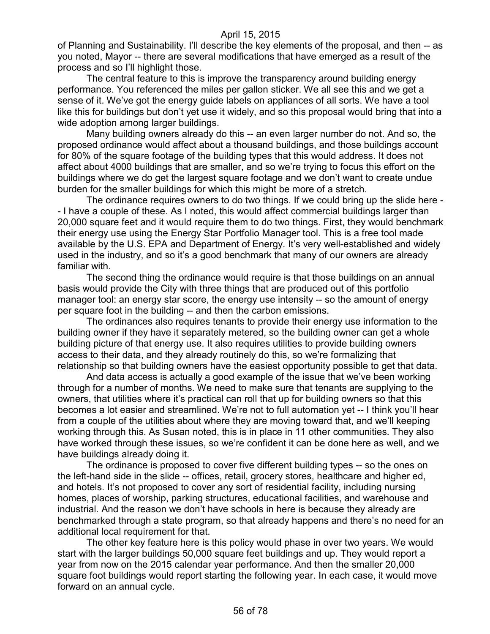of Planning and Sustainability. I'll describe the key elements of the proposal, and then -- as you noted, Mayor -- there are several modifications that have emerged as a result of the process and so I'll highlight those.

The central feature to this is improve the transparency around building energy performance. You referenced the miles per gallon sticker. We all see this and we get a sense of it. We've got the energy guide labels on appliances of all sorts. We have a tool like this for buildings but don't yet use it widely, and so this proposal would bring that into a wide adoption among larger buildings.

Many building owners already do this -- an even larger number do not. And so, the proposed ordinance would affect about a thousand buildings, and those buildings account for 80% of the square footage of the building types that this would address. It does not affect about 4000 buildings that are smaller, and so we're trying to focus this effort on the buildings where we do get the largest square footage and we don't want to create undue burden for the smaller buildings for which this might be more of a stretch.

The ordinance requires owners to do two things. If we could bring up the slide here - - I have a couple of these. As I noted, this would affect commercial buildings larger than 20,000 square feet and it would require them to do two things. First, they would benchmark their energy use using the Energy Star Portfolio Manager tool. This is a free tool made available by the U.S. EPA and Department of Energy. It's very well-established and widely used in the industry, and so it's a good benchmark that many of our owners are already familiar with.

The second thing the ordinance would require is that those buildings on an annual basis would provide the City with three things that are produced out of this portfolio manager tool: an energy star score, the energy use intensity -- so the amount of energy per square foot in the building -- and then the carbon emissions.

The ordinances also requires tenants to provide their energy use information to the building owner if they have it separately metered, so the building owner can get a whole building picture of that energy use. It also requires utilities to provide building owners access to their data, and they already routinely do this, so we're formalizing that relationship so that building owners have the easiest opportunity possible to get that data.

And data access is actually a good example of the issue that we've been working through for a number of months. We need to make sure that tenants are supplying to the owners, that utilities where it's practical can roll that up for building owners so that this becomes a lot easier and streamlined. We're not to full automation yet -- I think you'll hear from a couple of the utilities about where they are moving toward that, and we'll keeping working through this. As Susan noted, this is in place in 11 other communities. They also have worked through these issues, so we're confident it can be done here as well, and we have buildings already doing it.

The ordinance is proposed to cover five different building types -- so the ones on the left-hand side in the slide -- offices, retail, grocery stores, healthcare and higher ed, and hotels. It's not proposed to cover any sort of residential facility, including nursing homes, places of worship, parking structures, educational facilities, and warehouse and industrial. And the reason we don't have schools in here is because they already are benchmarked through a state program, so that already happens and there's no need for an additional local requirement for that.

The other key feature here is this policy would phase in over two years. We would start with the larger buildings 50,000 square feet buildings and up. They would report a year from now on the 2015 calendar year performance. And then the smaller 20,000 square foot buildings would report starting the following year. In each case, it would move forward on an annual cycle.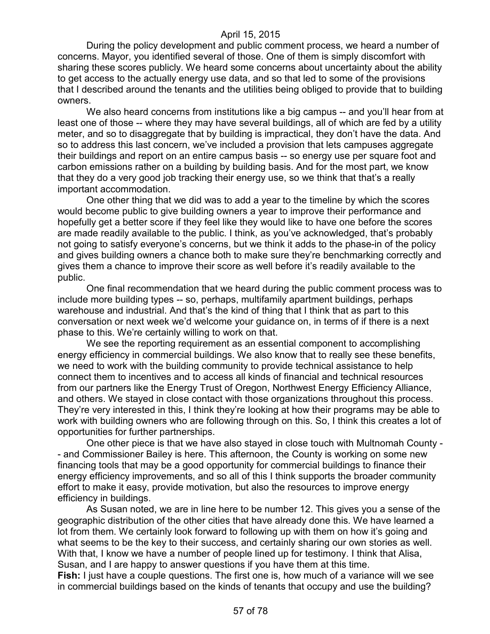During the policy development and public comment process, we heard a number of concerns. Mayor, you identified several of those. One of them is simply discomfort with sharing these scores publicly. We heard some concerns about uncertainty about the ability to get access to the actually energy use data, and so that led to some of the provisions that I described around the tenants and the utilities being obliged to provide that to building owners.

We also heard concerns from institutions like a big campus -- and you'll hear from at least one of those -- where they may have several buildings, all of which are fed by a utility meter, and so to disaggregate that by building is impractical, they don't have the data. And so to address this last concern, we've included a provision that lets campuses aggregate their buildings and report on an entire campus basis -- so energy use per square foot and carbon emissions rather on a building by building basis. And for the most part, we know that they do a very good job tracking their energy use, so we think that that's a really important accommodation.

One other thing that we did was to add a year to the timeline by which the scores would become public to give building owners a year to improve their performance and hopefully get a better score if they feel like they would like to have one before the scores are made readily available to the public. I think, as you've acknowledged, that's probably not going to satisfy everyone's concerns, but we think it adds to the phase-in of the policy and gives building owners a chance both to make sure they're benchmarking correctly and gives them a chance to improve their score as well before it's readily available to the public.

One final recommendation that we heard during the public comment process was to include more building types -- so, perhaps, multifamily apartment buildings, perhaps warehouse and industrial. And that's the kind of thing that I think that as part to this conversation or next week we'd welcome your guidance on, in terms of if there is a next phase to this. We're certainly willing to work on that.

We see the reporting requirement as an essential component to accomplishing energy efficiency in commercial buildings. We also know that to really see these benefits, we need to work with the building community to provide technical assistance to help connect them to incentives and to access all kinds of financial and technical resources from our partners like the Energy Trust of Oregon, Northwest Energy Efficiency Alliance, and others. We stayed in close contact with those organizations throughout this process. They're very interested in this, I think they're looking at how their programs may be able to work with building owners who are following through on this. So, I think this creates a lot of opportunities for further partnerships.

One other piece is that we have also stayed in close touch with Multnomah County - - and Commissioner Bailey is here. This afternoon, the County is working on some new financing tools that may be a good opportunity for commercial buildings to finance their energy efficiency improvements, and so all of this I think supports the broader community effort to make it easy, provide motivation, but also the resources to improve energy efficiency in buildings.

As Susan noted, we are in line here to be number 12. This gives you a sense of the geographic distribution of the other cities that have already done this. We have learned a lot from them. We certainly look forward to following up with them on how it's going and what seems to be the key to their success, and certainly sharing our own stories as well. With that, I know we have a number of people lined up for testimony. I think that Alisa, Susan, and I are happy to answer questions if you have them at this time.

**Fish:** I just have a couple questions. The first one is, how much of a variance will we see in commercial buildings based on the kinds of tenants that occupy and use the building?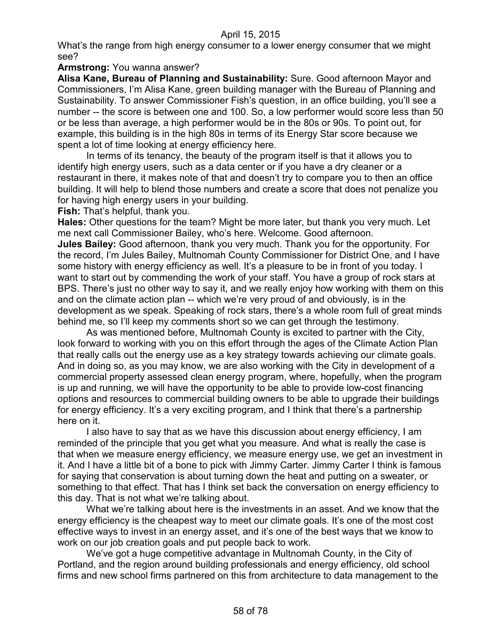What's the range from high energy consumer to a lower energy consumer that we might see?

#### **Armstrong:** You wanna answer?

**Alisa Kane, Bureau of Planning and Sustainability:** Sure. Good afternoon Mayor and Commissioners, I'm Alisa Kane, green building manager with the Bureau of Planning and Sustainability. To answer Commissioner Fish's question, in an office building, you'll see a number -- the score is between one and 100. So, a low performer would score less than 50 or be less than average, a high performer would be in the 80s or 90s. To point out, for example, this building is in the high 80s in terms of its Energy Star score because we spent a lot of time looking at energy efficiency here.

In terms of its tenancy, the beauty of the program itself is that it allows you to identify high energy users, such as a data center or if you have a dry cleaner or a restaurant in there, it makes note of that and doesn't try to compare you to then an office building. It will help to blend those numbers and create a score that does not penalize you for having high energy users in your building.

**Fish:** That's helpful, thank you.

**Hales:** Other questions for the team? Might be more later, but thank you very much. Let me next call Commissioner Bailey, who's here. Welcome. Good afternoon.

**Jules Bailey:** Good afternoon, thank you very much. Thank you for the opportunity. For the record, I'm Jules Bailey, Multnomah County Commissioner for District One, and I have some history with energy efficiency as well. It's a pleasure to be in front of you today. I want to start out by commending the work of your staff. You have a group of rock stars at BPS. There's just no other way to say it, and we really enjoy how working with them on this and on the climate action plan -- which we're very proud of and obviously, is in the development as we speak. Speaking of rock stars, there's a whole room full of great minds behind me, so I'll keep my comments short so we can get through the testimony.

As was mentioned before, Multnomah County is excited to partner with the City, look forward to working with you on this effort through the ages of the Climate Action Plan that really calls out the energy use as a key strategy towards achieving our climate goals. And in doing so, as you may know, we are also working with the City in development of a commercial property assessed clean energy program, where, hopefully, when the program is up and running, we will have the opportunity to be able to provide low-cost financing options and resources to commercial building owners to be able to upgrade their buildings for energy efficiency. It's a very exciting program, and I think that there's a partnership here on it.

I also have to say that as we have this discussion about energy efficiency, I am reminded of the principle that you get what you measure. And what is really the case is that when we measure energy efficiency, we measure energy use, we get an investment in it. And I have a little bit of a bone to pick with Jimmy Carter. Jimmy Carter I think is famous for saying that conservation is about turning down the heat and putting on a sweater, or something to that effect. That has I think set back the conversation on energy efficiency to this day. That is not what we're talking about.

What we're talking about here is the investments in an asset. And we know that the energy efficiency is the cheapest way to meet our climate goals. It's one of the most cost effective ways to invest in an energy asset, and it's one of the best ways that we know to work on our job creation goals and put people back to work.

We've got a huge competitive advantage in Multnomah County, in the City of Portland, and the region around building professionals and energy efficiency, old school firms and new school firms partnered on this from architecture to data management to the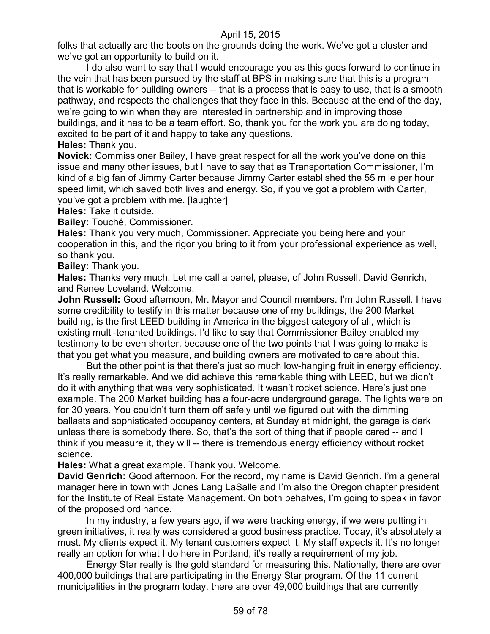folks that actually are the boots on the grounds doing the work. We've got a cluster and we've got an opportunity to build on it.

I do also want to say that I would encourage you as this goes forward to continue in the vein that has been pursued by the staff at BPS in making sure that this is a program that is workable for building owners -- that is a process that is easy to use, that is a smooth pathway, and respects the challenges that they face in this. Because at the end of the day, we're going to win when they are interested in partnership and in improving those buildings, and it has to be a team effort. So, thank you for the work you are doing today, excited to be part of it and happy to take any questions. **Hales:** Thank you.

**Novick:** Commissioner Bailey, I have great respect for all the work you've done on this issue and many other issues, but I have to say that as Transportation Commissioner, I'm kind of a big fan of Jimmy Carter because Jimmy Carter established the 55 mile per hour speed limit, which saved both lives and energy. So, if you've got a problem with Carter, you've got a problem with me. [laughter]

**Hales:** Take it outside.

**Bailey:** Touché, Commissioner.

**Hales:** Thank you very much, Commissioner. Appreciate you being here and your cooperation in this, and the rigor you bring to it from your professional experience as well, so thank you.

**Bailey:** Thank you.

**Hales:** Thanks very much. Let me call a panel, please, of John Russell, David Genrich, and Renee Loveland. Welcome.

**John Russell:** Good afternoon, Mr. Mayor and Council members. I'm John Russell. I have some credibility to testify in this matter because one of my buildings, the 200 Market building, is the first LEED building in America in the biggest category of all, which is existing multi-tenanted buildings. I'd like to say that Commissioner Bailey enabled my testimony to be even shorter, because one of the two points that I was going to make is that you get what you measure, and building owners are motivated to care about this.

But the other point is that there's just so much low-hanging fruit in energy efficiency. It's really remarkable. And we did achieve this remarkable thing with LEED, but we didn't do it with anything that was very sophisticated. It wasn't rocket science. Here's just one example. The 200 Market building has a four-acre underground garage. The lights were on for 30 years. You couldn't turn them off safely until we figured out with the dimming ballasts and sophisticated occupancy centers, at Sunday at midnight, the garage is dark unless there is somebody there. So, that's the sort of thing that if people cared -- and I think if you measure it, they will -- there is tremendous energy efficiency without rocket science.

**Hales:** What a great example. Thank you. Welcome.

**David Genrich:** Good afternoon. For the record, my name is David Genrich. I'm a general manager here in town with Jones Lang LaSalle and I'm also the Oregon chapter president for the Institute of Real Estate Management. On both behalves, I'm going to speak in favor of the proposed ordinance.

In my industry, a few years ago, if we were tracking energy, if we were putting in green initiatives, it really was considered a good business practice. Today, it's absolutely a must. My clients expect it. My tenant customers expect it. My staff expects it. It's no longer really an option for what I do here in Portland, it's really a requirement of my job.

Energy Star really is the gold standard for measuring this. Nationally, there are over 400,000 buildings that are participating in the Energy Star program. Of the 11 current municipalities in the program today, there are over 49,000 buildings that are currently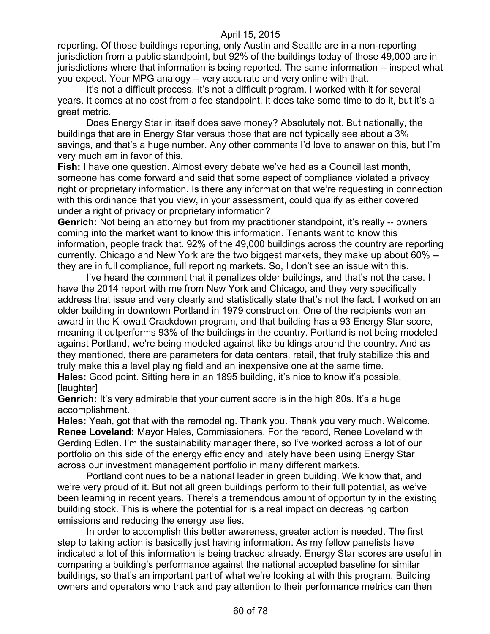reporting. Of those buildings reporting, only Austin and Seattle are in a non-reporting jurisdiction from a public standpoint, but 92% of the buildings today of those 49,000 are in jurisdictions where that information is being reported. The same information -- inspect what you expect. Your MPG analogy -- very accurate and very online with that.

It's not a difficult process. It's not a difficult program. I worked with it for several years. It comes at no cost from a fee standpoint. It does take some time to do it, but it's a great metric.

Does Energy Star in itself does save money? Absolutely not. But nationally, the buildings that are in Energy Star versus those that are not typically see about a 3% savings, and that's a huge number. Any other comments I'd love to answer on this, but I'm very much am in favor of this.

**Fish:** I have one question. Almost every debate we've had as a Council last month, someone has come forward and said that some aspect of compliance violated a privacy right or proprietary information. Is there any information that we're requesting in connection with this ordinance that you view, in your assessment, could qualify as either covered under a right of privacy or proprietary information?

**Genrich:** Not being an attorney but from my practitioner standpoint, it's really -- owners coming into the market want to know this information. Tenants want to know this information, people track that. 92% of the 49,000 buildings across the country are reporting currently. Chicago and New York are the two biggest markets, they make up about 60% - they are in full compliance, full reporting markets. So, I don't see an issue with this.

I've heard the comment that it penalizes older buildings, and that's not the case. I have the 2014 report with me from New York and Chicago, and they very specifically address that issue and very clearly and statistically state that's not the fact. I worked on an older building in downtown Portland in 1979 construction. One of the recipients won an award in the Kilowatt Crackdown program, and that building has a 93 Energy Star score, meaning it outperforms 93% of the buildings in the country. Portland is not being modeled against Portland, we're being modeled against like buildings around the country. And as they mentioned, there are parameters for data centers, retail, that truly stabilize this and truly make this a level playing field and an inexpensive one at the same time. **Hales:** Good point. Sitting here in an 1895 building, it's nice to know it's possible.

[laughter]

**Genrich:** It's very admirable that your current score is in the high 80s. It's a huge accomplishment.

**Hales:** Yeah, got that with the remodeling. Thank you. Thank you very much. Welcome. **Renee Loveland:** Mayor Hales, Commissioners. For the record, Renee Loveland with Gerding Edlen. I'm the sustainability manager there, so I've worked across a lot of our portfolio on this side of the energy efficiency and lately have been using Energy Star across our investment management portfolio in many different markets.

Portland continues to be a national leader in green building. We know that, and we're very proud of it. But not all green buildings perform to their full potential, as we've been learning in recent years. There's a tremendous amount of opportunity in the existing building stock. This is where the potential for is a real impact on decreasing carbon emissions and reducing the energy use lies.

In order to accomplish this better awareness, greater action is needed. The first step to taking action is basically just having information. As my fellow panelists have indicated a lot of this information is being tracked already. Energy Star scores are useful in comparing a building's performance against the national accepted baseline for similar buildings, so that's an important part of what we're looking at with this program. Building owners and operators who track and pay attention to their performance metrics can then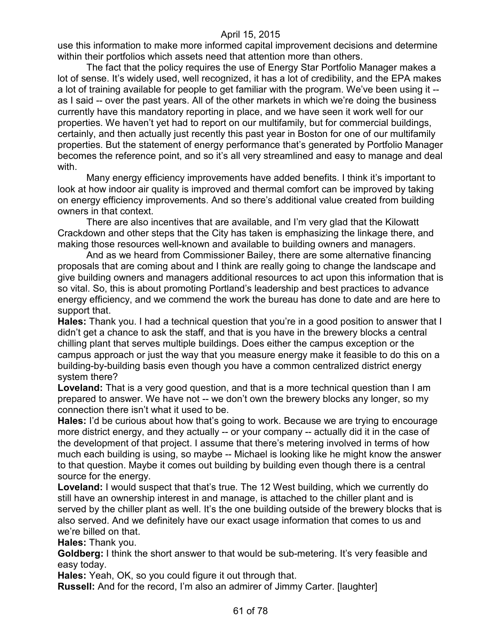use this information to make more informed capital improvement decisions and determine within their portfolios which assets need that attention more than others.

The fact that the policy requires the use of Energy Star Portfolio Manager makes a lot of sense. It's widely used, well recognized, it has a lot of credibility, and the EPA makes a lot of training available for people to get familiar with the program. We've been using it - as I said -- over the past years. All of the other markets in which we're doing the business currently have this mandatory reporting in place, and we have seen it work well for our properties. We haven't yet had to report on our multifamily, but for commercial buildings, certainly, and then actually just recently this past year in Boston for one of our multifamily properties. But the statement of energy performance that's generated by Portfolio Manager becomes the reference point, and so it's all very streamlined and easy to manage and deal with.

Many energy efficiency improvements have added benefits. I think it's important to look at how indoor air quality is improved and thermal comfort can be improved by taking on energy efficiency improvements. And so there's additional value created from building owners in that context.

There are also incentives that are available, and I'm very glad that the Kilowatt Crackdown and other steps that the City has taken is emphasizing the linkage there, and making those resources well-known and available to building owners and managers.

And as we heard from Commissioner Bailey, there are some alternative financing proposals that are coming about and I think are really going to change the landscape and give building owners and managers additional resources to act upon this information that is so vital. So, this is about promoting Portland's leadership and best practices to advance energy efficiency, and we commend the work the bureau has done to date and are here to support that.

**Hales:** Thank you. I had a technical question that you're in a good position to answer that I didn't get a chance to ask the staff, and that is you have in the brewery blocks a central chilling plant that serves multiple buildings. Does either the campus exception or the campus approach or just the way that you measure energy make it feasible to do this on a building-by-building basis even though you have a common centralized district energy system there?

**Loveland:** That is a very good question, and that is a more technical question than I am prepared to answer. We have not -- we don't own the brewery blocks any longer, so my connection there isn't what it used to be.

**Hales:** I'd be curious about how that's going to work. Because we are trying to encourage more district energy, and they actually -- or your company -- actually did it in the case of the development of that project. I assume that there's metering involved in terms of how much each building is using, so maybe -- Michael is looking like he might know the answer to that question. Maybe it comes out building by building even though there is a central source for the energy.

Loveland: I would suspect that that's true. The 12 West building, which we currently do still have an ownership interest in and manage, is attached to the chiller plant and is served by the chiller plant as well. It's the one building outside of the brewery blocks that is also served. And we definitely have our exact usage information that comes to us and we're billed on that.

**Hales:** Thank you.

**Goldberg:** I think the short answer to that would be sub-metering. It's very feasible and easy today.

**Hales:** Yeah, OK, so you could figure it out through that.

**Russell:** And for the record, I'm also an admirer of Jimmy Carter. [laughter]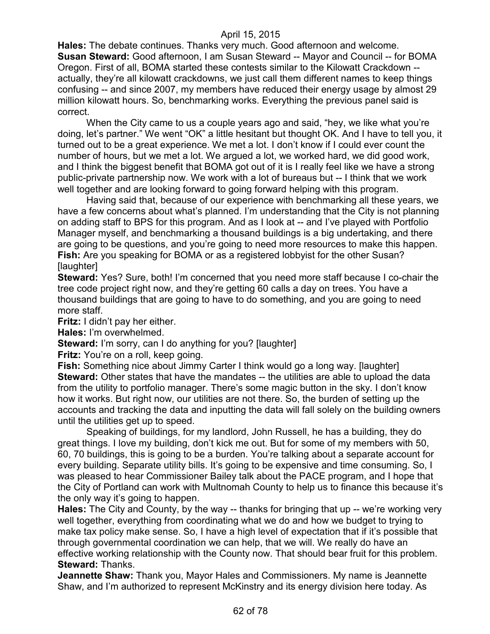**Hales:** The debate continues. Thanks very much. Good afternoon and welcome. **Susan Steward:** Good afternoon, I am Susan Steward -- Mayor and Council -- for BOMA Oregon. First of all, BOMA started these contests similar to the Kilowatt Crackdown - actually, they're all kilowatt crackdowns, we just call them different names to keep things confusing -- and since 2007, my members have reduced their energy usage by almost 29 million kilowatt hours. So, benchmarking works. Everything the previous panel said is correct.

When the City came to us a couple years ago and said, "hey, we like what you're doing, let's partner." We went "OK" a little hesitant but thought OK. And I have to tell you, it turned out to be a great experience. We met a lot. I don't know if I could ever count the number of hours, but we met a lot. We argued a lot, we worked hard, we did good work, and I think the biggest benefit that BOMA got out of it is I really feel like we have a strong public-private partnership now. We work with a lot of bureaus but -- I think that we work well together and are looking forward to going forward helping with this program.

Having said that, because of our experience with benchmarking all these years, we have a few concerns about what's planned. I'm understanding that the City is not planning on adding staff to BPS for this program. And as I look at -- and I've played with Portfolio Manager myself, and benchmarking a thousand buildings is a big undertaking, and there are going to be questions, and you're going to need more resources to make this happen. **Fish:** Are you speaking for BOMA or as a registered lobbyist for the other Susan? [laughter]

**Steward:** Yes? Sure, both! I'm concerned that you need more staff because I co-chair the tree code project right now, and they're getting 60 calls a day on trees. You have a thousand buildings that are going to have to do something, and you are going to need more staff.

**Fritz:** I didn't pay her either.

**Hales:** I'm overwhelmed.

**Steward:** I'm sorry, can I do anything for you? [laughter]

**Fritz:** You're on a roll, keep going.

**Fish:** Something nice about Jimmy Carter I think would go a long way. [laughter] **Steward:** Other states that have the mandates -- the utilities are able to upload the data from the utility to portfolio manager. There's some magic button in the sky. I don't know how it works. But right now, our utilities are not there. So, the burden of setting up the accounts and tracking the data and inputting the data will fall solely on the building owners until the utilities get up to speed.

Speaking of buildings, for my landlord, John Russell, he has a building, they do great things. I love my building, don't kick me out. But for some of my members with 50, 60, 70 buildings, this is going to be a burden. You're talking about a separate account for every building. Separate utility bills. It's going to be expensive and time consuming. So, I was pleased to hear Commissioner Bailey talk about the PACE program, and I hope that the City of Portland can work with Multnomah County to help us to finance this because it's the only way it's going to happen.

**Hales:** The City and County, by the way -- thanks for bringing that up -- we're working very well together, everything from coordinating what we do and how we budget to trying to make tax policy make sense. So, I have a high level of expectation that if it's possible that through governmental coordination we can help, that we will. We really do have an effective working relationship with the County now. That should bear fruit for this problem. **Steward:** Thanks.

**Jeannette Shaw:** Thank you, Mayor Hales and Commissioners. My name is Jeannette Shaw, and I'm authorized to represent McKinstry and its energy division here today. As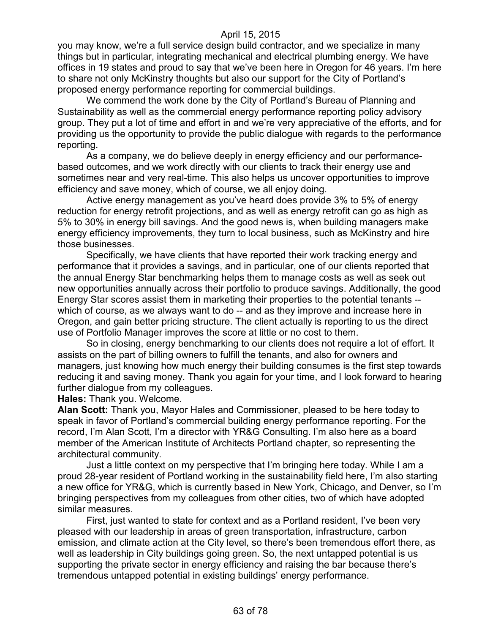you may know, we're a full service design build contractor, and we specialize in many things but in particular, integrating mechanical and electrical plumbing energy. We have offices in 19 states and proud to say that we've been here in Oregon for 46 years. I'm here to share not only McKinstry thoughts but also our support for the City of Portland's proposed energy performance reporting for commercial buildings.

We commend the work done by the City of Portland's Bureau of Planning and Sustainability as well as the commercial energy performance reporting policy advisory group. They put a lot of time and effort in and we're very appreciative of the efforts, and for providing us the opportunity to provide the public dialogue with regards to the performance reporting.

As a company, we do believe deeply in energy efficiency and our performancebased outcomes, and we work directly with our clients to track their energy use and sometimes near and very real-time. This also helps us uncover opportunities to improve efficiency and save money, which of course, we all enjoy doing.

Active energy management as you've heard does provide 3% to 5% of energy reduction for energy retrofit projections, and as well as energy retrofit can go as high as 5% to 30% in energy bill savings. And the good news is, when building managers make energy efficiency improvements, they turn to local business, such as McKinstry and hire those businesses.

Specifically, we have clients that have reported their work tracking energy and performance that it provides a savings, and in particular, one of our clients reported that the annual Energy Star benchmarking helps them to manage costs as well as seek out new opportunities annually across their portfolio to produce savings. Additionally, the good Energy Star scores assist them in marketing their properties to the potential tenants - which of course, as we always want to do -- and as they improve and increase here in Oregon, and gain better pricing structure. The client actually is reporting to us the direct use of Portfolio Manager improves the score at little or no cost to them.

So in closing, energy benchmarking to our clients does not require a lot of effort. It assists on the part of billing owners to fulfill the tenants, and also for owners and managers, just knowing how much energy their building consumes is the first step towards reducing it and saving money. Thank you again for your time, and I look forward to hearing further dialogue from my colleagues.

**Hales:** Thank you. Welcome.

**Alan Scott:** Thank you, Mayor Hales and Commissioner, pleased to be here today to speak in favor of Portland's commercial building energy performance reporting. For the record, I'm Alan Scott, I'm a director with YR&G Consulting. I'm also here as a board member of the American Institute of Architects Portland chapter, so representing the architectural community.

Just a little context on my perspective that I'm bringing here today. While I am a proud 28-year resident of Portland working in the sustainability field here, I'm also starting a new office for YR&G, which is currently based in New York, Chicago, and Denver, so I'm bringing perspectives from my colleagues from other cities, two of which have adopted similar measures.

First, just wanted to state for context and as a Portland resident, I've been very pleased with our leadership in areas of green transportation, infrastructure, carbon emission, and climate action at the City level, so there's been tremendous effort there, as well as leadership in City buildings going green. So, the next untapped potential is us supporting the private sector in energy efficiency and raising the bar because there's tremendous untapped potential in existing buildings' energy performance.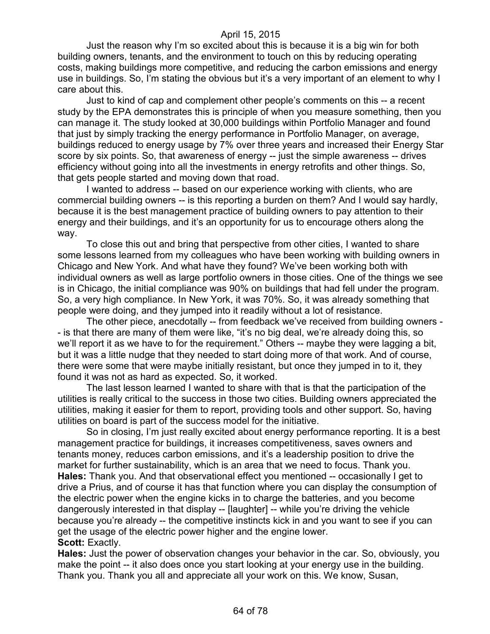Just the reason why I'm so excited about this is because it is a big win for both building owners, tenants, and the environment to touch on this by reducing operating costs, making buildings more competitive, and reducing the carbon emissions and energy use in buildings. So, I'm stating the obvious but it's a very important of an element to why I care about this.

Just to kind of cap and complement other people's comments on this -- a recent study by the EPA demonstrates this is principle of when you measure something, then you can manage it. The study looked at 30,000 buildings within Portfolio Manager and found that just by simply tracking the energy performance in Portfolio Manager, on average, buildings reduced to energy usage by 7% over three years and increased their Energy Star score by six points. So, that awareness of energy -- just the simple awareness -- drives efficiency without going into all the investments in energy retrofits and other things. So, that gets people started and moving down that road.

I wanted to address -- based on our experience working with clients, who are commercial building owners -- is this reporting a burden on them? And I would say hardly, because it is the best management practice of building owners to pay attention to their energy and their buildings, and it's an opportunity for us to encourage others along the way.

To close this out and bring that perspective from other cities, I wanted to share some lessons learned from my colleagues who have been working with building owners in Chicago and New York. And what have they found? We've been working both with individual owners as well as large portfolio owners in those cities. One of the things we see is in Chicago, the initial compliance was 90% on buildings that had fell under the program. So, a very high compliance. In New York, it was 70%. So, it was already something that people were doing, and they jumped into it readily without a lot of resistance.

The other piece, anecdotally -- from feedback we've received from building owners - - is that there are many of them were like, "it's no big deal, we're already doing this, so we'll report it as we have to for the requirement." Others -- maybe they were lagging a bit, but it was a little nudge that they needed to start doing more of that work. And of course, there were some that were maybe initially resistant, but once they jumped in to it, they found it was not as hard as expected. So, it worked.

The last lesson learned I wanted to share with that is that the participation of the utilities is really critical to the success in those two cities. Building owners appreciated the utilities, making it easier for them to report, providing tools and other support. So, having utilities on board is part of the success model for the initiative.

So in closing, I'm just really excited about energy performance reporting. It is a best management practice for buildings, it increases competitiveness, saves owners and tenants money, reduces carbon emissions, and it's a leadership position to drive the market for further sustainability, which is an area that we need to focus. Thank you. **Hales:** Thank you. And that observational effect you mentioned -- occasionally I get to drive a Prius, and of course it has that function where you can display the consumption of the electric power when the engine kicks in to charge the batteries, and you become dangerously interested in that display -- [laughter] -- while you're driving the vehicle because you're already -- the competitive instincts kick in and you want to see if you can get the usage of the electric power higher and the engine lower. **Scott:** Exactly.

**Hales:** Just the power of observation changes your behavior in the car. So, obviously, you make the point -- it also does once you start looking at your energy use in the building. Thank you. Thank you all and appreciate all your work on this. We know, Susan,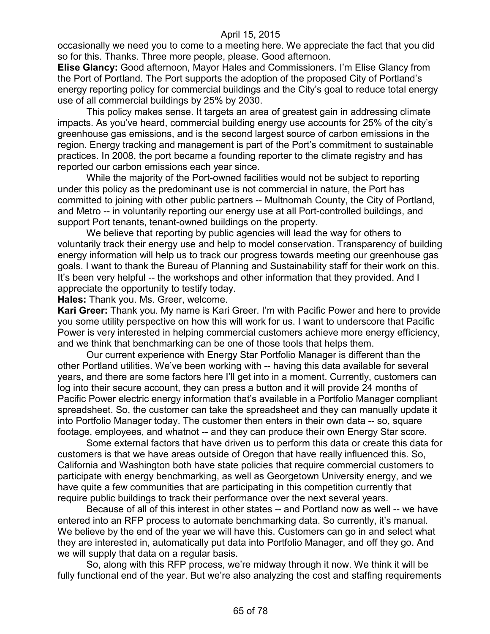occasionally we need you to come to a meeting here. We appreciate the fact that you did so for this. Thanks. Three more people, please. Good afternoon.

**Elise Glancy:** Good afternoon, Mayor Hales and Commissioners. I'm Elise Glancy from the Port of Portland. The Port supports the adoption of the proposed City of Portland's energy reporting policy for commercial buildings and the City's goal to reduce total energy use of all commercial buildings by 25% by 2030.

This policy makes sense. It targets an area of greatest gain in addressing climate impacts. As you've heard, commercial building energy use accounts for 25% of the city's greenhouse gas emissions, and is the second largest source of carbon emissions in the region. Energy tracking and management is part of the Port's commitment to sustainable practices. In 2008, the port became a founding reporter to the climate registry and has reported our carbon emissions each year since.

While the majority of the Port-owned facilities would not be subject to reporting under this policy as the predominant use is not commercial in nature, the Port has committed to joining with other public partners -- Multnomah County, the City of Portland, and Metro -- in voluntarily reporting our energy use at all Port-controlled buildings, and support Port tenants, tenant-owned buildings on the property.

We believe that reporting by public agencies will lead the way for others to voluntarily track their energy use and help to model conservation. Transparency of building energy information will help us to track our progress towards meeting our greenhouse gas goals. I want to thank the Bureau of Planning and Sustainability staff for their work on this. It's been very helpful -- the workshops and other information that they provided. And I appreciate the opportunity to testify today.

**Hales:** Thank you. Ms. Greer, welcome.

**Kari Greer:** Thank you. My name is Kari Greer. I'm with Pacific Power and here to provide you some utility perspective on how this will work for us. I want to underscore that Pacific Power is very interested in helping commercial customers achieve more energy efficiency, and we think that benchmarking can be one of those tools that helps them.

Our current experience with Energy Star Portfolio Manager is different than the other Portland utilities. We've been working with -- having this data available for several years, and there are some factors here I'll get into in a moment. Currently, customers can log into their secure account, they can press a button and it will provide 24 months of Pacific Power electric energy information that's available in a Portfolio Manager compliant spreadsheet. So, the customer can take the spreadsheet and they can manually update it into Portfolio Manager today. The customer then enters in their own data -- so, square footage, employees, and whatnot -- and they can produce their own Energy Star score.

Some external factors that have driven us to perform this data or create this data for customers is that we have areas outside of Oregon that have really influenced this. So, California and Washington both have state policies that require commercial customers to participate with energy benchmarking, as well as Georgetown University energy, and we have quite a few communities that are participating in this competition currently that require public buildings to track their performance over the next several years.

Because of all of this interest in other states -- and Portland now as well -- we have entered into an RFP process to automate benchmarking data. So currently, it's manual. We believe by the end of the year we will have this. Customers can go in and select what they are interested in, automatically put data into Portfolio Manager, and off they go. And we will supply that data on a regular basis.

So, along with this RFP process, we're midway through it now. We think it will be fully functional end of the year. But we're also analyzing the cost and staffing requirements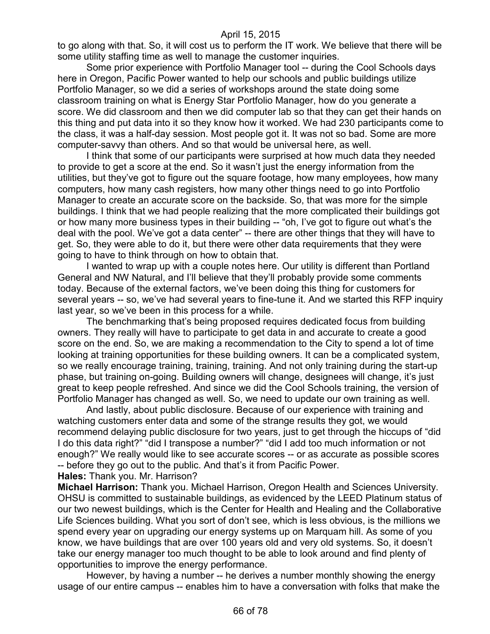to go along with that. So, it will cost us to perform the IT work. We believe that there will be some utility staffing time as well to manage the customer inquiries.

Some prior experience with Portfolio Manager tool -- during the Cool Schools days here in Oregon, Pacific Power wanted to help our schools and public buildings utilize Portfolio Manager, so we did a series of workshops around the state doing some classroom training on what is Energy Star Portfolio Manager, how do you generate a score. We did classroom and then we did computer lab so that they can get their hands on this thing and put data into it so they know how it worked. We had 230 participants come to the class, it was a half-day session. Most people got it. It was not so bad. Some are more computer-savvy than others. And so that would be universal here, as well.

I think that some of our participants were surprised at how much data they needed to provide to get a score at the end. So it wasn't just the energy information from the utilities, but they've got to figure out the square footage, how many employees, how many computers, how many cash registers, how many other things need to go into Portfolio Manager to create an accurate score on the backside. So, that was more for the simple buildings. I think that we had people realizing that the more complicated their buildings got or how many more business types in their building -- "oh, I've got to figure out what's the deal with the pool. We've got a data center" -- there are other things that they will have to get. So, they were able to do it, but there were other data requirements that they were going to have to think through on how to obtain that.

I wanted to wrap up with a couple notes here. Our utility is different than Portland General and NW Natural, and I'll believe that they'll probably provide some comments today. Because of the external factors, we've been doing this thing for customers for several years -- so, we've had several years to fine-tune it. And we started this RFP inquiry last year, so we've been in this process for a while.

The benchmarking that's being proposed requires dedicated focus from building owners. They really will have to participate to get data in and accurate to create a good score on the end. So, we are making a recommendation to the City to spend a lot of time looking at training opportunities for these building owners. It can be a complicated system, so we really encourage training, training, training. And not only training during the start-up phase, but training on-going. Building owners will change, designees will change, it's just great to keep people refreshed. And since we did the Cool Schools training, the version of Portfolio Manager has changed as well. So, we need to update our own training as well.

And lastly, about public disclosure. Because of our experience with training and watching customers enter data and some of the strange results they got, we would recommend delaying public disclosure for two years, just to get through the hiccups of "did I do this data right?" "did I transpose a number?" "did I add too much information or not enough?" We really would like to see accurate scores -- or as accurate as possible scores -- before they go out to the public. And that's it from Pacific Power.

**Hales:** Thank you. Mr. Harrison?

**Michael Harrison:** Thank you. Michael Harrison, Oregon Health and Sciences University. OHSU is committed to sustainable buildings, as evidenced by the LEED Platinum status of our two newest buildings, which is the Center for Health and Healing and the Collaborative Life Sciences building. What you sort of don't see, which is less obvious, is the millions we spend every year on upgrading our energy systems up on Marquam hill. As some of you know, we have buildings that are over 100 years old and very old systems. So, it doesn't take our energy manager too much thought to be able to look around and find plenty of opportunities to improve the energy performance.

However, by having a number -- he derives a number monthly showing the energy usage of our entire campus -- enables him to have a conversation with folks that make the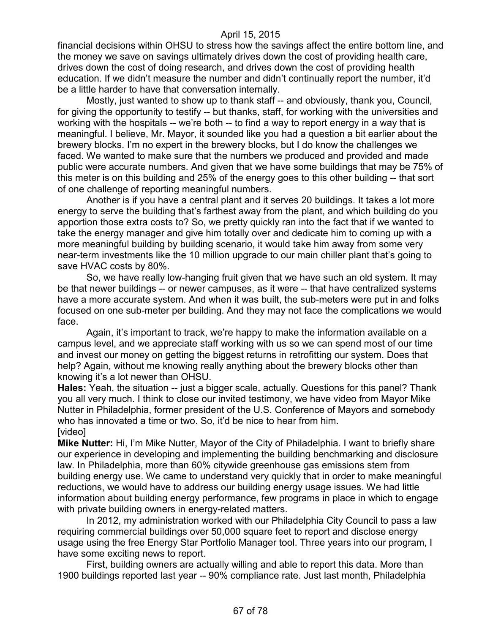financial decisions within OHSU to stress how the savings affect the entire bottom line, and the money we save on savings ultimately drives down the cost of providing health care, drives down the cost of doing research, and drives down the cost of providing health education. If we didn't measure the number and didn't continually report the number, it'd be a little harder to have that conversation internally.

Mostly, just wanted to show up to thank staff -- and obviously, thank you, Council, for giving the opportunity to testify -- but thanks, staff, for working with the universities and working with the hospitals -- we're both -- to find a way to report energy in a way that is meaningful. I believe, Mr. Mayor, it sounded like you had a question a bit earlier about the brewery blocks. I'm no expert in the brewery blocks, but I do know the challenges we faced. We wanted to make sure that the numbers we produced and provided and made public were accurate numbers. And given that we have some buildings that may be 75% of this meter is on this building and 25% of the energy goes to this other building -- that sort of one challenge of reporting meaningful numbers.

Another is if you have a central plant and it serves 20 buildings. It takes a lot more energy to serve the building that's farthest away from the plant, and which building do you apportion those extra costs to? So, we pretty quickly ran into the fact that if we wanted to take the energy manager and give him totally over and dedicate him to coming up with a more meaningful building by building scenario, it would take him away from some very near-term investments like the 10 million upgrade to our main chiller plant that's going to save HVAC costs by 80%.

So, we have really low-hanging fruit given that we have such an old system. It may be that newer buildings -- or newer campuses, as it were -- that have centralized systems have a more accurate system. And when it was built, the sub-meters were put in and folks focused on one sub-meter per building. And they may not face the complications we would face.

Again, it's important to track, we're happy to make the information available on a campus level, and we appreciate staff working with us so we can spend most of our time and invest our money on getting the biggest returns in retrofitting our system. Does that help? Again, without me knowing really anything about the brewery blocks other than knowing it's a lot newer than OHSU.

**Hales:** Yeah, the situation -- just a bigger scale, actually. Questions for this panel? Thank you all very much. I think to close our invited testimony, we have video from Mayor Mike Nutter in Philadelphia, former president of the U.S. Conference of Mayors and somebody who has innovated a time or two. So, it'd be nice to hear from him. [video]

**Mike Nutter:** Hi, I'm Mike Nutter, Mayor of the City of Philadelphia. I want to briefly share our experience in developing and implementing the building benchmarking and disclosure law. In Philadelphia, more than 60% citywide greenhouse gas emissions stem from building energy use. We came to understand very quickly that in order to make meaningful reductions, we would have to address our building energy usage issues. We had little information about building energy performance, few programs in place in which to engage with private building owners in energy-related matters.

In 2012, my administration worked with our Philadelphia City Council to pass a law requiring commercial buildings over 50,000 square feet to report and disclose energy usage using the free Energy Star Portfolio Manager tool. Three years into our program, I have some exciting news to report.

First, building owners are actually willing and able to report this data. More than 1900 buildings reported last year -- 90% compliance rate. Just last month, Philadelphia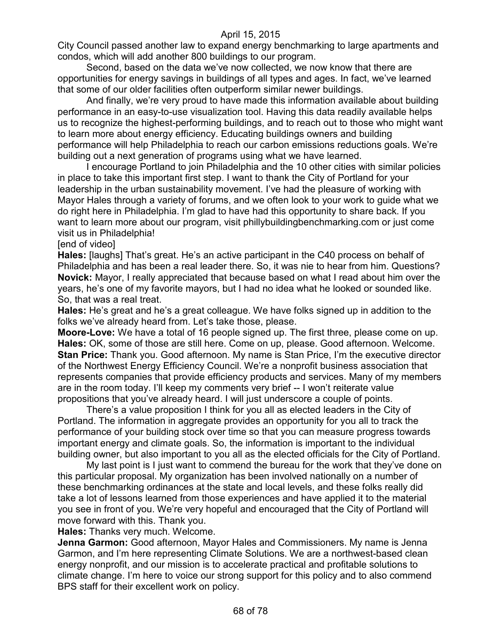City Council passed another law to expand energy benchmarking to large apartments and condos, which will add another 800 buildings to our program.

Second, based on the data we've now collected, we now know that there are opportunities for energy savings in buildings of all types and ages. In fact, we've learned that some of our older facilities often outperform similar newer buildings.

And finally, we're very proud to have made this information available about building performance in an easy-to-use visualization tool. Having this data readily available helps us to recognize the highest-performing buildings, and to reach out to those who might want to learn more about energy efficiency. Educating buildings owners and building performance will help Philadelphia to reach our carbon emissions reductions goals. We're building out a next generation of programs using what we have learned.

I encourage Portland to join Philadelphia and the 10 other cities with similar policies in place to take this important first step. I want to thank the City of Portland for your leadership in the urban sustainability movement. I've had the pleasure of working with Mayor Hales through a variety of forums, and we often look to your work to guide what we do right here in Philadelphia. I'm glad to have had this opportunity to share back. If you want to learn more about our program, visit phillybuildingbenchmarking.com or just come visit us in Philadelphia!

[end of video]

**Hales:** [laughs] That's great. He's an active participant in the C40 process on behalf of Philadelphia and has been a real leader there. So, it was nie to hear from him. Questions? **Novick:** Mayor, I really appreciated that because based on what I read about him over the years, he's one of my favorite mayors, but I had no idea what he looked or sounded like. So, that was a real treat.

**Hales:** He's great and he's a great colleague. We have folks signed up in addition to the folks we've already heard from. Let's take those, please.

**Moore-Love:** We have a total of 16 people signed up. The first three, please come on up. **Hales:** OK, some of those are still here. Come on up, please. Good afternoon. Welcome. **Stan Price:** Thank you. Good afternoon. My name is Stan Price, I'm the executive director of the Northwest Energy Efficiency Council. We're a nonprofit business association that represents companies that provide efficiency products and services. Many of my members are in the room today. I'll keep my comments very brief -- I won't reiterate value propositions that you've already heard. I will just underscore a couple of points.

There's a value proposition I think for you all as elected leaders in the City of Portland. The information in aggregate provides an opportunity for you all to track the performance of your building stock over time so that you can measure progress towards important energy and climate goals. So, the information is important to the individual building owner, but also important to you all as the elected officials for the City of Portland.

My last point is I just want to commend the bureau for the work that they've done on this particular proposal. My organization has been involved nationally on a number of these benchmarking ordinances at the state and local levels, and these folks really did take a lot of lessons learned from those experiences and have applied it to the material you see in front of you. We're very hopeful and encouraged that the City of Portland will move forward with this. Thank you.

**Hales:** Thanks very much. Welcome.

**Jenna Garmon:** Good afternoon, Mayor Hales and Commissioners. My name is Jenna Garmon, and I'm here representing Climate Solutions. We are a northwest-based clean energy nonprofit, and our mission is to accelerate practical and profitable solutions to climate change. I'm here to voice our strong support for this policy and to also commend BPS staff for their excellent work on policy.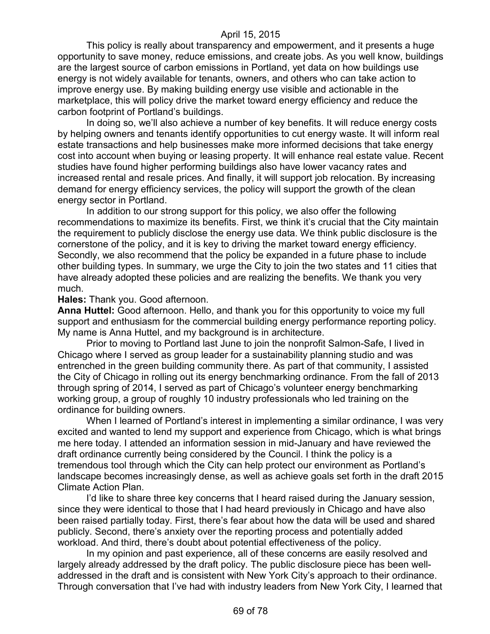This policy is really about transparency and empowerment, and it presents a huge opportunity to save money, reduce emissions, and create jobs. As you well know, buildings are the largest source of carbon emissions in Portland, yet data on how buildings use energy is not widely available for tenants, owners, and others who can take action to improve energy use. By making building energy use visible and actionable in the marketplace, this will policy drive the market toward energy efficiency and reduce the carbon footprint of Portland's buildings.

In doing so, we'll also achieve a number of key benefits. It will reduce energy costs by helping owners and tenants identify opportunities to cut energy waste. It will inform real estate transactions and help businesses make more informed decisions that take energy cost into account when buying or leasing property. It will enhance real estate value. Recent studies have found higher performing buildings also have lower vacancy rates and increased rental and resale prices. And finally, it will support job relocation. By increasing demand for energy efficiency services, the policy will support the growth of the clean energy sector in Portland.

In addition to our strong support for this policy, we also offer the following recommendations to maximize its benefits. First, we think it's crucial that the City maintain the requirement to publicly disclose the energy use data. We think public disclosure is the cornerstone of the policy, and it is key to driving the market toward energy efficiency. Secondly, we also recommend that the policy be expanded in a future phase to include other building types. In summary, we urge the City to join the two states and 11 cities that have already adopted these policies and are realizing the benefits. We thank you very much.

#### **Hales:** Thank you. Good afternoon.

**Anna Huttel:** Good afternoon. Hello, and thank you for this opportunity to voice my full support and enthusiasm for the commercial building energy performance reporting policy. My name is Anna Huttel, and my background is in architecture.

Prior to moving to Portland last June to join the nonprofit Salmon-Safe, I lived in Chicago where I served as group leader for a sustainability planning studio and was entrenched in the green building community there. As part of that community, I assisted the City of Chicago in rolling out its energy benchmarking ordinance. From the fall of 2013 through spring of 2014, I served as part of Chicago's volunteer energy benchmarking working group, a group of roughly 10 industry professionals who led training on the ordinance for building owners.

When I learned of Portland's interest in implementing a similar ordinance, I was very excited and wanted to lend my support and experience from Chicago, which is what brings me here today. I attended an information session in mid-January and have reviewed the draft ordinance currently being considered by the Council. I think the policy is a tremendous tool through which the City can help protect our environment as Portland's landscape becomes increasingly dense, as well as achieve goals set forth in the draft 2015 Climate Action Plan.

I'd like to share three key concerns that I heard raised during the January session, since they were identical to those that I had heard previously in Chicago and have also been raised partially today. First, there's fear about how the data will be used and shared publicly. Second, there's anxiety over the reporting process and potentially added workload. And third, there's doubt about potential effectiveness of the policy.

In my opinion and past experience, all of these concerns are easily resolved and largely already addressed by the draft policy. The public disclosure piece has been welladdressed in the draft and is consistent with New York City's approach to their ordinance. Through conversation that I've had with industry leaders from New York City, I learned that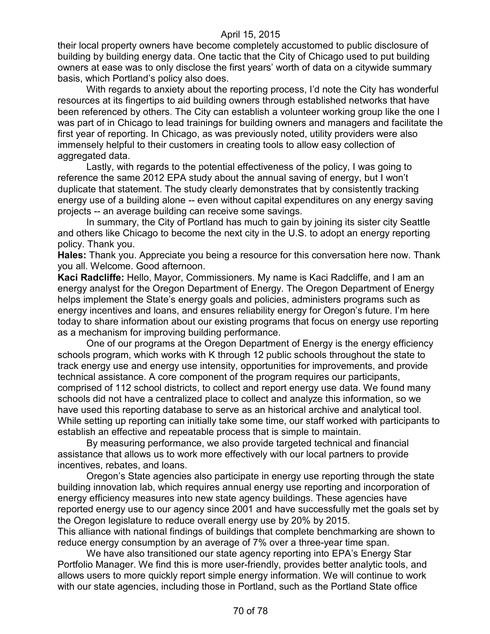their local property owners have become completely accustomed to public disclosure of building by building energy data. One tactic that the City of Chicago used to put building owners at ease was to only disclose the first years' worth of data on a citywide summary basis, which Portland's policy also does.

With regards to anxiety about the reporting process, I'd note the City has wonderful resources at its fingertips to aid building owners through established networks that have been referenced by others. The City can establish a volunteer working group like the one I was part of in Chicago to lead trainings for building owners and managers and facilitate the first year of reporting. In Chicago, as was previously noted, utility providers were also immensely helpful to their customers in creating tools to allow easy collection of aggregated data.

Lastly, with regards to the potential effectiveness of the policy, I was going to reference the same 2012 EPA study about the annual saving of energy, but I won't duplicate that statement. The study clearly demonstrates that by consistently tracking energy use of a building alone -- even without capital expenditures on any energy saving projects -- an average building can receive some savings.

In summary, the City of Portland has much to gain by joining its sister city Seattle and others like Chicago to become the next city in the U.S. to adopt an energy reporting policy. Thank you.

**Hales:** Thank you. Appreciate you being a resource for this conversation here now. Thank you all. Welcome. Good afternoon.

**Kaci Radcliffe:** Hello, Mayor, Commissioners. My name is Kaci Radcliffe, and I am an energy analyst for the Oregon Department of Energy. The Oregon Department of Energy helps implement the State's energy goals and policies, administers programs such as energy incentives and loans, and ensures reliability energy for Oregon's future. I'm here today to share information about our existing programs that focus on energy use reporting as a mechanism for improving building performance.

One of our programs at the Oregon Department of Energy is the energy efficiency schools program, which works with K through 12 public schools throughout the state to track energy use and energy use intensity, opportunities for improvements, and provide technical assistance. A core component of the program requires our participants, comprised of 112 school districts, to collect and report energy use data. We found many schools did not have a centralized place to collect and analyze this information, so we have used this reporting database to serve as an historical archive and analytical tool. While setting up reporting can initially take some time, our staff worked with participants to establish an effective and repeatable process that is simple to maintain.

By measuring performance, we also provide targeted technical and financial assistance that allows us to work more effectively with our local partners to provide incentives, rebates, and loans.

Oregon's State agencies also participate in energy use reporting through the state building innovation lab, which requires annual energy use reporting and incorporation of energy efficiency measures into new state agency buildings. These agencies have reported energy use to our agency since 2001 and have successfully met the goals set by the Oregon legislature to reduce overall energy use by 20% by 2015.

This alliance with national findings of buildings that complete benchmarking are shown to reduce energy consumption by an average of 7% over a three-year time span.

We have also transitioned our state agency reporting into EPA's Energy Star Portfolio Manager. We find this is more user-friendly, provides better analytic tools, and allows users to more quickly report simple energy information. We will continue to work with our state agencies, including those in Portland, such as the Portland State office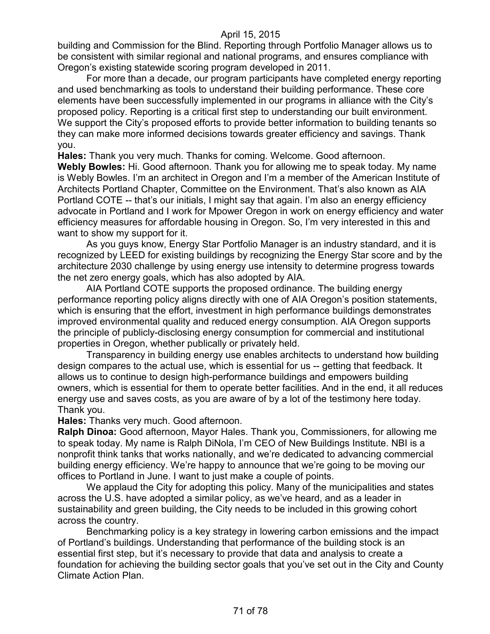building and Commission for the Blind. Reporting through Portfolio Manager allows us to be consistent with similar regional and national programs, and ensures compliance with Oregon's existing statewide scoring program developed in 2011.

For more than a decade, our program participants have completed energy reporting and used benchmarking as tools to understand their building performance. These core elements have been successfully implemented in our programs in alliance with the City's proposed policy. Reporting is a critical first step to understanding our built environment. We support the City's proposed efforts to provide better information to building tenants so they can make more informed decisions towards greater efficiency and savings. Thank you.

**Hales:** Thank you very much. Thanks for coming. Welcome. Good afternoon.

**Webly Bowles:** Hi. Good afternoon. Thank you for allowing me to speak today. My name is Webly Bowles. I'm an architect in Oregon and I'm a member of the American Institute of Architects Portland Chapter, Committee on the Environment. That's also known as AIA Portland COTE -- that's our initials, I might say that again. I'm also an energy efficiency advocate in Portland and I work for Mpower Oregon in work on energy efficiency and water efficiency measures for affordable housing in Oregon. So, I'm very interested in this and want to show my support for it.

As you guys know, Energy Star Portfolio Manager is an industry standard, and it is recognized by LEED for existing buildings by recognizing the Energy Star score and by the architecture 2030 challenge by using energy use intensity to determine progress towards the net zero energy goals, which has also adopted by AIA.

AIA Portland COTE supports the proposed ordinance. The building energy performance reporting policy aligns directly with one of AIA Oregon's position statements, which is ensuring that the effort, investment in high performance buildings demonstrates improved environmental quality and reduced energy consumption. AIA Oregon supports the principle of publicly-disclosing energy consumption for commercial and institutional properties in Oregon, whether publically or privately held.

Transparency in building energy use enables architects to understand how building design compares to the actual use, which is essential for us -- getting that feedback. It allows us to continue to design high-performance buildings and empowers building owners, which is essential for them to operate better facilities. And in the end, it all reduces energy use and saves costs, as you are aware of by a lot of the testimony here today. Thank you.

**Hales:** Thanks very much. Good afternoon.

**Ralph Dinoa:** Good afternoon, Mayor Hales. Thank you, Commissioners, for allowing me to speak today. My name is Ralph DiNola, I'm CEO of New Buildings Institute. NBI is a nonprofit think tanks that works nationally, and we're dedicated to advancing commercial building energy efficiency. We're happy to announce that we're going to be moving our offices to Portland in June. I want to just make a couple of points.

We applaud the City for adopting this policy. Many of the municipalities and states across the U.S. have adopted a similar policy, as we've heard, and as a leader in sustainability and green building, the City needs to be included in this growing cohort across the country.

Benchmarking policy is a key strategy in lowering carbon emissions and the impact of Portland's buildings. Understanding that performance of the building stock is an essential first step, but it's necessary to provide that data and analysis to create a foundation for achieving the building sector goals that you've set out in the City and County Climate Action Plan.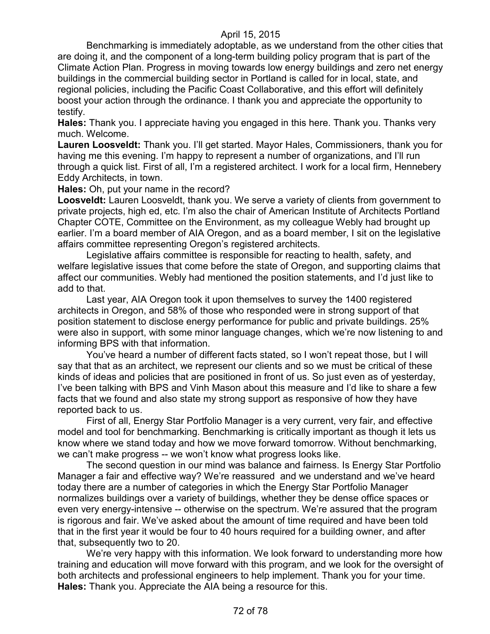Benchmarking is immediately adoptable, as we understand from the other cities that are doing it, and the component of a long-term building policy program that is part of the Climate Action Plan. Progress in moving towards low energy buildings and zero net energy buildings in the commercial building sector in Portland is called for in local, state, and regional policies, including the Pacific Coast Collaborative, and this effort will definitely boost your action through the ordinance. I thank you and appreciate the opportunity to testify.

**Hales:** Thank you. I appreciate having you engaged in this here. Thank you. Thanks very much. Welcome.

**Lauren Loosveldt:** Thank you. I'll get started. Mayor Hales, Commissioners, thank you for having me this evening. I'm happy to represent a number of organizations, and I'll run through a quick list. First of all, I'm a registered architect. I work for a local firm, Hennebery Eddy Architects, in town.

**Hales:** Oh, put your name in the record?

**Loosveldt:** Lauren Loosveldt, thank you. We serve a variety of clients from government to private projects, high ed, etc. I'm also the chair of American Institute of Architects Portland Chapter COTE, Committee on the Environment, as my colleague Webly had brought up earlier. I'm a board member of AIA Oregon, and as a board member, I sit on the legislative affairs committee representing Oregon's registered architects.

Legislative affairs committee is responsible for reacting to health, safety, and welfare legislative issues that come before the state of Oregon, and supporting claims that affect our communities. Webly had mentioned the position statements, and I'd just like to add to that.

Last year, AIA Oregon took it upon themselves to survey the 1400 registered architects in Oregon, and 58% of those who responded were in strong support of that position statement to disclose energy performance for public and private buildings. 25% were also in support, with some minor language changes, which we're now listening to and informing BPS with that information.

You've heard a number of different facts stated, so I won't repeat those, but I will say that that as an architect, we represent our clients and so we must be critical of these kinds of ideas and policies that are positioned in front of us. So just even as of yesterday, I've been talking with BPS and Vinh Mason about this measure and I'd like to share a few facts that we found and also state my strong support as responsive of how they have reported back to us.

First of all, Energy Star Portfolio Manager is a very current, very fair, and effective model and tool for benchmarking. Benchmarking is critically important as though it lets us know where we stand today and how we move forward tomorrow. Without benchmarking, we can't make progress -- we won't know what progress looks like.

The second question in our mind was balance and fairness. Is Energy Star Portfolio Manager a fair and effective way? We're reassured and we understand and we've heard today there are a number of categories in which the Energy Star Portfolio Manager normalizes buildings over a variety of buildings, whether they be dense office spaces or even very energy-intensive -- otherwise on the spectrum. We're assured that the program is rigorous and fair. We've asked about the amount of time required and have been told that in the first year it would be four to 40 hours required for a building owner, and after that, subsequently two to 20.

We're very happy with this information. We look forward to understanding more how training and education will move forward with this program, and we look for the oversight of both architects and professional engineers to help implement. Thank you for your time. **Hales:** Thank you. Appreciate the AIA being a resource for this.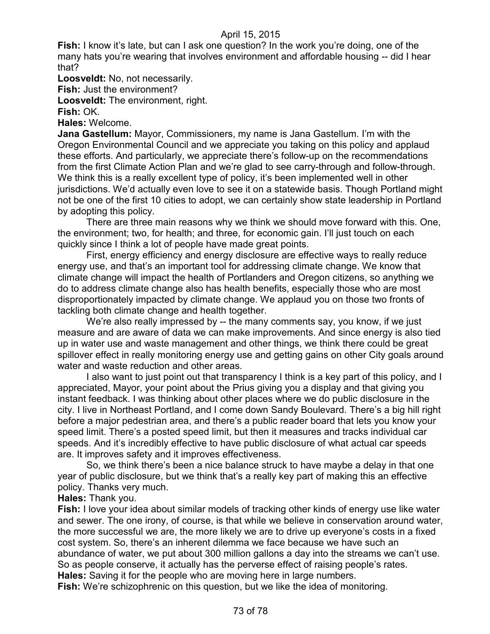**Fish:** I know it's late, but can I ask one question? In the work you're doing, one of the many hats you're wearing that involves environment and affordable housing -- did I hear that?

**Loosveldt:** No, not necessarily.

**Fish:** Just the environment?

**Loosveldt:** The environment, right.

**Fish:** OK.

**Hales:** Welcome.

**Jana Gastellum:** Mayor, Commissioners, my name is Jana Gastellum. I'm with the Oregon Environmental Council and we appreciate you taking on this policy and applaud these efforts. And particularly, we appreciate there's follow-up on the recommendations from the first Climate Action Plan and we're glad to see carry-through and follow-through. We think this is a really excellent type of policy, it's been implemented well in other jurisdictions. We'd actually even love to see it on a statewide basis. Though Portland might not be one of the first 10 cities to adopt, we can certainly show state leadership in Portland by adopting this policy.

There are three main reasons why we think we should move forward with this. One, the environment; two, for health; and three, for economic gain. I'll just touch on each quickly since I think a lot of people have made great points.

First, energy efficiency and energy disclosure are effective ways to really reduce energy use, and that's an important tool for addressing climate change. We know that climate change will impact the health of Portlanders and Oregon citizens, so anything we do to address climate change also has health benefits, especially those who are most disproportionately impacted by climate change. We applaud you on those two fronts of tackling both climate change and health together.

We're also really impressed by -- the many comments say, you know, if we just measure and are aware of data we can make improvements. And since energy is also tied up in water use and waste management and other things, we think there could be great spillover effect in really monitoring energy use and getting gains on other City goals around water and waste reduction and other areas.

I also want to just point out that transparency I think is a key part of this policy, and I appreciated, Mayor, your point about the Prius giving you a display and that giving you instant feedback. I was thinking about other places where we do public disclosure in the city. I live in Northeast Portland, and I come down Sandy Boulevard. There's a big hill right before a major pedestrian area, and there's a public reader board that lets you know your speed limit. There's a posted speed limit, but then it measures and tracks individual car speeds. And it's incredibly effective to have public disclosure of what actual car speeds are. It improves safety and it improves effectiveness.

So, we think there's been a nice balance struck to have maybe a delay in that one year of public disclosure, but we think that's a really key part of making this an effective policy. Thanks very much.

#### **Hales:** Thank you.

**Fish:** I love your idea about similar models of tracking other kinds of energy use like water and sewer. The one irony, of course, is that while we believe in conservation around water, the more successful we are, the more likely we are to drive up everyone's costs in a fixed cost system. So, there's an inherent dilemma we face because we have such an abundance of water, we put about 300 million gallons a day into the streams we can't use. So as people conserve, it actually has the perverse effect of raising people's rates. **Hales:** Saving it for the people who are moving here in large numbers.

**Fish:** We're schizophrenic on this question, but we like the idea of monitoring.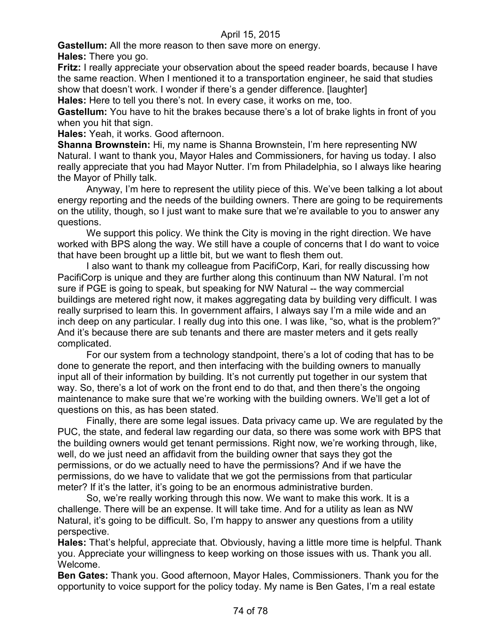**Gastellum:** All the more reason to then save more on energy.

**Hales:** There you go.

**Fritz:** I really appreciate your observation about the speed reader boards, because I have the same reaction. When I mentioned it to a transportation engineer, he said that studies show that doesn't work. I wonder if there's a gender difference. [laughter]

**Hales:** Here to tell you there's not. In every case, it works on me, too.

**Gastellum:** You have to hit the brakes because there's a lot of brake lights in front of you when you hit that sign.

**Hales:** Yeah, it works. Good afternoon.

**Shanna Brownstein:** Hi, my name is Shanna Brownstein, I'm here representing NW Natural. I want to thank you, Mayor Hales and Commissioners, for having us today. I also really appreciate that you had Mayor Nutter. I'm from Philadelphia, so I always like hearing the Mayor of Philly talk.

Anyway, I'm here to represent the utility piece of this. We've been talking a lot about energy reporting and the needs of the building owners. There are going to be requirements on the utility, though, so I just want to make sure that we're available to you to answer any questions.

We support this policy. We think the City is moving in the right direction. We have worked with BPS along the way. We still have a couple of concerns that I do want to voice that have been brought up a little bit, but we want to flesh them out.

I also want to thank my colleague from PacifiCorp, Kari, for really discussing how PacifiCorp is unique and they are further along this continuum than NW Natural. I'm not sure if PGE is going to speak, but speaking for NW Natural -- the way commercial buildings are metered right now, it makes aggregating data by building very difficult. I was really surprised to learn this. In government affairs, I always say I'm a mile wide and an inch deep on any particular. I really dug into this one. I was like, "so, what is the problem?" And it's because there are sub tenants and there are master meters and it gets really complicated.

For our system from a technology standpoint, there's a lot of coding that has to be done to generate the report, and then interfacing with the building owners to manually input all of their information by building. It's not currently put together in our system that way. So, there's a lot of work on the front end to do that, and then there's the ongoing maintenance to make sure that we're working with the building owners. We'll get a lot of questions on this, as has been stated.

Finally, there are some legal issues. Data privacy came up. We are regulated by the PUC, the state, and federal law regarding our data, so there was some work with BPS that the building owners would get tenant permissions. Right now, we're working through, like, well, do we just need an affidavit from the building owner that says they got the permissions, or do we actually need to have the permissions? And if we have the permissions, do we have to validate that we got the permissions from that particular meter? If it's the latter, it's going to be an enormous administrative burden.

So, we're really working through this now. We want to make this work. It is a challenge. There will be an expense. It will take time. And for a utility as lean as NW Natural, it's going to be difficult. So, I'm happy to answer any questions from a utility perspective.

**Hales:** That's helpful, appreciate that. Obviously, having a little more time is helpful. Thank you. Appreciate your willingness to keep working on those issues with us. Thank you all. Welcome.

**Ben Gates:** Thank you. Good afternoon, Mayor Hales, Commissioners. Thank you for the opportunity to voice support for the policy today. My name is Ben Gates, I'm a real estate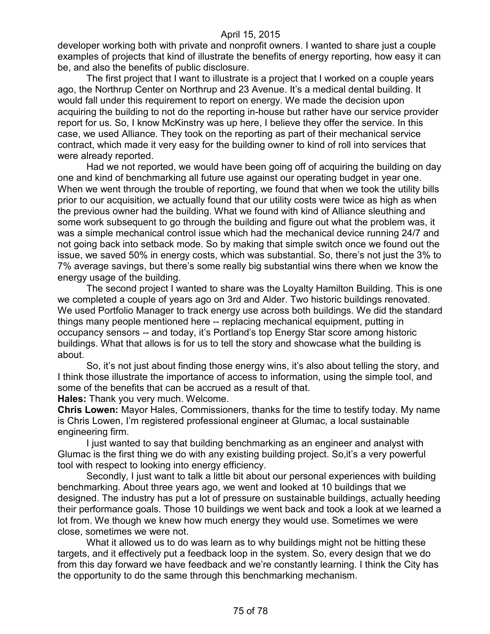developer working both with private and nonprofit owners. I wanted to share just a couple examples of projects that kind of illustrate the benefits of energy reporting, how easy it can be, and also the benefits of public disclosure.

The first project that I want to illustrate is a project that I worked on a couple years ago, the Northrup Center on Northrup and 23 Avenue. It's a medical dental building. It would fall under this requirement to report on energy. We made the decision upon acquiring the building to not do the reporting in-house but rather have our service provider report for us. So, I know McKinstry was up here, I believe they offer the service. In this case, we used Alliance. They took on the reporting as part of their mechanical service contract, which made it very easy for the building owner to kind of roll into services that were already reported.

Had we not reported, we would have been going off of acquiring the building on day one and kind of benchmarking all future use against our operating budget in year one. When we went through the trouble of reporting, we found that when we took the utility bills prior to our acquisition, we actually found that our utility costs were twice as high as when the previous owner had the building. What we found with kind of Alliance sleuthing and some work subsequent to go through the building and figure out what the problem was, it was a simple mechanical control issue which had the mechanical device running 24/7 and not going back into setback mode. So by making that simple switch once we found out the issue, we saved 50% in energy costs, which was substantial. So, there's not just the 3% to 7% average savings, but there's some really big substantial wins there when we know the energy usage of the building.

The second project I wanted to share was the Loyalty Hamilton Building. This is one we completed a couple of years ago on 3rd and Alder. Two historic buildings renovated. We used Portfolio Manager to track energy use across both buildings. We did the standard things many people mentioned here -- replacing mechanical equipment, putting in occupancy sensors -- and today, it's Portland's top Energy Star score among historic buildings. What that allows is for us to tell the story and showcase what the building is about.

So, it's not just about finding those energy wins, it's also about telling the story, and I think those illustrate the importance of access to information, using the simple tool, and some of the benefits that can be accrued as a result of that.

**Hales:** Thank you very much. Welcome.

**Chris Lowen:** Mayor Hales, Commissioners, thanks for the time to testify today. My name is Chris Lowen, I'm registered professional engineer at Glumac, a local sustainable engineering firm.

I just wanted to say that building benchmarking as an engineer and analyst with Glumac is the first thing we do with any existing building project. So,it's a very powerful tool with respect to looking into energy efficiency.

Secondly, I just want to talk a little bit about our personal experiences with building benchmarking. About three years ago, we went and looked at 10 buildings that we designed. The industry has put a lot of pressure on sustainable buildings, actually heeding their performance goals. Those 10 buildings we went back and took a look at we learned a lot from. We though we knew how much energy they would use. Sometimes we were close, sometimes we were not.

What it allowed us to do was learn as to why buildings might not be hitting these targets, and it effectively put a feedback loop in the system. So, every design that we do from this day forward we have feedback and we're constantly learning. I think the City has the opportunity to do the same through this benchmarking mechanism.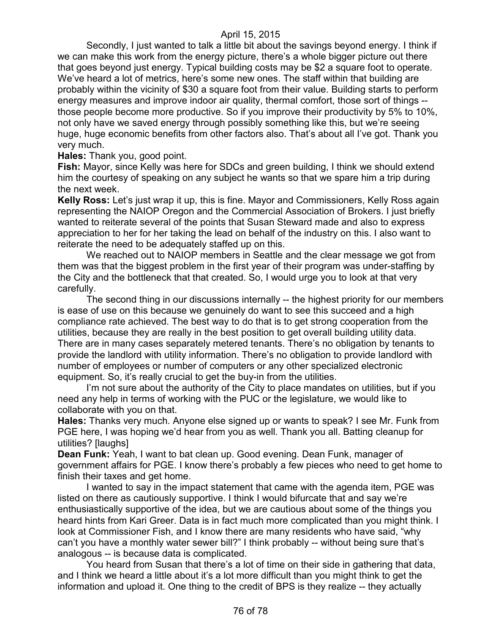Secondly, I just wanted to talk a little bit about the savings beyond energy. I think if we can make this work from the energy picture, there's a whole bigger picture out there that goes beyond just energy. Typical building costs may be \$2 a square foot to operate. We've heard a lot of metrics, here's some new ones. The staff within that building are probably within the vicinity of \$30 a square foot from their value. Building starts to perform energy measures and improve indoor air quality, thermal comfort, those sort of things - those people become more productive. So if you improve their productivity by 5% to 10%, not only have we saved energy through possibly something like this, but we're seeing huge, huge economic benefits from other factors also. That's about all I've got. Thank you very much.

**Hales:** Thank you, good point.

**Fish:** Mayor, since Kelly was here for SDCs and green building, I think we should extend him the courtesy of speaking on any subject he wants so that we spare him a trip during the next week.

**Kelly Ross:** Let's just wrap it up, this is fine. Mayor and Commissioners, Kelly Ross again representing the NAIOP Oregon and the Commercial Association of Brokers. I just briefly wanted to reiterate several of the points that Susan Steward made and also to express appreciation to her for her taking the lead on behalf of the industry on this. I also want to reiterate the need to be adequately staffed up on this.

We reached out to NAIOP members in Seattle and the clear message we got from them was that the biggest problem in the first year of their program was under-staffing by the City and the bottleneck that that created. So, I would urge you to look at that very carefully.

The second thing in our discussions internally -- the highest priority for our members is ease of use on this because we genuinely do want to see this succeed and a high compliance rate achieved. The best way to do that is to get strong cooperation from the utilities, because they are really in the best position to get overall building utility data. There are in many cases separately metered tenants. There's no obligation by tenants to provide the landlord with utility information. There's no obligation to provide landlord with number of employees or number of computers or any other specialized electronic equipment. So, it's really crucial to get the buy-in from the utilities.

I'm not sure about the authority of the City to place mandates on utilities, but if you need any help in terms of working with the PUC or the legislature, we would like to collaborate with you on that.

**Hales:** Thanks very much. Anyone else signed up or wants to speak? I see Mr. Funk from PGE here, I was hoping we'd hear from you as well. Thank you all. Batting cleanup for utilities? [laughs]

**Dean Funk:** Yeah, I want to bat clean up. Good evening. Dean Funk, manager of government affairs for PGE. I know there's probably a few pieces who need to get home to finish their taxes and get home.

I wanted to say in the impact statement that came with the agenda item, PGE was listed on there as cautiously supportive. I think I would bifurcate that and say we're enthusiastically supportive of the idea, but we are cautious about some of the things you heard hints from Kari Greer. Data is in fact much more complicated than you might think. I look at Commissioner Fish, and I know there are many residents who have said, "why can't you have a monthly water sewer bill?" I think probably -- without being sure that's analogous -- is because data is complicated.

You heard from Susan that there's a lot of time on their side in gathering that data, and I think we heard a little about it's a lot more difficult than you might think to get the information and upload it. One thing to the credit of BPS is they realize -- they actually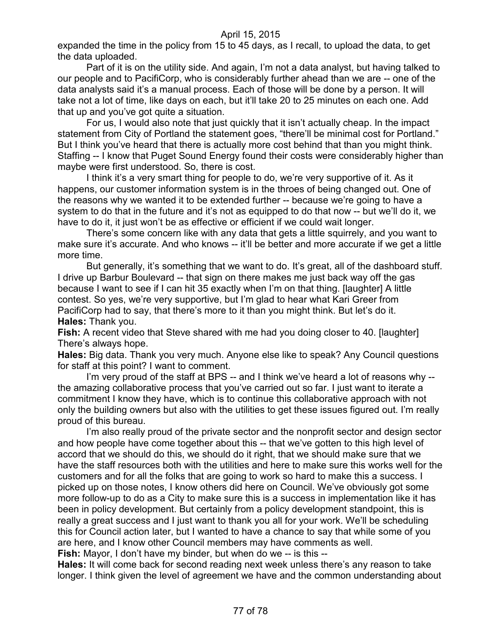expanded the time in the policy from 15 to 45 days, as I recall, to upload the data, to get the data uploaded.

Part of it is on the utility side. And again, I'm not a data analyst, but having talked to our people and to PacifiCorp, who is considerably further ahead than we are -- one of the data analysts said it's a manual process. Each of those will be done by a person. It will take not a lot of time, like days on each, but it'll take 20 to 25 minutes on each one. Add that up and you've got quite a situation.

For us, I would also note that just quickly that it isn't actually cheap. In the impact statement from City of Portland the statement goes, "there'll be minimal cost for Portland." But I think you've heard that there is actually more cost behind that than you might think. Staffing -- I know that Puget Sound Energy found their costs were considerably higher than maybe were first understood. So, there is cost.

I think it's a very smart thing for people to do, we're very supportive of it. As it happens, our customer information system is in the throes of being changed out. One of the reasons why we wanted it to be extended further -- because we're going to have a system to do that in the future and it's not as equipped to do that now -- but we'll do it, we have to do it, it just won't be as effective or efficient if we could wait longer.

There's some concern like with any data that gets a little squirrely, and you want to make sure it's accurate. And who knows -- it'll be better and more accurate if we get a little more time.

But generally, it's something that we want to do. It's great, all of the dashboard stuff. I drive up Barbur Boulevard -- that sign on there makes me just back way off the gas because I want to see if I can hit 35 exactly when I'm on that thing. [laughter] A little contest. So yes, we're very supportive, but I'm glad to hear what Kari Greer from PacifiCorp had to say, that there's more to it than you might think. But let's do it. **Hales:** Thank you.

**Fish:** A recent video that Steve shared with me had you doing closer to 40. [laughter] There's always hope.

**Hales:** Big data. Thank you very much. Anyone else like to speak? Any Council questions for staff at this point? I want to comment.

I'm very proud of the staff at BPS -- and I think we've heard a lot of reasons why -the amazing collaborative process that you've carried out so far. I just want to iterate a commitment I know they have, which is to continue this collaborative approach with not only the building owners but also with the utilities to get these issues figured out. I'm really proud of this bureau.

I'm also really proud of the private sector and the nonprofit sector and design sector and how people have come together about this -- that we've gotten to this high level of accord that we should do this, we should do it right, that we should make sure that we have the staff resources both with the utilities and here to make sure this works well for the customers and for all the folks that are going to work so hard to make this a success. I picked up on those notes, I know others did here on Council. We've obviously got some more follow-up to do as a City to make sure this is a success in implementation like it has been in policy development. But certainly from a policy development standpoint, this is really a great success and I just want to thank you all for your work. We'll be scheduling this for Council action later, but I wanted to have a chance to say that while some of you are here, and I know other Council members may have comments as well.

**Fish:** Mayor, I don't have my binder, but when do we -- is this --

**Hales:** It will come back for second reading next week unless there's any reason to take longer. I think given the level of agreement we have and the common understanding about